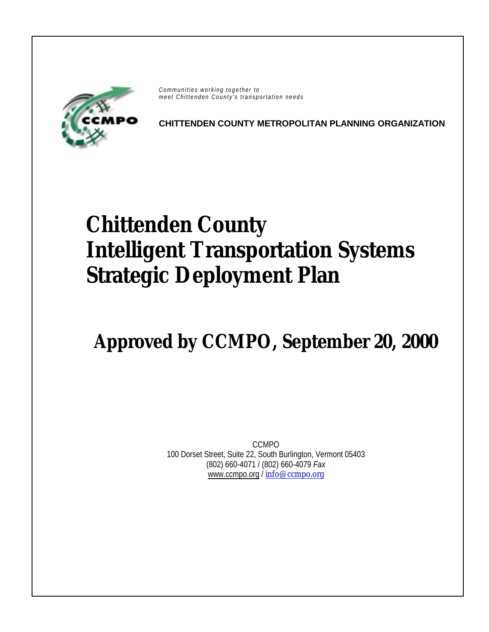

*Communities working together to meet Chittenden County's transportation needs*

**CHITTENDEN COUNTY METROPOLITAN PLANNING ORGANIZATION** 

# **Chittenden County Intelligent Transportation Systems Strategic Deployment Plan**

# **Approved by CCMPO, September 20, 2000**

CCMPO 100 Dorset Street, Suite 22, South Burlington, Vermont 05403 (802) 660-4071 / (802) 660-4079 *Fax* [www.ccmpo.org /](http://www.ccmpo.org/) [info@ccmpo.org](mailto:info@ccmpo.org)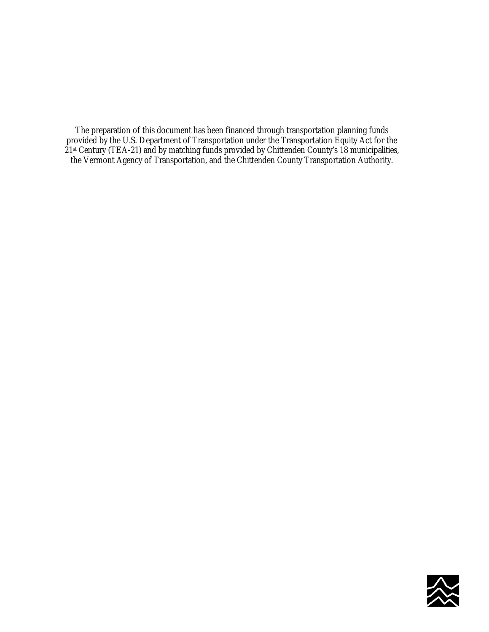The preparation of this document has been financed through transportation planning funds provided by the U.S. Department of Transportation under the Transportation Equity Act for the 21st Century (TEA-21) and by matching funds provided by Chittenden County's 18 municipalities, the Vermont Agency of Transportation, and the Chittenden County Transportation Authority.

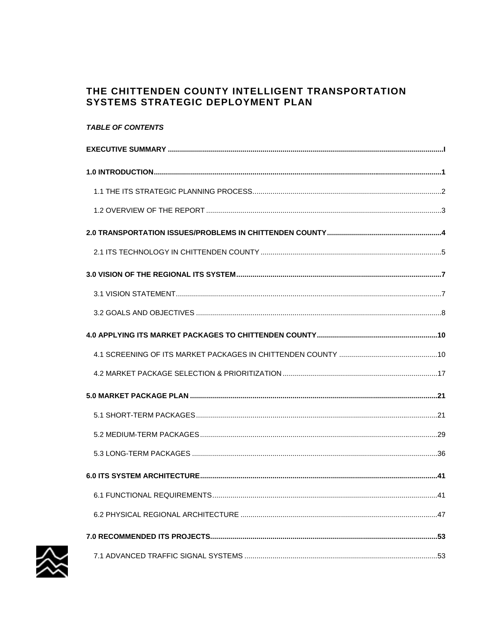# THE CHITTENDEN COUNTY INTELLIGENT TRANSPORTATION SYSTEMS STRATEGIC DEPLOYMENT PLAN

# **TABLE OF CONTENTS**

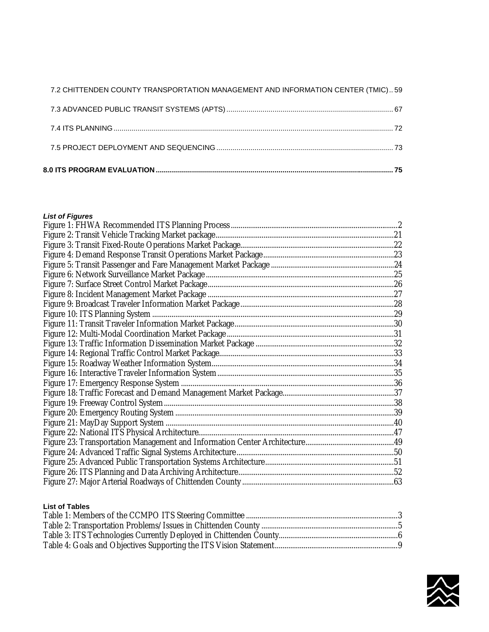| 7.2 CHITTENDEN COUNTY TRANSPORTATION MANAGEMENT AND INFORMATION CENTER (TMIC) 59 |  |
|----------------------------------------------------------------------------------|--|

# *List of Figures*

# **List of Tables**

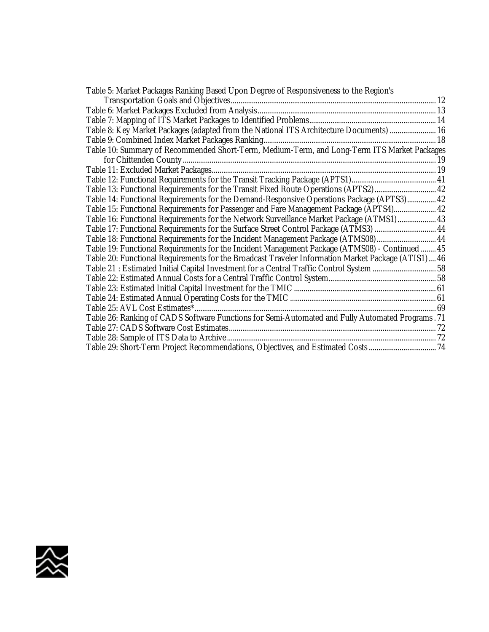| Table 5: Market Packages Ranking Based Upon Degree of Responsiveness to the Region's               |  |
|----------------------------------------------------------------------------------------------------|--|
|                                                                                                    |  |
|                                                                                                    |  |
|                                                                                                    |  |
| Table 8: Key Market Packages (adapted from the National ITS Architecture Documents)  16            |  |
|                                                                                                    |  |
| Table 10: Summary of Recommended Short-Term, Medium-Term, and Long-Term ITS Market Packages        |  |
|                                                                                                    |  |
|                                                                                                    |  |
|                                                                                                    |  |
| Table 13: Functional Requirements for the Transit Fixed Route Operations (APTS2) 42                |  |
| Table 14: Functional Requirements for the Demand-Responsive Operations Package (APTS3) 42          |  |
| Table 15: Functional Requirements for Passenger and Fare Management Package (APTS4) 42             |  |
| Table 16: Functional Requirements for the Network Surveillance Market Package (ATMS1) 43           |  |
|                                                                                                    |  |
| Table 18: Functional Requirements for the Incident Management Package (ATMS08) 44                  |  |
| Table 19: Functional Requirements for the Incident Management Package (ATMS08) - Continued  45     |  |
| Table 20: Functional Requirements for the Broadcast Traveler Information Market Package (ATIS1) 46 |  |
| Table 21 : Estimated Initial Capital Investment for a Central Traffic Control System 58            |  |
|                                                                                                    |  |
|                                                                                                    |  |
|                                                                                                    |  |
|                                                                                                    |  |
| Table 26: Ranking of CADS Software Functions for Semi-Automated and Fully Automated Programs. 71   |  |
|                                                                                                    |  |
|                                                                                                    |  |
|                                                                                                    |  |
|                                                                                                    |  |

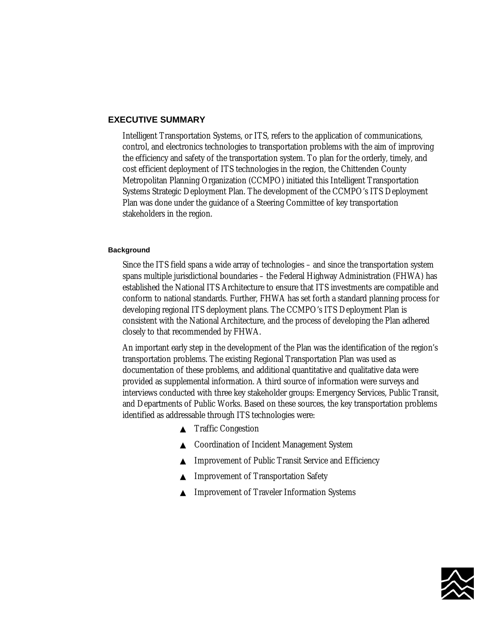#### <span id="page-6-0"></span>**EXECUTIVE SUMMARY**

Intelligent Transportation Systems, or ITS, refers to the application of communications, control, and electronics technologies to transportation problems with the aim of improving the efficiency and safety of the transportation system. To plan for the orderly, timely, and cost efficient deployment of ITS technologies in the region, the Chittenden County Metropolitan Planning Organization (CCMPO) initiated this Intelligent Transportation Systems Strategic Deployment Plan. The development of the CCMPO's ITS Deployment Plan was done under the guidance of a Steering Committee of key transportation stakeholders in the region.

#### **Background**

Since the ITS field spans a wide array of technologies – and since the transportation system spans multiple jurisdictional boundaries – the Federal Highway Administration (FHWA) has established the National ITS Architecture to ensure that ITS investments are compatible and conform to national standards. Further, FHWA has set forth a standard planning process for developing regional ITS deployment plans. The CCMPO's ITS Deployment Plan is consistent with the National Architecture, and the process of developing the Plan adhered closely to that recommended by FHWA.

An important early step in the development of the Plan was the identification of the region's transportation problems. The existing Regional Transportation Plan was used as documentation of these problems, and additional quantitative and qualitative data were provided as supplemental information. A third source of information were surveys and interviews conducted with three key stakeholder groups: Emergency Services, Public Transit, and Departments of Public Works. Based on these sources, the key transportation problems identified as addressable through ITS technologies were:

- ▲ Traffic Congestion
- ▲ Coordination of Incident Management System
- ▲ Improvement of Public Transit Service and Efficiency
- ▲ Improvement of Transportation Safety
- ▲ Improvement of Traveler Information Systems

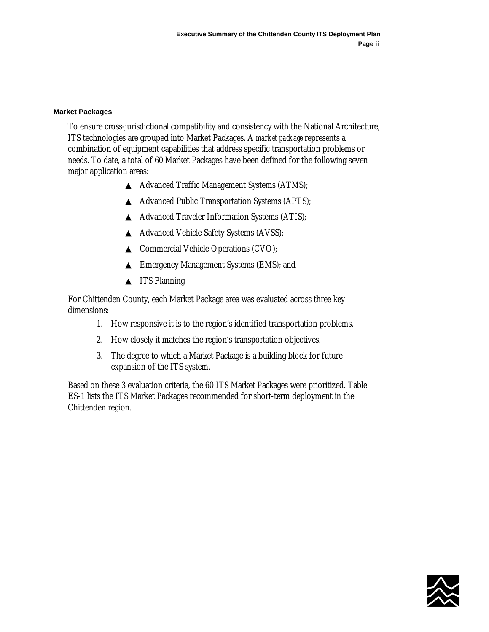#### **Market Packages**

To ensure cross-jurisdictional compatibility and consistency with the National Architecture, ITS technologies are grouped into Market Packages. A *market package* represents a combination of equipment capabilities that address specific transportation problems or needs. To date, a total of 60 Market Packages have been defined for the following seven major application areas:

- ▲ Advanced Traffic Management Systems (ATMS);
- ▲ Advanced Public Transportation Systems (APTS);
- ▲ Advanced Traveler Information Systems (ATIS);
- ▲ Advanced Vehicle Safety Systems (AVSS);
- ▲ Commercial Vehicle Operations (CVO);
- ▲ Emergency Management Systems (EMS); and
- ▲ **ITS Planning**

For Chittenden County, each Market Package area was evaluated across three key dimensions:

- 1. How responsive it is to the region's identified transportation problems.
- 2. How closely it matches the region's transportation objectives.
- 3. The degree to which a Market Package is a building block for future expansion of the ITS system.

Based on these 3 evaluation criteria, the 60 ITS Market Packages were prioritized. Table ES-1 lists the ITS Market Packages recommended for short-term deployment in the Chittenden region.

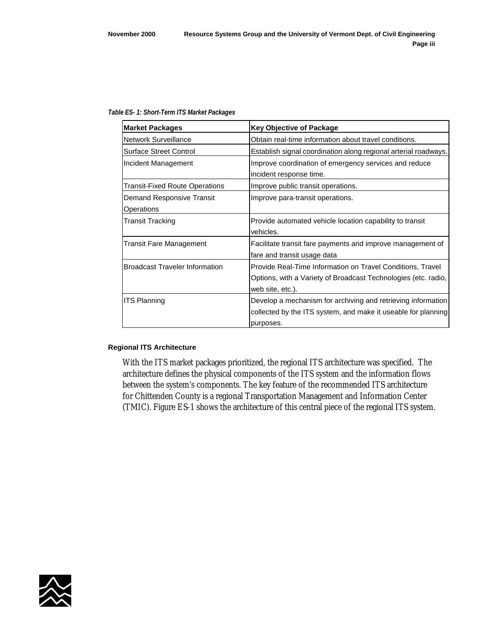#### *Table ES- 1: Short-Term ITS Market Packages*

| <b>Market Packages</b>                | <b>Key Objective of Package</b>                                 |
|---------------------------------------|-----------------------------------------------------------------|
| <b>Network Surveillance</b>           | Obtain real-time information about travel conditions.           |
| <b>Surface Street Control</b>         | Establish signal coordination along regional arterial roadways. |
| Incident Management                   | Improve coordination of emergency services and reduce           |
|                                       | incident response time.                                         |
| Transit-Fixed Route Operations        | Improve public transit operations.                              |
| Demand Responsive Transit             | Improve para-transit operations.                                |
| Operations                            |                                                                 |
| Transit Tracking                      | Provide automated vehicle location capability to transit        |
|                                       | vehicles.                                                       |
| <b>Transit Fare Management</b>        | Facilitate transit fare payments and improve management of      |
|                                       | fare and transit usage data                                     |
| <b>Broadcast Traveler Information</b> | Provide Real-Time Information on Travel Conditions, Travel      |
|                                       | Options, with a Variety of Broadcast Technologies (etc. radio,  |
|                                       | web site, etc.).                                                |
| <b>ITS Planning</b>                   | Develop a mechanism for archiving and retrieving information    |
|                                       | collected by the ITS system, and make it useable for planning   |
|                                       | purposes.                                                       |

#### **Regional ITS Architecture**

With the ITS market packages prioritized, the regional ITS architecture was specified. The architecture defines the physical components of the ITS system and the information flows between the system's components. The key feature of the recommended ITS architecture for Chittenden County is a regional Transportation Management and Information Center (TMIC). Figure ES-1 shows the architecture of this central piece of the regional ITS system.

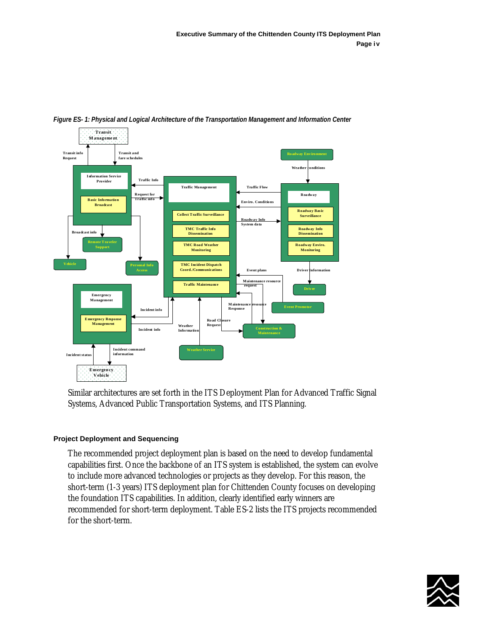

*Figure ES- 1: Physical and Logical Architecture of the Transportation Management and Information Center* 

Similar architectures are set forth in the ITS Deployment Plan for Advanced Traffic Signal Systems, Advanced Public Transportation Systems, and ITS Planning.

## **Project Deployment and Sequencing**

The recommended project deployment plan is based on the need to develop fundamental capabilities first. Once the backbone of an ITS system is established, the system can evolve to include more advanced technologies or projects as they develop. For this reason, the short-term (1-3 years) ITS deployment plan for Chittenden County focuses on developing the foundation ITS capabilities. In addition, clearly identified early winners are recommended for short-term deployment. Table ES-2 lists the ITS projects recommended for the short-term.

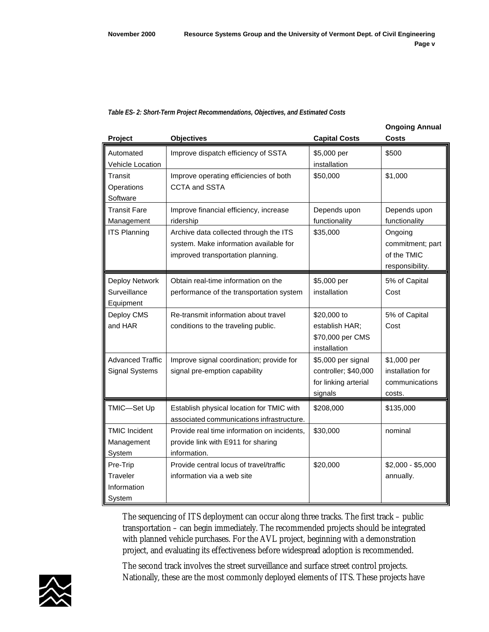#### *Table ES- 2: Short-Term Project Recommendations, Objectives, and Estimated Costs*

|                         |                                             |                      | <b>Ongoing Annual</b> |
|-------------------------|---------------------------------------------|----------------------|-----------------------|
| Project                 | <b>Objectives</b>                           | <b>Capital Costs</b> | Costs                 |
| Automated               | Improve dispatch efficiency of SSTA         | \$5,000 per          | \$500                 |
| <b>Vehicle Location</b> |                                             | installation         |                       |
| Transit                 | Improve operating efficiencies of both      | \$50,000             | \$1,000               |
| Operations              | <b>CCTA and SSTA</b>                        |                      |                       |
| Software                |                                             |                      |                       |
| Transit Fare            | Improve financial efficiency, increase      | Depends upon         | Depends upon          |
| Management              | ridership                                   | functionality        | functionality         |
| <b>ITS Planning</b>     | Archive data collected through the ITS      | \$35,000             | Ongoing               |
|                         | system. Make information available for      |                      | commitment; part      |
|                         | improved transportation planning.           |                      | of the TMIC           |
|                         |                                             |                      | responsibility.       |
| Deploy Network          | Obtain real-time information on the         | \$5,000 per          | 5% of Capital         |
| Surveillance            | performance of the transportation system    | installation         | Cost                  |
| Equipment               |                                             |                      |                       |
| Deploy CMS              | Re-transmit information about travel        | \$20,000 to          | 5% of Capital         |
| and HAR                 | conditions to the traveling public.         | establish HAR;       | Cost                  |
|                         |                                             | \$70,000 per CMS     |                       |
|                         |                                             | installation         |                       |
| <b>Advanced Traffic</b> | Improve signal coordination; provide for    | \$5,000 per signal   | \$1,000 per           |
| <b>Signal Systems</b>   | signal pre-emption capability               | controller; \$40,000 | installation for      |
|                         |                                             | for linking arterial | communications        |
|                         |                                             | signals              | costs.                |
| TMIC-Set Up             | Establish physical location for TMIC with   | \$208,000            | \$135,000             |
|                         | associated communications infrastructure.   |                      |                       |
| <b>TMIC Incident</b>    | Provide real time information on incidents, | \$30,000             | nominal               |
| Management              | provide link with E911 for sharing          |                      |                       |
| System                  | information.                                |                      |                       |
| Pre-Trip                | Provide central locus of travel/traffic     | \$20,000             | $$2,000 - $5,000$     |
| Traveler                | information via a web site                  |                      | annually.             |
| Information             |                                             |                      |                       |
| System                  |                                             |                      |                       |

The sequencing of ITS deployment can occur along three tracks. The first track – public transportation – can begin immediately. The recommended projects should be integrated with planned vehicle purchases. For the AVL project, beginning with a demonstration project, and evaluating its effectiveness before widespread adoption is recommended.

The second track involves the street surveillance and surface street control projects. Nationally, these are the most commonly deployed elements of ITS. These projects have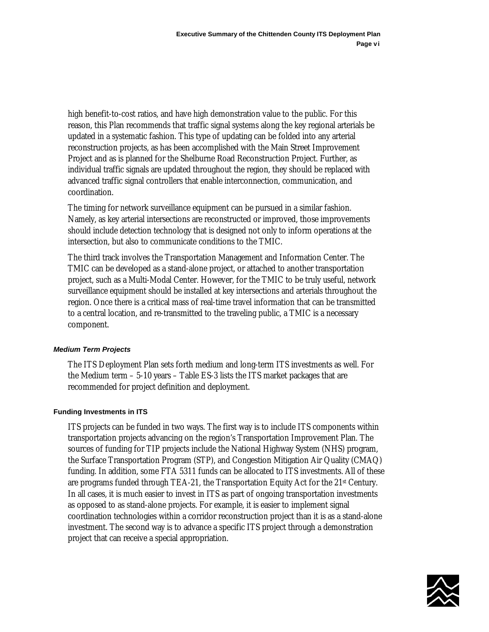high benefit-to-cost ratios, and have high demonstration value to the public. For this reason, this Plan recommends that traffic signal systems along the key regional arterials be updated in a systematic fashion. This type of updating can be folded into any arterial reconstruction projects, as has been accomplished with the Main Street Improvement Project and as is planned for the Shelburne Road Reconstruction Project. Further, as individual traffic signals are updated throughout the region, they should be replaced with advanced traffic signal controllers that enable interconnection, communication, and coordination.

The timing for network surveillance equipment can be pursued in a similar fashion. Namely, as key arterial intersections are reconstructed or improved, those improvements should include detection technology that is designed not only to inform operations at the intersection, but also to communicate conditions to the TMIC.

The third track involves the Transportation Management and Information Center. The TMIC can be developed as a stand-alone project, or attached to another transportation project, such as a Multi-Modal Center. However, for the TMIC to be truly useful, network surveillance equipment should be installed at key intersections and arterials throughout the region. Once there is a critical mass of real-time travel information that can be transmitted to a central location, and re-transmitted to the traveling public, a TMIC is a necessary component.

## *Medium Term Projects*

The ITS Deployment Plan sets forth medium and long-term ITS investments as well. For the Medium term – 5-10 years – Table ES-3 lists the ITS market packages that are recommended for project definition and deployment.

#### **Funding Investments in ITS**

ITS projects can be funded in two ways. The first way is to include ITS components within transportation projects advancing on the region's Transportation Improvement Plan. The sources of funding for TIP projects include the National Highway System (NHS) program, the Surface Transportation Program (STP), and Congestion Mitigation Air Quality (CMAQ) funding. In addition, some FTA 5311 funds can be allocated to ITS investments. All of these are programs funded through TEA-21, the Transportation Equity Act for the 21st Century. In all cases, it is much easier to invest in ITS as part of ongoing transportation investments as opposed to as stand-alone projects. For example, it is easier to implement signal coordination technologies within a corridor reconstruction project than it is as a stand-alone investment. The second way is to advance a specific ITS project through a demonstration project that can receive a special appropriation.

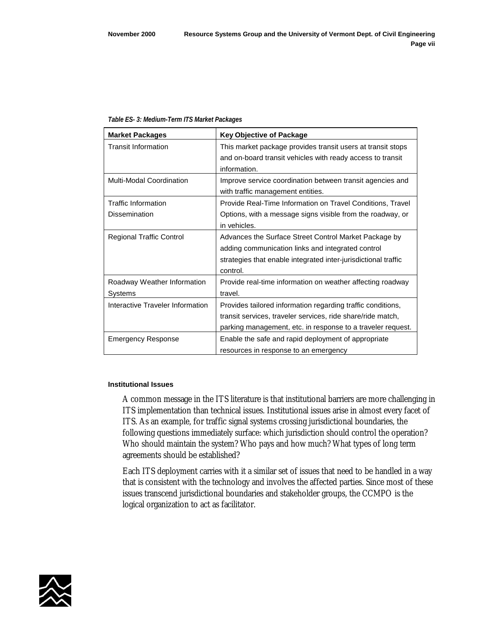| <b>Market Packages</b>           | <b>Key Objective of Package</b>                                |
|----------------------------------|----------------------------------------------------------------|
| <b>Transit Information</b>       | This market package provides transit users at transit stops    |
|                                  | and on-board transit vehicles with ready access to transit     |
|                                  | information.                                                   |
| <b>Multi-Modal Coordination</b>  | Improve service coordination between transit agencies and      |
|                                  | with traffic management entities.                              |
| <b>Traffic Information</b>       | Provide Real-Time Information on Travel Conditions, Travel     |
| Dissemination                    | Options, with a message signs visible from the roadway, or     |
|                                  | in vehicles.                                                   |
| <b>Regional Traffic Control</b>  | Advances the Surface Street Control Market Package by          |
|                                  | adding communication links and integrated control              |
|                                  | strategies that enable integrated inter-jurisdictional traffic |
|                                  | control.                                                       |
| Roadway Weather Information      | Provide real-time information on weather affecting roadway     |
| Systems                          | travel.                                                        |
| Interactive Traveler Information | Provides tailored information regarding traffic conditions,    |
|                                  | transit services, traveler services, ride share/ride match,    |
|                                  | parking management, etc. in response to a traveler request.    |
| <b>Emergency Response</b>        | Enable the safe and rapid deployment of appropriate            |
|                                  | resources in response to an emergency                          |

#### *Table ES- 3: Medium-Term ITS Market Packages*

#### **Institutional Issues**

A common message in the ITS literature is that institutional barriers are more challenging in ITS implementation than technical issues. Institutional issues arise in almost every facet of ITS. As an example, for traffic signal systems crossing jurisdictional boundaries, the following questions immediately surface: which jurisdiction should control the operation? Who should maintain the system? Who pays and how much? What types of long term agreements should be established?

Each ITS deployment carries with it a similar set of issues that need to be handled in a way that is consistent with the technology and involves the affected parties. Since most of these issues transcend jurisdictional boundaries and stakeholder groups, the CCMPO is the logical organization to act as facilitator.

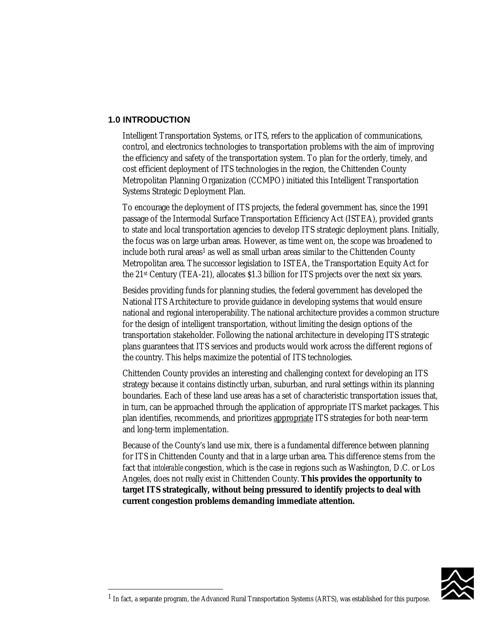## <span id="page-14-0"></span>**1.0 INTRODUCTION**

 $\overline{a}$ 

Intelligent Transportation Systems, or ITS, refers to the application of communications, control, and electronics technologies to transportation problems with the aim of improving the efficiency and safety of the transportation system. To plan for the orderly, timely, and cost efficient deployment of ITS technologies in the region, the Chittenden County Metropolitan Planning Organization (CCMPO) initiated this Intelligent Transportation Systems Strategic Deployment Plan.

To encourage the deployment of ITS projects, the federal government has, since the 1991 passage of the Intermodal Surface Transportation Efficiency Act (ISTEA), provided grants to state and local transportation agencies to develop ITS strategic deployment plans. Initially, the focus was on large urban areas. However, as time went on, the scope was broadened to include both rural areas<sup>1</sup> as well as small urban areas similar to the Chittenden County Metropolitan area. The successor legislation to ISTEA, the Transportation Equity Act for the 21st Century (TEA-21), allocates \$1.3 billion for ITS projects over the next six years.

Besides providing funds for planning studies, the federal government has developed the National ITS Architecture to provide guidance in developing systems that would ensure national and regional interoperability. The national architecture provides a common structure for the design of intelligent transportation, without limiting the design options of the transportation stakeholder. Following the national architecture in developing ITS strategic plans guarantees that ITS services and products would work across the different regions of the country. This helps maximize the potential of ITS technologies.

Chittenden County provides an interesting and challenging context for developing an ITS strategy because it contains distinctly urban, suburban, and rural settings within its planning boundaries. Each of these land use areas has a set of characteristic transportation issues that, in turn, can be approached through the application of appropriate ITS market packages. This plan identifies, recommends, and prioritizes appropriate ITS strategies for both near-term and long-term implementation.

Because of the County's land use mix, there is a fundamental difference between planning for ITS in Chittenden County and that in a large urban area. This difference stems from the fact that *intolerable* congestion, which is the case in regions such as Washington, D.C. or Los Angeles, does not really exist in Chittenden County. **This provides the opportunity to target ITS strategically, without being pressured to identify projects to deal with current congestion problems demanding immediate attention.**



<sup>1</sup> In fact, a separate program, the Advanced Rural Transportation Systems (ARTS), was established for this purpose.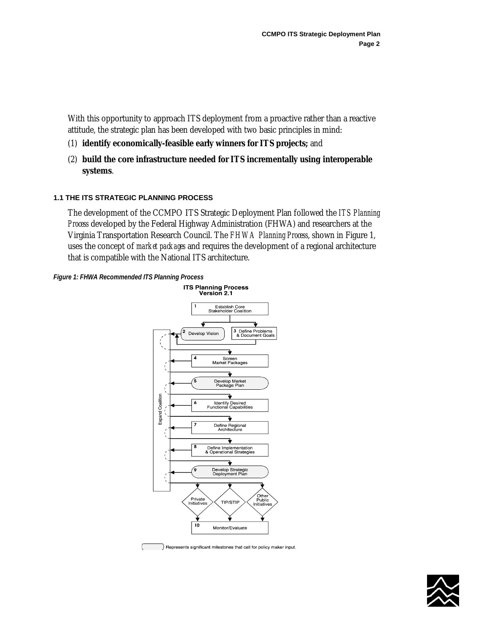<span id="page-15-0"></span>With this opportunity to approach ITS deployment from a proactive rather than a reactive attitude, the strategic plan has been developed with two basic principles in mind:

- (1) **identify economically-feasible early winners for ITS projects;** and
- (2) **build the core infrastructure needed for ITS incrementally using interoperable systems**.

## **1.1 THE ITS STRATEGIC PLANNING PROCESS**

The development of the CCMPO ITS Strategic Deployment Plan followed the *ITS Planning Process* developed by the Federal Highway Administration (FHWA) and researchers at the Virginia Transportation Research Council. The *FHWA Planning Process*, shown in Figure 1, uses the concept of *market packages* and requires the development of a regional architecture that is compatible with the National ITS architecture.





Represents significant milestones that call for policy maker input.

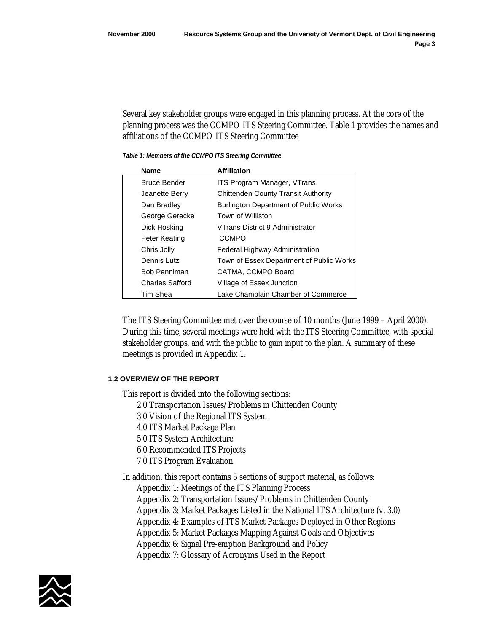<span id="page-16-0"></span>Several key stakeholder groups were engaged in this planning process. At the core of the planning process was the CCMPO ITS Steering Committee. Table 1 provides the names and affiliations of the CCMPO ITS Steering Committee

*Table 1: Members of the CCMPO ITS Steering Committee* 

| <b>Name</b>            | <b>Affiliation</b>                           |
|------------------------|----------------------------------------------|
| <b>Bruce Bender</b>    | <b>ITS Program Manager, VTrans</b>           |
| Jeanette Berry         | <b>Chittenden County Transit Authority</b>   |
| Dan Bradley            | <b>Burlington Department of Public Works</b> |
| George Gerecke         | Town of Williston                            |
| Dick Hosking           | VTrans District 9 Administrator              |
| Peter Keating          | <b>CCMPO</b>                                 |
| Chris Jolly            | Federal Highway Administration               |
| Dennis Lutz            | Town of Essex Department of Public Works     |
| <b>Bob Penniman</b>    | CATMA, CCMPO Board                           |
| <b>Charles Safford</b> | Village of Essex Junction                    |
| Tim Shea               | Lake Champlain Chamber of Commerce           |

The ITS Steering Committee met over the course of 10 months (June 1999 – April 2000). During this time, several meetings were held with the ITS Steering Committee, with special stakeholder groups, and with the public to gain input to the plan. A summary of these meetings is provided in Appendix 1.

## **1.2 OVERVIEW OF THE REPORT**

This report is divided into the following sections:

- 2.0 Transportation Issues/Problems in Chittenden County
- 3.0 Vision of the Regional ITS System
- 4.0 ITS Market Package Plan
- 5.0 ITS System Architecture
- 6.0 Recommended ITS Projects
- 7.0 ITS Program Evaluation

In addition, this report contains 5 sections of support material, as follows:

- Appendix 1: Meetings of the ITS Planning Process
- Appendix 2: Transportation Issues/Problems in Chittenden County
- Appendix 3: Market Packages Listed in the National ITS Architecture (v. 3.0)
- Appendix 4: Examples of ITS Market Packages Deployed in Other Regions
- Appendix 5: Market Packages Mapping Against Goals and Objectives
- Appendix 6: Signal Pre-emption Background and Policy
- Appendix 7: Glossary of Acronyms Used in the Report

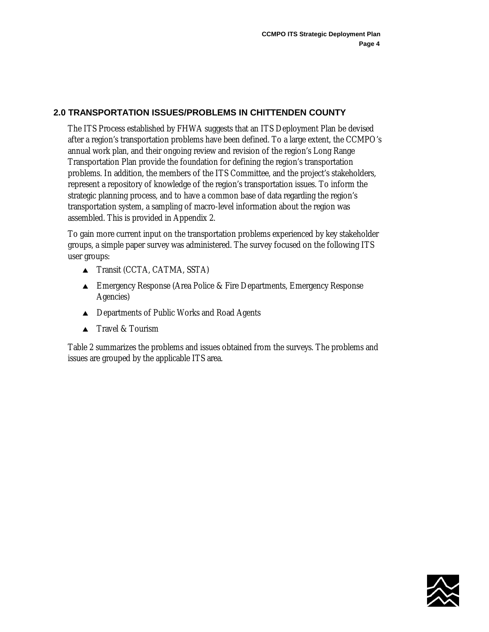# <span id="page-17-0"></span>**2.0 TRANSPORTATION ISSUES/PROBLEMS IN CHITTENDEN COUNTY**

The ITS Process established by FHWA suggests that an ITS Deployment Plan be devised after a region's transportation problems have been defined. To a large extent, the CCMPO's annual work plan, and their ongoing review and revision of the region's Long Range Transportation Plan provide the foundation for defining the region's transportation problems. In addition, the members of the ITS Committee, and the project's stakeholders, represent a repository of knowledge of the region's transportation issues. To inform the strategic planning process, and to have a common base of data regarding the region's transportation system, a sampling of macro-level information about the region was assembled. This is provided in Appendix 2.

To gain more current input on the transportation problems experienced by key stakeholder groups, a simple paper survey was administered. The survey focused on the following ITS user groups:

- ▲ Transit (CCTA, CATMA, SSTA)
- **■** Emergency Response (Area Police & Fire Departments, Emergency Response Agencies)
- **▲** Departments of Public Works and Road Agents
- ▲ Travel & Tourism

Table 2 summarizes the problems and issues obtained from the surveys. The problems and issues are grouped by the applicable ITS area.

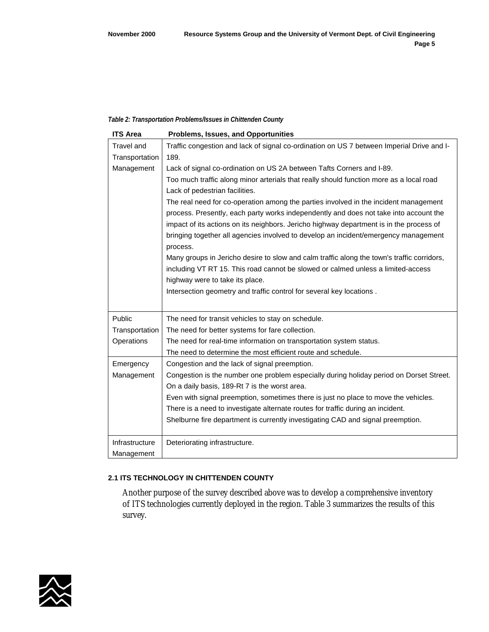#### <span id="page-18-0"></span>*Table 2: Transportation Problems/Issues in Chittenden County*

| <b>ITS Area</b> | Problems, Issues, and Opportunities                                                        |
|-----------------|--------------------------------------------------------------------------------------------|
| Travel and      | Traffic congestion and lack of signal co-ordination on US 7 between Imperial Drive and I-  |
| Transportation  | 189.                                                                                       |
| Management      | Lack of signal co-ordination on US 2A between Tafts Corners and I-89.                      |
|                 | Too much traffic along minor arterials that really should function more as a local road    |
|                 | Lack of pedestrian facilities.                                                             |
|                 | The real need for co-operation among the parties involved in the incident management       |
|                 | process. Presently, each party works independently and does not take into account the      |
|                 | impact of its actions on its neighbors. Jericho highway department is in the process of    |
|                 | bringing together all agencies involved to develop an incident/emergency management        |
|                 | process.                                                                                   |
|                 | Many groups in Jericho desire to slow and calm traffic along the town's traffic corridors, |
|                 | including VT RT 15. This road cannot be slowed or calmed unless a limited-access           |
|                 | highway were to take its place.                                                            |
|                 | Intersection geometry and traffic control for several key locations.                       |
|                 |                                                                                            |
| Public          | The need for transit vehicles to stay on schedule.                                         |
| Transportation  | The need for better systems for fare collection.                                           |
| Operations      | The need for real-time information on transportation system status.                        |
|                 | The need to determine the most efficient route and schedule.                               |
| Emergency       | Congestion and the lack of signal preemption.                                              |
| Management      | Congestion is the number one problem especially during holiday period on Dorset Street.    |
|                 | On a daily basis, 189-Rt 7 is the worst area.                                              |
|                 | Even with signal preemption, sometimes there is just no place to move the vehicles.        |
|                 | There is a need to investigate alternate routes for traffic during an incident.            |
|                 | Shelburne fire department is currently investigating CAD and signal preemption.            |
|                 |                                                                                            |
| Infrastructure  | Deteriorating infrastructure.                                                              |
| Management      |                                                                                            |

## **2.1 ITS TECHNOLOGY IN CHITTENDEN COUNTY**

Another purpose of the survey described above was to develop a comprehensive inventory of ITS technologies currently deployed in the region. Table 3 summarizes the results of this survey.

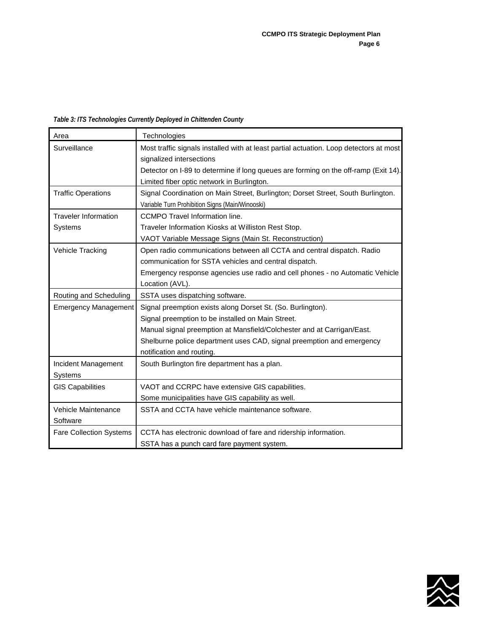<span id="page-19-0"></span>*Table 3: ITS Technologies Currently Deployed in Chittenden County* 

| Area                           | Technologies                                                                           |
|--------------------------------|----------------------------------------------------------------------------------------|
| Surveillance                   | Most traffic signals installed with at least partial actuation. Loop detectors at most |
|                                | signalized intersections                                                               |
|                                | Detector on I-89 to determine if long queues are forming on the off-ramp (Exit 14).    |
|                                | Limited fiber optic network in Burlington.                                             |
| <b>Traffic Operations</b>      | Signal Coordination on Main Street, Burlington; Dorset Street, South Burlington.       |
|                                | Variable Turn Prohibition Signs (Main/Winooski)                                        |
| <b>Traveler Information</b>    | <b>CCMPO Travel Information line.</b>                                                  |
| Systems                        | Traveler Information Kiosks at Williston Rest Stop.                                    |
|                                | VAOT Variable Message Signs (Main St. Reconstruction)                                  |
| Vehicle Tracking               | Open radio communications between all CCTA and central dispatch. Radio                 |
|                                | communication for SSTA vehicles and central dispatch.                                  |
|                                | Emergency response agencies use radio and cell phones - no Automatic Vehicle           |
|                                | Location (AVL).                                                                        |
| Routing and Scheduling         | SSTA uses dispatching software.                                                        |
| <b>Emergency Management</b>    | Signal preemption exists along Dorset St. (So. Burlington).                            |
|                                | Signal preemption to be installed on Main Street.                                      |
|                                | Manual signal preemption at Mansfield/Colchester and at Carrigan/East.                 |
|                                | Shelburne police department uses CAD, signal preemption and emergency                  |
|                                | notification and routing.                                                              |
| Incident Management            | South Burlington fire department has a plan.                                           |
| Systems                        |                                                                                        |
| <b>GIS Capabilities</b>        | VAOT and CCRPC have extensive GIS capabilities.                                        |
|                                | Some municipalities have GIS capability as well.                                       |
| Vehicle Maintenance            | SSTA and CCTA have vehicle maintenance software.                                       |
| Software                       |                                                                                        |
| <b>Fare Collection Systems</b> | CCTA has electronic download of fare and ridership information.                        |
|                                | SSTA has a punch card fare payment system.                                             |

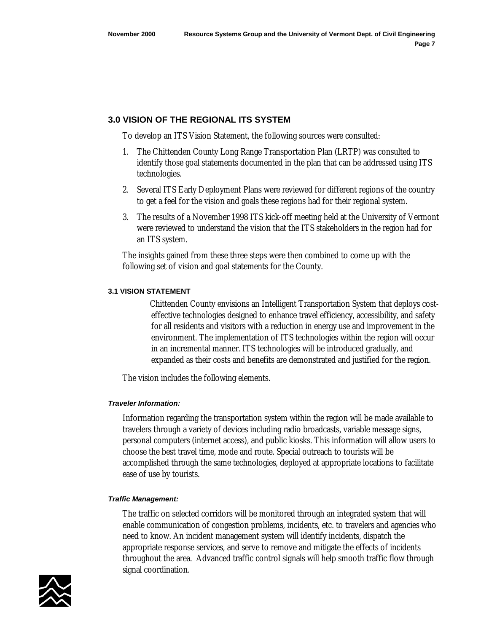## <span id="page-20-0"></span>**3.0 VISION OF THE REGIONAL ITS SYSTEM**

To develop an ITS Vision Statement, the following sources were consulted:

- 1. The Chittenden County Long Range Transportation Plan (LRTP) was consulted to identify those goal statements documented in the plan that can be addressed using ITS technologies.
- 2. Several ITS Early Deployment Plans were reviewed for different regions of the country to get a feel for the vision and goals these regions had for their regional system.
- 3. The results of a November 1998 ITS kick-off meeting held at the University of Vermont were reviewed to understand the vision that the ITS stakeholders in the region had for an ITS system.

The insights gained from these three steps were then combined to come up with the following set of vision and goal statements for the County.

## **3.1 VISION STATEMENT**

 Chittenden County envisions an Intelligent Transportation System that deploys costeffective technologies designed to enhance travel efficiency, accessibility, and safety for all residents and visitors with a reduction in energy use and improvement in the environment. The implementation of ITS technologies within the region will occur in an incremental manner. ITS technologies will be introduced gradually, and expanded as their costs and benefits are demonstrated and justified for the region.

The vision includes the following elements.

## *Traveler Information:*

Information regarding the transportation system within the region will be made available to travelers through a variety of devices including radio broadcasts, variable message signs, personal computers (internet access), and public kiosks. This information will allow users to choose the best travel time, mode and route. Special outreach to tourists will be accomplished through the same technologies, deployed at appropriate locations to facilitate ease of use by tourists.

## *Traffic Management:*

The traffic on selected corridors will be monitored through an integrated system that will enable communication of congestion problems, incidents, etc. to travelers and agencies who need to know. An incident management system will identify incidents, dispatch the appropriate response services, and serve to remove and mitigate the effects of incidents throughout the area. Advanced traffic control signals will help smooth traffic flow through signal coordination.

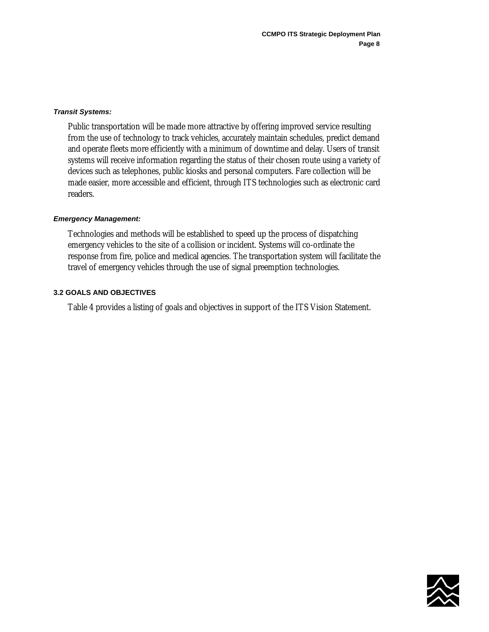#### <span id="page-21-0"></span>*Transit Systems:*

Public transportation will be made more attractive by offering improved service resulting from the use of technology to track vehicles, accurately maintain schedules, predict demand and operate fleets more efficiently with a minimum of downtime and delay. Users of transit systems will receive information regarding the status of their chosen route using a variety of devices such as telephones, public kiosks and personal computers. Fare collection will be made easier, more accessible and efficient, through ITS technologies such as electronic card readers.

#### *Emergency Management:*

Technologies and methods will be established to speed up the process of dispatching emergency vehicles to the site of a collision or incident. Systems will co-ordinate the response from fire, police and medical agencies. The transportation system will facilitate the travel of emergency vehicles through the use of signal preemption technologies.

#### **3.2 GOALS AND OBJECTIVES**

Table 4 provides a listing of goals and objectives in support of the ITS Vision Statement.

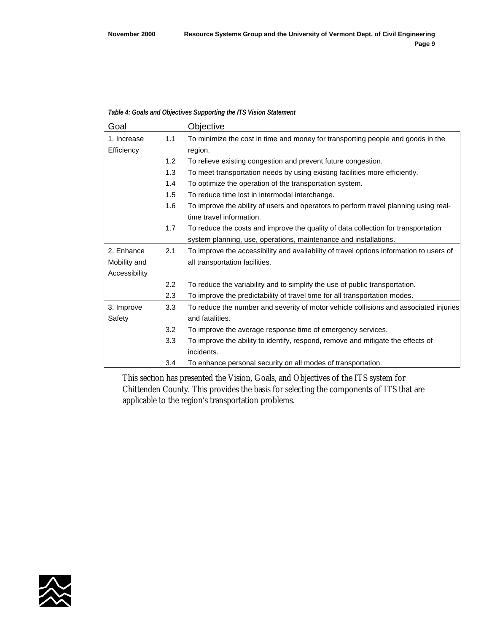#### <span id="page-22-0"></span>*Table 4: Goals and Objectives Supporting the ITS Vision Statement*

| Goal          |               | Objective                                                                               |
|---------------|---------------|-----------------------------------------------------------------------------------------|
| 1. Increase   | 1.1           | To minimize the cost in time and money for transporting people and goods in the         |
| Efficiency    |               | region.                                                                                 |
|               | 1.2           | To relieve existing congestion and prevent future congestion.                           |
|               | 1.3           | To meet transportation needs by using existing facilities more efficiently.             |
|               | 1.4           | To optimize the operation of the transportation system.                                 |
|               | 1.5           | To reduce time lost in intermodal interchange.                                          |
|               | 1.6           | To improve the ability of users and operators to perform travel planning using real-    |
|               |               | time travel information.                                                                |
|               | 1.7           | To reduce the costs and improve the quality of data collection for transportation       |
|               |               | system planning, use, operations, maintenance and installations.                        |
| 2. Enhance    | 2.1           | To improve the accessibility and availability of travel options information to users of |
| Mobility and  |               | all transportation facilities.                                                          |
| Accessibility |               |                                                                                         |
|               | $2.2^{\circ}$ | To reduce the variability and to simplify the use of public transportation.             |
|               | 2.3           | To improve the predictability of travel time for all transportation modes.              |
| 3. Improve    | 3.3           | To reduce the number and severity of motor vehicle collisions and associated injuries   |
| Safety        |               | and fatalities.                                                                         |
|               | 3.2           | To improve the average response time of emergency services.                             |
|               | 3.3           | To improve the ability to identify, respond, remove and mitigate the effects of         |
|               |               | incidents.                                                                              |
|               | 3.4           | To enhance personal security on all modes of transportation.                            |

This section has presented the Vision, Goals, and Objectives of the ITS system for Chittenden County. This provides the basis for selecting the components of ITS that are applicable to the region's transportation problems.

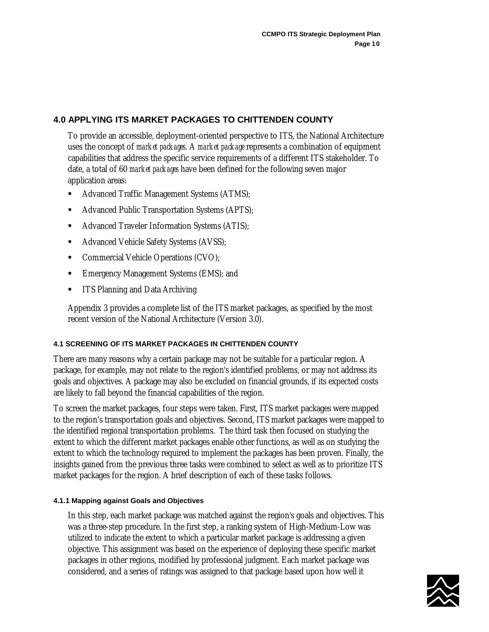# <span id="page-23-0"></span>**4.0 APPLYING ITS MARKET PACKAGES TO CHITTENDEN COUNTY**

To provide an accessible, deployment-oriented perspective to ITS, the National Architecture uses the concept of *market packages*. A *market package* represents a combination of equipment capabilities that address the specific service requirements of a different ITS stakeholder. To date, a total of 60 *market packages* have been defined for the following seven major application areas:

- Advanced Traffic Management Systems (ATMS);
- Advanced Public Transportation Systems (APTS);
- Advanced Traveler Information Systems (ATIS);
- **Advanced Vehicle Safety Systems (AVSS);**
- Commercial Vehicle Operations (CVO);
- **EME.** Emergency Management Systems (EMS); and
- ITS Planning and Data Archiving

Appendix 3 provides a complete list of the ITS market packages, as specified by the most recent version of the National Architecture (Version 3.0).

## **4.1 SCREENING OF ITS MARKET PACKAGES IN CHITTENDEN COUNTY**

There are many reasons why a certain package may not be suitable for a particular region. A package, for example, may not relate to the region's identified problems, or may not address its goals and objectives. A package may also be excluded on financial grounds, if its expected costs are likely to fall beyond the financial capabilities of the region.

To screen the market packages, four steps were taken. First, ITS market packages were mapped to the region's transportation goals and objectives. Second, ITS market packages were mapped to the identified regional transportation problems. The third task then focused on studying the extent to which the different market packages enable other functions, as well as on studying the extent to which the technology required to implement the packages has been proven. Finally, the insights gained from the previous three tasks were combined to select as well as to prioritize ITS market packages for the region. A brief description of each of these tasks follows.

## **4.1.1 Mapping against Goals and Objectives**

In this step, each market package was matched against the region's goals and objectives. This was a three-step procedure. In the first step, a ranking system of High-Medium-Low was utilized to indicate the extent to which a particular market package is addressing a given objective. This assignment was based on the experience of deploying these specific market packages in other regions, modified by professional judgment. Each market package was considered, and a series of ratings was assigned to that package based upon how well it

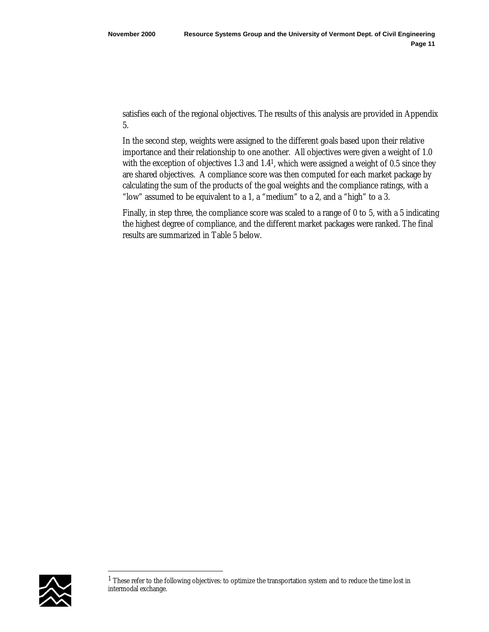satisfies each of the regional objectives. The results of this analysis are provided in Appendix 5.

In the second step, weights were assigned to the different goals based upon their relative importance and their relationship to one another. All objectives were given a weight of 1.0 with the exception of objectives 1.3 and  $1.4<sup>1</sup>$ , which were assigned a weight of 0.5 since they are shared objectives. A compliance score was then computed for each market package by calculating the sum of the products of the goal weights and the compliance ratings, with a "low" assumed to be equivalent to a 1, a "medium" to a 2, and a "high" to a 3.

Finally, in step three, the compliance score was scaled to a range of 0 to 5, with a 5 indicating the highest degree of compliance, and the different market packages were ranked. The final results are summarized in Table 5 below.



 $\overline{a}$ 

<sup>&</sup>lt;sup>1</sup> These refer to the following objectives: to optimize the transportation system and to reduce the time lost in intermodal exchange.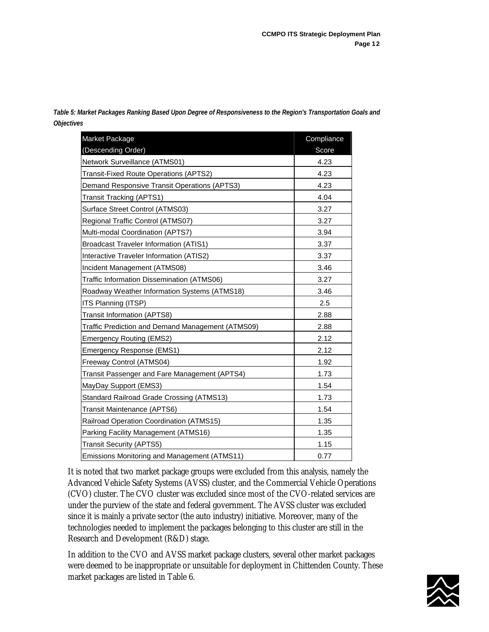| Market Package                                    | Compliance |
|---------------------------------------------------|------------|
| (Descending Order)                                | Score      |
| Network Surveillance (ATMS01)                     | 4.23       |
| Transit-Fixed Route Operations (APTS2)            | 4.23       |
| Demand Responsive Transit Operations (APTS3)      | 4.23       |
| <b>Transit Tracking (APTS1)</b>                   | 4.04       |
| Surface Street Control (ATMS03)                   | 3.27       |
| Regional Traffic Control (ATMS07)                 | 3.27       |
| Multi-modal Coordination (APTS7)                  | 3.94       |
| <b>Broadcast Traveler Information (ATIS1)</b>     | 3.37       |
| Interactive Traveler Information (ATIS2)          | 3.37       |
| Incident Management (ATMS08)                      | 3.46       |
| Traffic Information Dissemination (ATMS06)        | 3.27       |
| Roadway Weather Information Systems (ATMS18)      | 3.46       |
| ITS Planning (ITSP)                               | 2.5        |
| <b>Transit Information (APTS8)</b>                | 2.88       |
| Traffic Prediction and Demand Management (ATMS09) | 2.88       |
| <b>Emergency Routing (EMS2)</b>                   | 2.12       |
| Emergency Response (EMS1)                         | 2.12       |
| Freeway Control (ATMS04)                          | 1.92       |
| Transit Passenger and Fare Management (APTS4)     | 1.73       |
| MayDay Support (EMS3)                             | 1.54       |
| Standard Railroad Grade Crossing (ATMS13)         | 1.73       |
| Transit Maintenance (APTS6)                       | 1.54       |
| Railroad Operation Coordination (ATMS15)          | 1.35       |
| Parking Facility Management (ATMS16)              | 1.35       |
| <b>Transit Security (APTS5)</b>                   | 1.15       |
| Emissions Monitoring and Management (ATMS11)      | 0.77       |

<span id="page-25-0"></span>*Table 5: Market Packages Ranking Based Upon Degree of Responsiveness to the Region's Transportation Goals and Objectives*

It is noted that two market package groups were excluded from this analysis, namely the Advanced Vehicle Safety Systems (AVSS) cluster, and the Commercial Vehicle Operations (CVO) cluster. The CVO cluster was excluded since most of the CVO-related services are under the purview of the state and federal government. The AVSS cluster was excluded since it is mainly a private sector (the auto industry) initiative. Moreover, many of the technologies needed to implement the packages belonging to this cluster are still in the Research and Development (R&D) stage.

In addition to the CVO and AVSS market package clusters, several other market packages were deemed to be inappropriate or unsuitable for deployment in Chittenden County. These market packages are listed in Table 6.

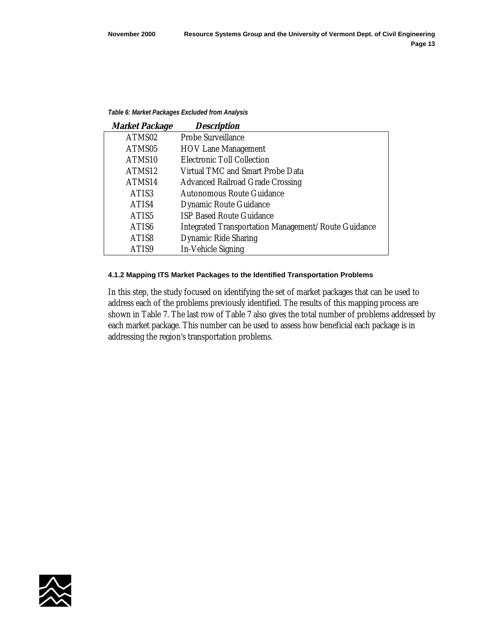#### <span id="page-26-0"></span>*Table 6: Market Packages Excluded from Analysis*

| <b>Market Package</b> | <b>Description</b>                                  |
|-----------------------|-----------------------------------------------------|
| ATMS02                | <b>Probe Surveillance</b>                           |
| ATMS05                | <b>HOV Lane Management</b>                          |
| ATMS10                | <b>Electronic Toll Collection</b>                   |
| ATMS12                | <b>Virtual TMC and Smart Probe Data</b>             |
| ATMS14                | <b>Advanced Railroad Grade Crossing</b>             |
| ATIS3                 | <b>Autonomous Route Guidance</b>                    |
| ATIS4                 | <b>Dynamic Route Guidance</b>                       |
| ATIS5                 | <b>ISP Based Route Guidance</b>                     |
| ATIS <sub>6</sub>     | Integrated Transportation Management/Route Guidance |
| ATIS8                 | <b>Dynamic Ride Sharing</b>                         |
| ATIS9                 | <b>In-Vehicle Signing</b>                           |

#### **4.1.2 Mapping ITS Market Packages to the Identified Transportation Problems**

In this step, the study focused on identifying the set of market packages that can be used to address each of the problems previously identified. The results of this mapping process are shown in Table 7. The last row of Table 7 also gives the total number of problems addressed by each market package. This number can be used to assess how beneficial each package is in addressing the region's transportation problems.

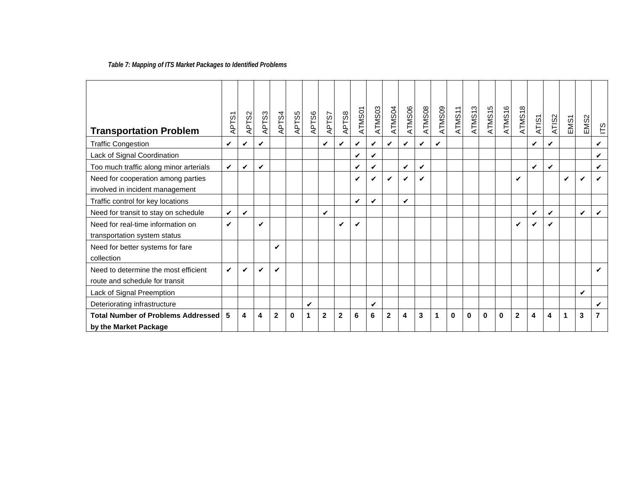## *Table 7: Mapping of ITS Market Packages to Identified Problems*

<span id="page-27-0"></span>

| <b>Transportation Problem</b>             | APTS1 | APTS2 | APTS3        | APTS4          | APTS5    | APTS6 | APTS7              | APTS8        | ATMS01 | ATMS03 | ATMS04       | ATMS06 | ATMS08             | ATMS09 | ATMS11   | ATMS <sub>13</sub> | ATMS <sub>15</sub> | ATMS16   | ATMS <sub>18</sub> | ATIS1        | ATIS2 | EMS1 | EMS <sub>2</sub>   | ΕĞ |
|-------------------------------------------|-------|-------|--------------|----------------|----------|-------|--------------------|--------------|--------|--------|--------------|--------|--------------------|--------|----------|--------------------|--------------------|----------|--------------------|--------------|-------|------|--------------------|----|
| <b>Traffic Congestion</b>                 | ✓     | ✔     | V            |                |          |       | $\boldsymbol{\nu}$ | V            | V      | V      | ✓            | ✔      | $\boldsymbol{\nu}$ | ✓      |          |                    |                    |          |                    | ✓            | ✔     |      |                    | ✔  |
| Lack of Signal Coordination               |       |       |              |                |          |       |                    |              | ✔      | V      |              |        |                    |        |          |                    |                    |          |                    |              |       |      |                    | ✓  |
| Too much traffic along minor arterials    | V     | ✓     | $\mathbf{v}$ |                |          |       |                    |              | V      | V      |              | ✓      | $\checkmark$       |        |          |                    |                    |          |                    | $\checkmark$ | V     |      |                    | ✓  |
| Need for cooperation among parties        |       |       |              |                |          |       |                    |              | V      | V      | ✓            |        | $\boldsymbol{\nu}$ |        |          |                    |                    |          | V                  |              |       | ✓    | ✓                  |    |
| involved in incident management           |       |       |              |                |          |       |                    |              |        |        |              |        |                    |        |          |                    |                    |          |                    |              |       |      |                    |    |
| Traffic control for key locations         |       |       |              |                |          |       |                    |              | ✓      | V      |              | ✓      |                    |        |          |                    |                    |          |                    |              |       |      |                    |    |
| Need for transit to stay on schedule      | V     | ✓     |              |                |          |       | V                  |              |        |        |              |        |                    |        |          |                    |                    |          |                    | $\checkmark$ | V     |      | $\mathbf{v}$       | ✓  |
| Need for real-time information on         | ✓     |       | ✓            |                |          |       |                    | ✔            | ✔      |        |              |        |                    |        |          |                    |                    |          | ✓                  | ✓            | ✔     |      |                    |    |
| transportation system status              |       |       |              |                |          |       |                    |              |        |        |              |        |                    |        |          |                    |                    |          |                    |              |       |      |                    |    |
| Need for better systems for fare          |       |       |              | V              |          |       |                    |              |        |        |              |        |                    |        |          |                    |                    |          |                    |              |       |      |                    |    |
| collection                                |       |       |              |                |          |       |                    |              |        |        |              |        |                    |        |          |                    |                    |          |                    |              |       |      |                    |    |
| Need to determine the most efficient      | ✓     | ✓     | ✓            | V              |          |       |                    |              |        |        |              |        |                    |        |          |                    |                    |          |                    |              |       |      |                    | ✔  |
| route and schedule for transit            |       |       |              |                |          |       |                    |              |        |        |              |        |                    |        |          |                    |                    |          |                    |              |       |      |                    |    |
| Lack of Signal Preemption                 |       |       |              |                |          |       |                    |              |        |        |              |        |                    |        |          |                    |                    |          |                    |              |       |      | $\boldsymbol{\nu}$ |    |
| Deteriorating infrastructure              |       |       |              |                |          | ✓     |                    |              |        | ✔      |              |        |                    |        |          |                    |                    |          |                    |              |       |      |                    | v  |
| <b>Total Number of Problems Addressed</b> | 5     | 4     | 4            | $\overline{2}$ | $\bf{0}$ | 1     | $\mathbf 2$        | $\mathbf{2}$ | 6      | 6      | $\mathbf{2}$ | 4      | 3                  | 1      | $\bf{0}$ | $\bf{0}$           | 0                  | $\bf{0}$ | $\overline{2}$     | 4            | 4     | 1    | 3                  | 7  |
| by the Market Package                     |       |       |              |                |          |       |                    |              |        |        |              |        |                    |        |          |                    |                    |          |                    |              |       |      |                    |    |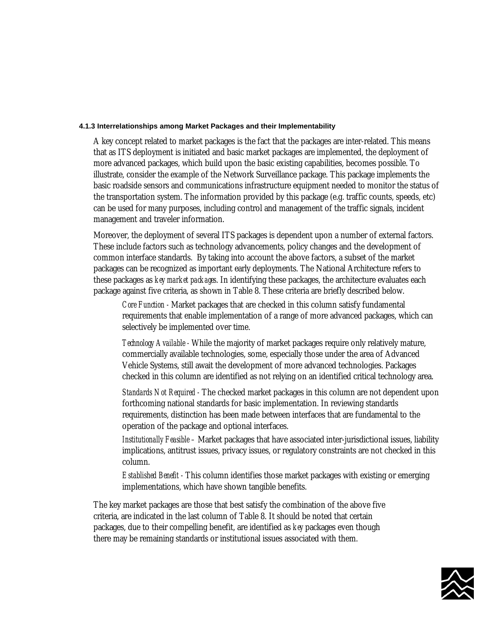#### **4.1.3 Interrelationships among Market Packages and their Implementability**

A key concept related to market packages is the fact that the packages are inter-related. This means that as ITS deployment is initiated and basic market packages are implemented, the deployment of more advanced packages, which build upon the basic existing capabilities, becomes possible. To illustrate, consider the example of the Network Surveillance package. This package implements the basic roadside sensors and communications infrastructure equipment needed to monitor the status of the transportation system. The information provided by this package (e.g. traffic counts, speeds, etc) can be used for many purposes, including control and management of the traffic signals, incident management and traveler information.

Moreover, the deployment of several ITS packages is dependent upon a number of external factors. These include factors such as technology advancements, policy changes and the development of common interface standards. By taking into account the above factors, a subset of the market packages can be recognized as important early deployments. The National Architecture refers to these packages as *key market packages*. In identifying these packages, the architecture evaluates each package against five criteria, as shown in Table 8. These criteria are briefly described below.

 *Core Function -* Market packages that are checked in this column satisfy fundamental requirements that enable implementation of a range of more advanced packages, which can selectively be implemented over time.

 *Technology Available -* While the majority of market packages require only relatively mature, commercially available technologies, some, especially those under the area of Advanced Vehicle Systems, still await the development of more advanced technologies. Packages checked in this column are identified as not relying on an identified critical technology area.

 *Standards Not Required -* The checked market packages in this column are not dependent upon forthcoming national standards for basic implementation. In reviewing standards requirements, distinction has been made between interfaces that are fundamental to the operation of the package and optional interfaces.

 *Institutionally Feasible –* Market packages that have associated inter-jurisdictional issues, liability implications, antitrust issues, privacy issues, or regulatory constraints are not checked in this column.

 *Established Benefit -* This column identifies those market packages with existing or emerging implementations, which have shown tangible benefits.

The key market packages are those that best satisfy the combination of the above five criteria, are indicated in the last column of Table 8. It should be noted that certain packages, due to their compelling benefit, are identified as *key* packages even though there may be remaining standards or institutional issues associated with them.

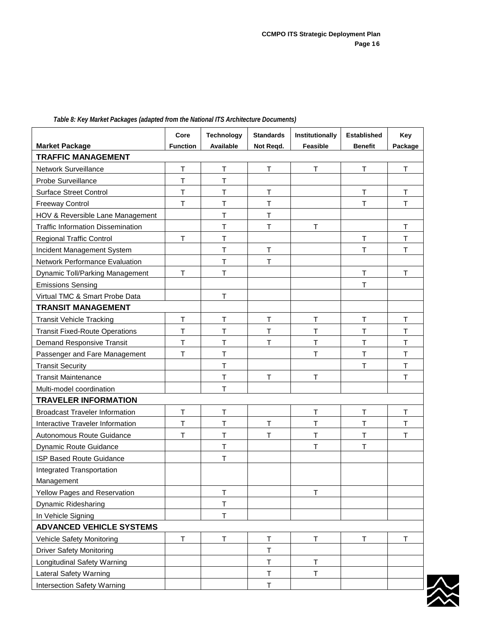|                                          | Core            | <b>Technology</b> | <b>Standards</b> | Institutionally | <b>Established</b> | Key         |
|------------------------------------------|-----------------|-------------------|------------------|-----------------|--------------------|-------------|
| <b>Market Package</b>                    | <b>Function</b> | Available         | Not Reqd.        | Feasible        | <b>Benefit</b>     | Package     |
| <b>TRAFFIC MANAGEMENT</b>                |                 |                   |                  |                 |                    |             |
| Network Surveillance                     | $\mathsf{T}$    | $\top$            | T                | T               | T                  | T           |
| Probe Surveillance                       | T               | $\mathsf T$       |                  |                 |                    |             |
| <b>Surface Street Control</b>            | T               | $\top$            | T                |                 | T                  | T           |
| <b>Freeway Control</b>                   | T               | $\top$            | T                |                 | T                  | T.          |
| HOV & Reversible Lane Management         |                 | Τ                 | T                |                 |                    |             |
| <b>Traffic Information Dissemination</b> |                 | $\mathsf T$       | T                | T               |                    | T           |
| <b>Regional Traffic Control</b>          | $\top$          | $\mathsf T$       |                  |                 | $\mathsf T$        | $\mathsf T$ |
| Incident Management System               |                 | $\top$            | T                |                 | T                  | T           |
| Network Performance Evaluation           |                 | $\top$            | T                |                 |                    |             |
| Dynamic Toll/Parking Management          | $\top$          | Τ                 |                  |                 | T                  | т           |
| <b>Emissions Sensing</b>                 |                 |                   |                  |                 | T                  |             |
| Virtual TMC & Smart Probe Data           |                 | $\mathsf T$       |                  |                 |                    |             |
| <b>TRANSIT MANAGEMENT</b>                |                 |                   |                  |                 |                    |             |
| <b>Transit Vehicle Tracking</b>          | T               | $\mathsf T$       | T                | T               | $\mathsf T$        | T           |
| <b>Transit Fixed-Route Operations</b>    | Τ               | $\mathsf T$       | Τ                | Τ               | Τ                  | Τ           |
| Demand Responsive Transit                | T               | $\mathsf T$       | T                | T               | T                  | T           |
| Passenger and Fare Management            | Τ               | $\top$            |                  | T               | T                  | T           |
| <b>Transit Security</b>                  |                 | $\top$            |                  |                 | Τ                  | T           |
| <b>Transit Maintenance</b>               |                 | $\mathsf T$       | T                | T               |                    | T.          |
| Multi-model coordination                 |                 | $\mathsf T$       |                  |                 |                    |             |
| <b>TRAVELER INFORMATION</b>              |                 |                   |                  |                 |                    |             |
| <b>Broadcast Traveler Information</b>    | $\mathsf T$     | $\sf T$           |                  | T               | T                  | T           |
| Interactive Traveler Information         | Τ               | $\top$            | Т                | Τ               | $\top$             | T           |
| Autonomous Route Guidance                | $\top$          | $\top$            | T                | $\top$          | $\top$             | T           |
| Dynamic Route Guidance                   |                 | $\mathsf T$       |                  | T               | T                  |             |
| <b>ISP Based Route Guidance</b>          |                 | $\mathsf T$       |                  |                 |                    |             |
| Integrated Transportation                |                 |                   |                  |                 |                    |             |
| Management                               |                 |                   |                  |                 |                    |             |
| Yellow Pages and Reservation             |                 | $\top$            |                  | $\top$          |                    |             |
| <b>Dynamic Ridesharing</b>               |                 | $\sf T$           |                  |                 |                    |             |
| In Vehicle Signing                       |                 | $\top$            |                  |                 |                    |             |
| <b>ADVANCED VEHICLE SYSTEMS</b>          |                 |                   |                  |                 |                    |             |
| Vehicle Safety Monitoring                | T               | $\top$            | Т                | $\top$          | Τ                  | T           |
| <b>Driver Safety Monitoring</b>          |                 |                   | T                |                 |                    |             |
| Longitudinal Safety Warning              |                 |                   | $\mathsf T$      | $\sf T$         |                    |             |
| <b>Lateral Safety Warning</b>            |                 |                   | T                | $\top$          |                    |             |
| Intersection Safety Warning              |                 |                   | T                |                 |                    |             |

#### <span id="page-29-0"></span>*Table 8: Key Market Packages (adapted from the National ITS Architecture Documents)*

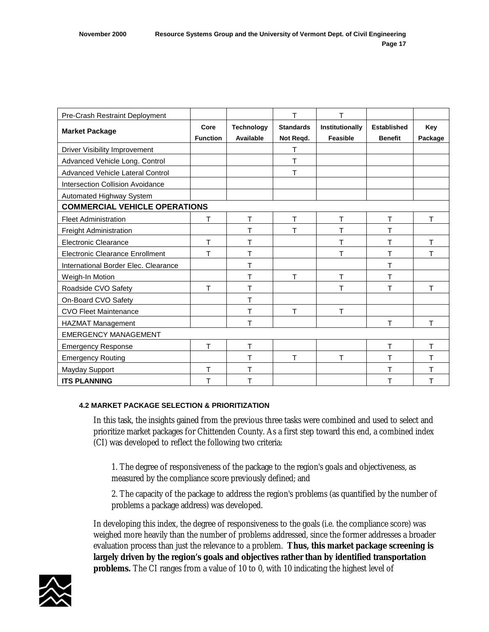<span id="page-30-0"></span>

| Pre-Crash Restraint Deployment          |                 |                   | T                | T               |                    |         |
|-----------------------------------------|-----------------|-------------------|------------------|-----------------|--------------------|---------|
| <b>Market Package</b>                   | Core            | <b>Technology</b> | <b>Standards</b> | Institutionally | <b>Established</b> | Key     |
|                                         | <b>Function</b> | Available         | Not Regd.        | <b>Feasible</b> | <b>Benefit</b>     | Package |
| Driver Visibility Improvement           |                 |                   | т                |                 |                    |         |
| Advanced Vehicle Long. Control          |                 |                   | T                |                 |                    |         |
| Advanced Vehicle Lateral Control        |                 |                   | T                |                 |                    |         |
| <b>Intersection Collision Avoidance</b> |                 |                   |                  |                 |                    |         |
| <b>Automated Highway System</b>         |                 |                   |                  |                 |                    |         |
| <b>COMMERCIAL VEHICLE OPERATIONS</b>    |                 |                   |                  |                 |                    |         |
| <b>Fleet Administration</b>             | т               | Τ                 | T                | T               | T                  | T       |
| <b>Freight Administration</b>           |                 | T                 | T                | T               | т                  |         |
| <b>Electronic Clearance</b>             | T.              | T                 |                  | T               | т                  | T.      |
| <b>Electronic Clearance Enrollment</b>  | Т               | Т                 |                  | T               | T                  | т       |
| International Border Elec. Clearance    |                 | Τ                 |                  |                 | Τ                  |         |
| Weigh-In Motion                         |                 | т                 | т                | Τ               | т                  |         |
| Roadside CVO Safety                     | т               | Τ                 |                  | Т               | т                  | T.      |
| On-Board CVO Safety                     |                 | т                 |                  |                 |                    |         |
| <b>CVO Fleet Maintenance</b>            |                 | Τ                 | T                | T.              |                    |         |
| <b>HAZMAT Management</b>                |                 | т                 |                  |                 | T                  | T.      |
| <b>EMERGENCY MANAGEMENT</b>             |                 |                   |                  |                 |                    |         |
| <b>Emergency Response</b>               | т               | T.                |                  |                 | T                  | T.      |
| <b>Emergency Routing</b>                |                 | T                 | T                | $\mathsf{T}$    | т                  | т       |
| Mayday Support                          | T               | Τ                 |                  |                 | Τ                  | т       |
| <b>ITS PLANNING</b>                     | т               | T                 |                  |                 | Τ                  | T       |

## **4.2 MARKET PACKAGE SELECTION & PRIORITIZATION**

In this task, the insights gained from the previous three tasks were combined and used to select and prioritize market packages for Chittenden County. As a first step toward this end, a combined index (CI) was developed to reflect the following two criteria:

1. The degree of responsiveness of the package to the region's goals and objectiveness, as measured by the compliance score previously defined; and

2. The capacity of the package to address the region's problems (as quantified by the number of problems a package address) was developed.

In developing this index, the degree of responsiveness to the goals (i.e. the compliance score) was weighed more heavily than the number of problems addressed, since the former addresses a broader evaluation process than just the relevance to a problem. **Thus, this market package screening is largely driven by the region's goals and objectives rather than by identified transportation problems.** The CI ranges from a value of 10 to 0, with 10 indicating the highest level of

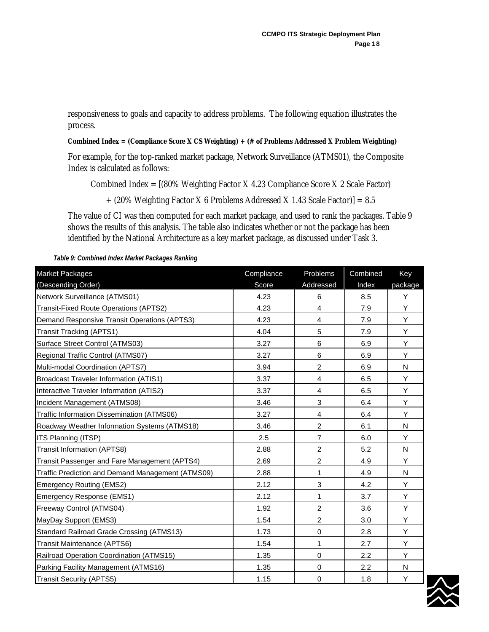<span id="page-31-0"></span>responsiveness to goals and capacity to address problems. The following equation illustrates the process.

**Combined Index = (Compliance Score X CS Weighting) + (# of Problems Addressed X Problem Weighting)** 

For example, for the top-ranked market package, Network Surveillance (ATMS01), the Composite Index is calculated as follows:

Combined Index = [(80% Weighting Factor X 4.23 Compliance Score X 2 Scale Factor)

 $+$  (20% Weighting Factor X 6 Problems Addressed X 1.43 Scale Factor)] = 8.5

The value of CI was then computed for each market package, and used to rank the packages. Table 9 shows the results of this analysis. The table also indicates whether or not the package has been identified by the National Architecture as a key market package, as discussed under Task 3.

Market Packages (Descending Order) **Compliance** Score Problems Addressed Combined Index Key package Network Surveillance (ATMS01) 4.23 6 8.5 Y Transit-Fixed Route Operations (APTS2) 4.23 4 7.9 Y Demand Responsive Transit Operations (APTS3)  $\begin{array}{|c|c|c|c|c|c|c|c|} \hline \end{array}$  4.23  $\begin{array}{|c|c|c|c|c|c|c|c|} \hline \end{array}$  4 7.9  $\begin{array}{|c|c|c|c|c|c|c|c|c|} \hline \end{array}$  Y Transit Tracking (APTS1) 4.04 5 7.9 Y Surface Street Control (ATMS03) 3.27 6 6.9 Y Regional Traffic Control (ATMS07) 3.27 6 6.9 Y Multi-modal Coordination (APTS7) 3.94 2 6.9 N Broadcast Traveler Information (ATIS1) 3.37 4 6.5 Y Interactive Traveler Information (ATIS2) 3.37 4 6.5 Y Incident Management (ATMS08) 3.46 3. 6.4 Y Traffic Information Dissemination (ATMS06) 3.27 4 6.4 Y Roadway Weather Information Systems (ATMS18) | 3.46 | 2 | 6.1 | N ITS Planning (ITSP) 2.5 7 6.0 Y Transit Information (APTS8) 2.88 2 5.2 N Transit Passenger and Fare Management (APTS4) 2.69 2 4.9 Y Traffic Prediction and Demand Management (ATMS09) 2.88 1 4.9 N Emergency Routing (EMS2) 2.12 3 4.2 Y Emergency Response (EMS1) 1 1 3.7 Y Freeway Control (ATMS04) 1.92 2 3.6 Y MayDay Support (EMS3) 1.54 2 3.0 Y Standard Railroad Grade Crossing (ATMS13) 1.73 0 2.8 Y Transit Maintenance (APTS6) 1.54 1 2.7 Y Railroad Operation Coordination (ATMS15) 1.35 0 2.2 Y Parking Facility Management (ATMS16) 1.35 0 2.2 N Transit Security (APTS5) 1.15 | 0 | 1.8 Y

*Table 9: Combined Index Market Packages Ranking* 

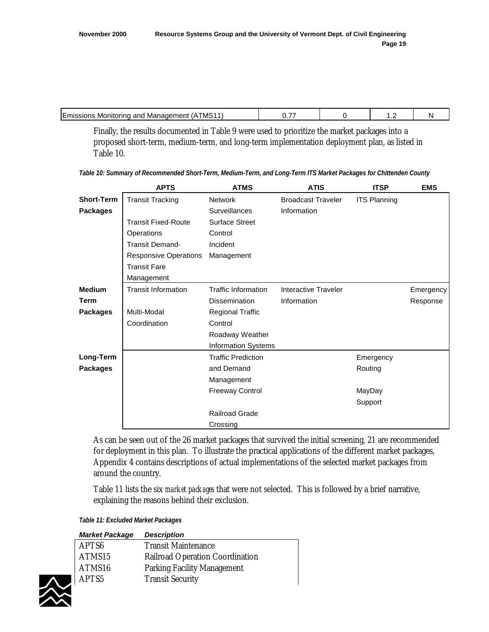<span id="page-32-0"></span>

| TMS11<br>_<br>Management<br><b>ILMISSIONS</b><br>Monitoring and | -- | . |  |
|-----------------------------------------------------------------|----|---|--|
|                                                                 |    |   |  |

Finally, the results documented in Table 9 were used to prioritize the market packages into a proposed short-term, medium-term, and long-term implementation deployment plan, as listed in Table 10.

|                   | <b>APTS</b>                  | <b>ATMS</b>                | <b>ATIS</b>               | <b>ITSP</b>         | <b>EMS</b> |
|-------------------|------------------------------|----------------------------|---------------------------|---------------------|------------|
| <b>Short-Term</b> | <b>Transit Tracking</b>      | <b>Network</b>             | <b>Broadcast Traveler</b> | <b>ITS Planning</b> |            |
| <b>Packages</b>   |                              | <b>Surveillances</b>       | Information               |                     |            |
|                   | <b>Transit Fixed-Route</b>   | <b>Surface Street</b>      |                           |                     |            |
|                   | Operations                   | Control                    |                           |                     |            |
|                   | <b>Transit Demand-</b>       | Incident                   |                           |                     |            |
|                   | <b>Responsive Operations</b> | Management                 |                           |                     |            |
|                   | <b>Transit Fare</b>          |                            |                           |                     |            |
|                   | Management                   |                            |                           |                     |            |
| <b>Medium</b>     | <b>Transit Information</b>   | <b>Traffic Information</b> | Interactive Traveler      |                     | Emergency  |
| <b>Term</b>       |                              | <b>Dissemination</b>       | Information               |                     | Response   |
| <b>Packages</b>   | Multi-Modal                  | <b>Regional Traffic</b>    |                           |                     |            |
|                   | Coordination                 | Control                    |                           |                     |            |
|                   |                              | Roadway Weather            |                           |                     |            |
|                   |                              | <b>Information Systems</b> |                           |                     |            |
| Long-Term         |                              | <b>Traffic Prediction</b>  |                           | Emergency           |            |
| <b>Packages</b>   |                              | and Demand                 |                           | Routing             |            |
|                   |                              | Management                 |                           |                     |            |
|                   |                              | <b>Freeway Control</b>     |                           | MayDay              |            |
|                   |                              |                            |                           | Support             |            |
|                   |                              | <b>Railroad Grade</b>      |                           |                     |            |
|                   |                              | Crossing                   |                           |                     |            |

*Table 10: Summary of Recommended Short-Term, Medium-Term, and Long-Term ITS Market Packages for Chittenden County* 

As can be seen out of the 26 market packages that survived the initial screening, 21 are recommended for deployment in this plan. To illustrate the practical applications of the different market packages, Appendix 4 contains descriptions of actual implementations of the selected market packages from around the country.

Table 11 lists the six *market packages* that were not selected. This is followed by a brief narrative, explaining the reasons behind their exclusion.

*Table 11: Excluded Market Packages* 

| <b>Market Package</b> | <b>Description</b>                     |
|-----------------------|----------------------------------------|
| APTS <sub>6</sub>     | <b>Transit Maintenance</b>             |
| ATMS15                | <b>Railroad Operation Coordination</b> |
| ATMS16                | <b>Parking Facility Management</b>     |
| APTS <sub>5</sub>     | <b>Transit Security</b>                |

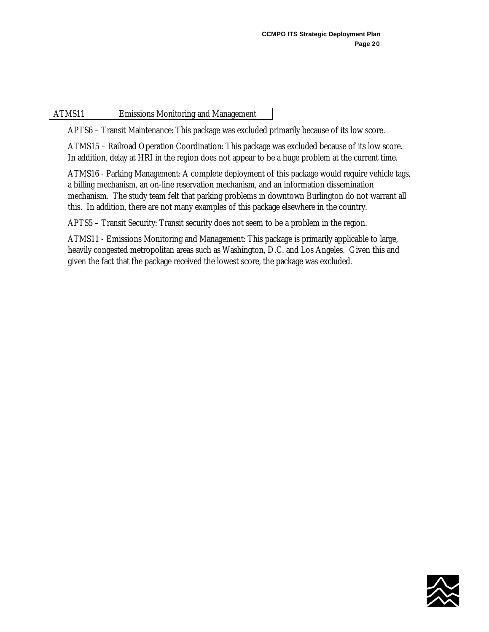ATMS11 Emissions Monitoring and Management

APTS6 – Transit Maintenance: This package was excluded primarily because of its low score.

ATMS15 – Railroad Operation Coordination: This package was excluded because of its low score. In addition, delay at HRI in the region does not appear to be a huge problem at the current time.

ATMS16 - Parking Management: A complete deployment of this package would require vehicle tags, a billing mechanism, an on-line reservation mechanism, and an information dissemination mechanism. The study team felt that parking problems in downtown Burlington do not warrant all this. In addition, there are not many examples of this package elsewhere in the country.

APTS5 – Transit Security: Transit security does not seem to be a problem in the region.

ATMS11 - Emissions Monitoring and Management: This package is primarily applicable to large, heavily congested metropolitan areas such as Washington, D.C. and Los Angeles. Given this and given the fact that the package received the lowest score, the package was excluded.

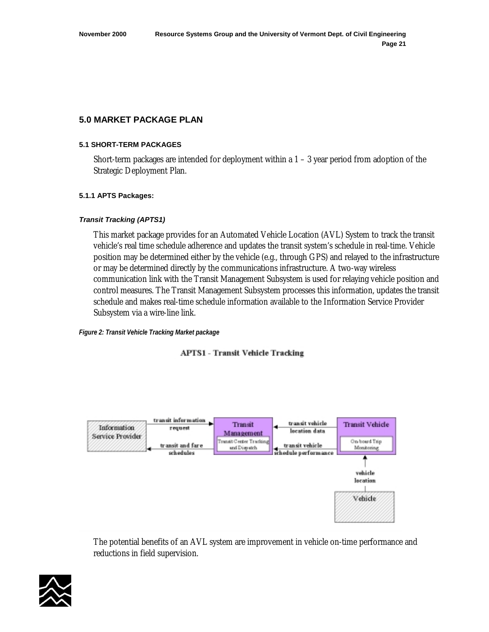## <span id="page-34-0"></span>**5.0 MARKET PACKAGE PLAN**

#### **5.1 SHORT-TERM PACKAGES**

Short-term packages are intended for deployment within a  $1 - 3$  year period from adoption of the Strategic Deployment Plan.

## **5.1.1 APTS Packages:**

## *Transit Tracking (APTS1)*

This market package provides for an Automated Vehicle Location (AVL) System to track the transit vehicle's real time schedule adherence and updates the transit system's schedule in real-time. Vehicle position may be determined either by the vehicle (e.g., through GPS) and relayed to the infrastructure or may be determined directly by the communications infrastructure. A two-way wireless communication link with the Transit Management Subsystem is used for relaying vehicle position and control measures. The Transit Management Subsystem processes this information, updates the transit schedule and makes real-time schedule information available to the Information Service Provider Subsystem via a wire-line link.

*Figure 2: Transit Vehicle Tracking Market package* 

**APTS1 - Transit Vehicle Tracking** 



The potential benefits of an AVL system are improvement in vehicle on-time performance and reductions in field supervision.

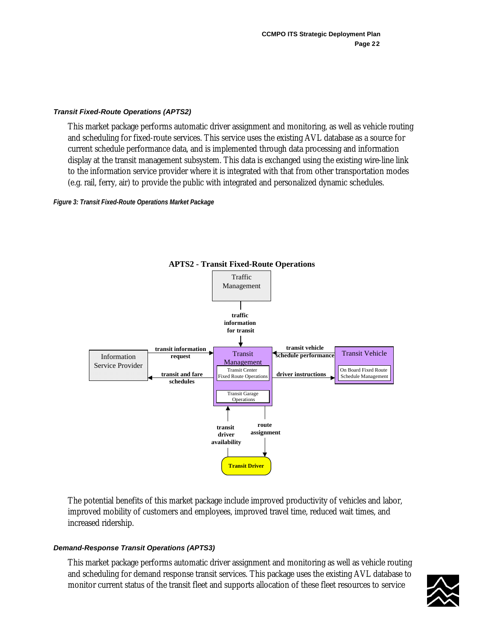#### <span id="page-35-0"></span>*Transit Fixed-Route Operations (APTS2)*

This market package performs automatic driver assignment and monitoring, as well as vehicle routing and scheduling for fixed-route services. This service uses the existing AVL database as a source for current schedule performance data, and is implemented through data processing and information display at the transit management subsystem. This data is exchanged using the existing wire-line link to the information service provider where it is integrated with that from other transportation modes (e.g. rail, ferry, air) to provide the public with integrated and personalized dynamic schedules.

*Figure 3: Transit Fixed-Route Operations Market Package* 



**APTS2 - Transit Fixed-Route Operations**

The potential benefits of this market package include improved productivity of vehicles and labor, improved mobility of customers and employees, improved travel time, reduced wait times, and increased ridership.

## *Demand-Response Transit Operations (APTS3)*

This market package performs automatic driver assignment and monitoring as well as vehicle routing and scheduling for demand response transit services. This package uses the existing AVL database to monitor current status of the transit fleet and supports allocation of these fleet resources to service

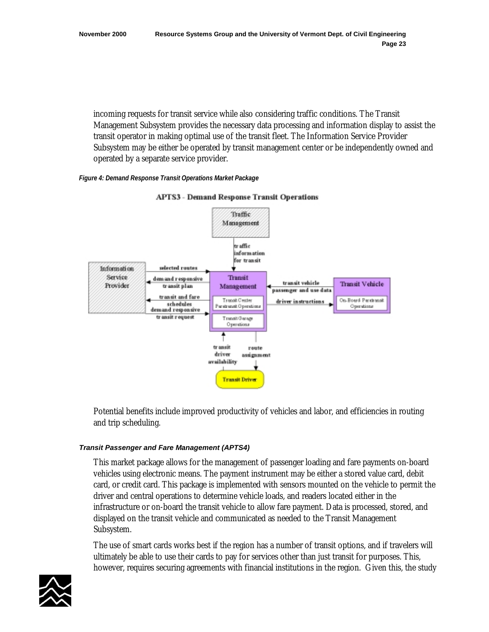incoming requests for transit service while also considering traffic conditions. The Transit Management Subsystem provides the necessary data processing and information display to assist the transit operator in making optimal use of the transit fleet. The Information Service Provider Subsystem may be either be operated by transit management center or be independently owned and operated by a separate service provider.

# *Figure 4: Demand Response Transit Operations Market Package*



**APTS3 - Demand Response Transit Operations** 

Potential benefits include improved productivity of vehicles and labor, and efficiencies in routing and trip scheduling.

# *Transit Passenger and Fare Management (APTS4)*

This market package allows for the management of passenger loading and fare payments on-board vehicles using electronic means. The payment instrument may be either a stored value card, debit card, or credit card. This package is implemented with sensors mounted on the vehicle to permit the driver and central operations to determine vehicle loads, and readers located either in the infrastructure or on-board the transit vehicle to allow fare payment. Data is processed, stored, and displayed on the transit vehicle and communicated as needed to the Transit Management Subsystem.

The use of smart cards works best if the region has a number of transit options, and if travelers will ultimately be able to use their cards to pay for services other than just transit for purposes. This, however, requires securing agreements with financial institutions in the region. Given this, the study

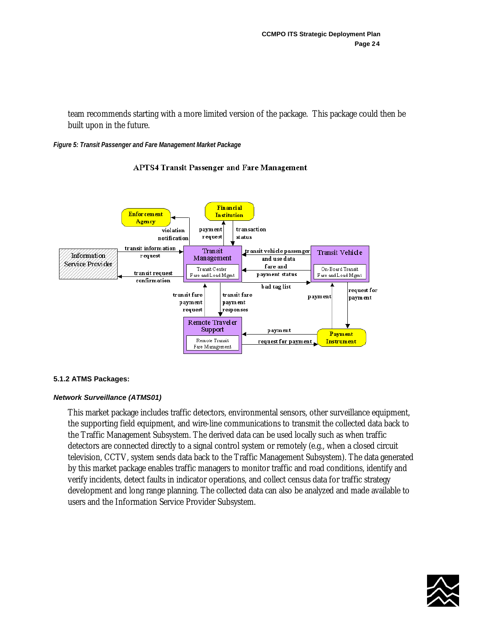team recommends starting with a more limited version of the package. This package could then be built upon in the future.

#### *Figure 5: Transit Passenger and Fare Management Market Package*



## **APTS4 Transit Passenger and Fare Management**

## **5.1.2 ATMS Packages:**

## *Network Surveillance (ATMS01)*

This market package includes traffic detectors, environmental sensors, other surveillance equipment, the supporting field equipment, and wire-line communications to transmit the collected data back to the Traffic Management Subsystem. The derived data can be used locally such as when traffic detectors are connected directly to a signal control system or remotely (e.g., when a closed circuit television, CCTV, system sends data back to the Traffic Management Subsystem). The data generated by this market package enables traffic managers to monitor traffic and road conditions, identify and verify incidents, detect faults in indicator operations, and collect census data for traffic strategy development and long range planning. The collected data can also be analyzed and made available to users and the Information Service Provider Subsystem.

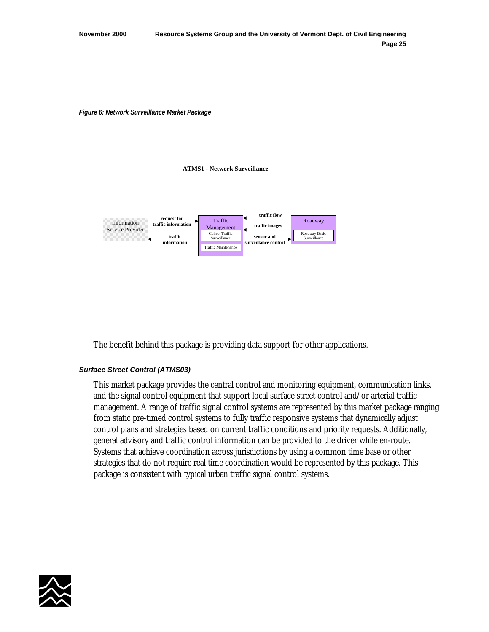*Figure 6: Network Surveillance Market Package* 

**ATMS1 - Network Surveillance**



The benefit behind this package is providing data support for other applications.

## *Surface Street Control (ATMS03)*

This market package provides the central control and monitoring equipment, communication links, and the signal control equipment that support local surface street control and/or arterial traffic management. A range of traffic signal control systems are represented by this market package ranging from static pre-timed control systems to fully traffic responsive systems that dynamically adjust control plans and strategies based on current traffic conditions and priority requests. Additionally, general advisory and traffic control information can be provided to the driver while en-route. Systems that achieve coordination across jurisdictions by using a common time base or other strategies that do not require real time coordination would be represented by this package. This package is consistent with typical urban traffic signal control systems.

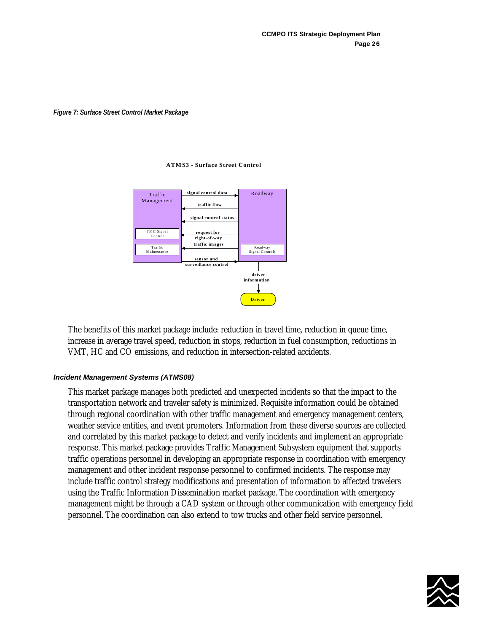#### *Figure 7: Surface Street Control Market Package*

#### **ATMS3 - Surface Street Control**



The benefits of this market package include: reduction in travel time, reduction in queue time, increase in average travel speed, reduction in stops, reduction in fuel consumption, reductions in VMT, HC and CO emissions, and reduction in intersection-related accidents.

## *Incident Management Systems (ATMS08)*

This market package manages both predicted and unexpected incidents so that the impact to the transportation network and traveler safety is minimized. Requisite information could be obtained through regional coordination with other traffic management and emergency management centers, weather service entities, and event promoters. Information from these diverse sources are collected and correlated by this market package to detect and verify incidents and implement an appropriate response. This market package provides Traffic Management Subsystem equipment that supports traffic operations personnel in developing an appropriate response in coordination with emergency management and other incident response personnel to confirmed incidents. The response may include traffic control strategy modifications and presentation of information to affected travelers using the Traffic Information Dissemination market package. The coordination with emergency management might be through a CAD system or through other communication with emergency field personnel. The coordination can also extend to tow trucks and other field service personnel.

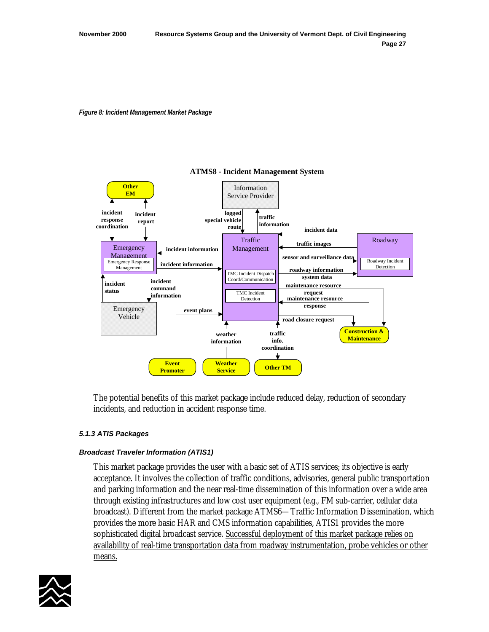*Figure 8: Incident Management Market Package* 



## **ATMS8 - Incident Management System**

The potential benefits of this market package include reduced delay, reduction of secondary incidents, and reduction in accident response time.

## *5.1.3 ATIS Packages*

## *Broadcast Traveler Information (ATIS1)*

This market package provides the user with a basic set of ATIS services; its objective is early acceptance. It involves the collection of traffic conditions, advisories, general public transportation and parking information and the near real-time dissemination of this information over a wide area through existing infrastructures and low cost user equipment (e.g., FM sub-carrier, cellular data broadcast). Different from the market package ATMS6—Traffic Information Dissemination, which provides the more basic HAR and CMS information capabilities, ATIS1 provides the more sophisticated digital broadcast service. Successful deployment of this market package relies on availability of real-time transportation data from roadway instrumentation, probe vehicles or other means.

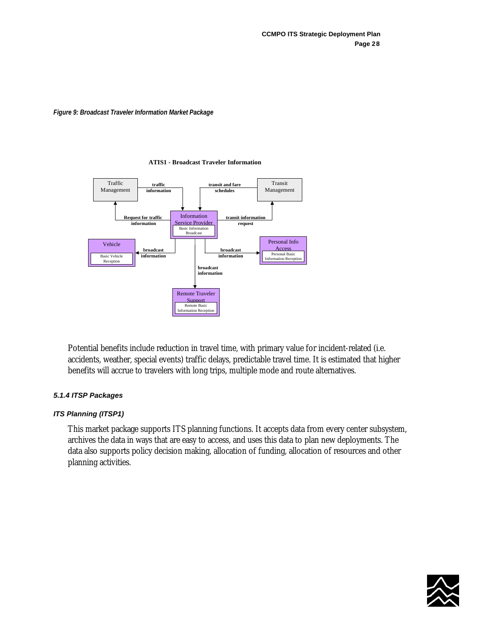#### *Figure 9: Broadcast Traveler Information Market Package*

#### **ATIS1 - Broadcast Traveler Information**



Potential benefits include reduction in travel time, with primary value for incident-related (i.e. accidents, weather, special events) traffic delays, predictable travel time. It is estimated that higher benefits will accrue to travelers with long trips, multiple mode and route alternatives.

## *5.1.4 ITSP Packages*

# *ITS Planning (ITSP1)*

This market package supports ITS planning functions. It accepts data from every center subsystem, archives the data in ways that are easy to access, and uses this data to plan new deployments. The data also supports policy decision making, allocation of funding, allocation of resources and other planning activities.

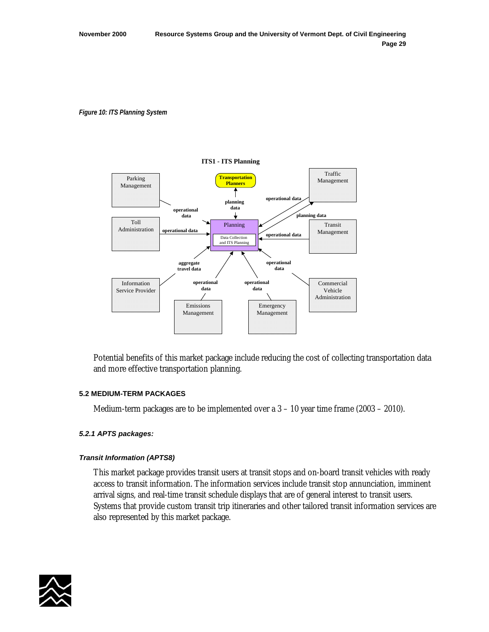#### *Figure 10: ITS Planning System*



Potential benefits of this market package include reducing the cost of collecting transportation data and more effective transportation planning.

## **5.2 MEDIUM-TERM PACKAGES**

Medium-term packages are to be implemented over a  $3 - 10$  year time frame (2003 – 2010).

## *5.2.1 APTS packages:*

## *Transit Information (APTS8)*

This market package provides transit users at transit stops and on-board transit vehicles with ready access to transit information. The information services include transit stop annunciation, imminent arrival signs, and real-time transit schedule displays that are of general interest to transit users. Systems that provide custom transit trip itineraries and other tailored transit information services are also represented by this market package.

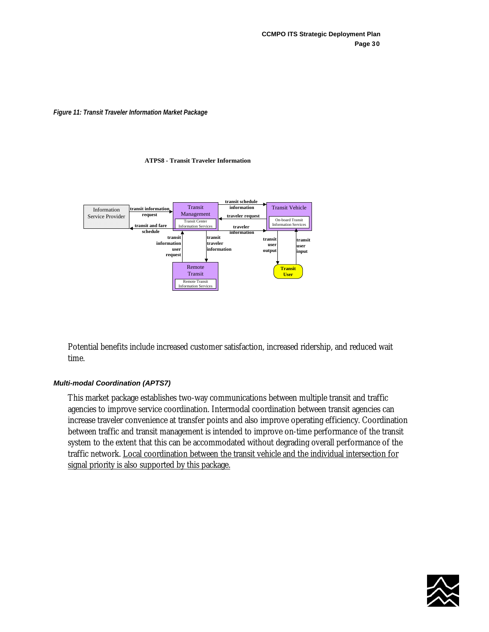*Figure 11: Transit Traveler Information Market Package*

#### **ATPS8 - Transit Traveler Information**



Potential benefits include increased customer satisfaction, increased ridership, and reduced wait time.

## *Multi-modal Coordination (APTS7)*

This market package establishes two-way communications between multiple transit and traffic agencies to improve service coordination. Intermodal coordination between transit agencies can increase traveler convenience at transfer points and also improve operating efficiency. Coordination between traffic and transit management is intended to improve on-time performance of the transit system to the extent that this can be accommodated without degrading overall performance of the traffic network. Local coordination between the transit vehicle and the individual intersection for signal priority is also supported by this package.

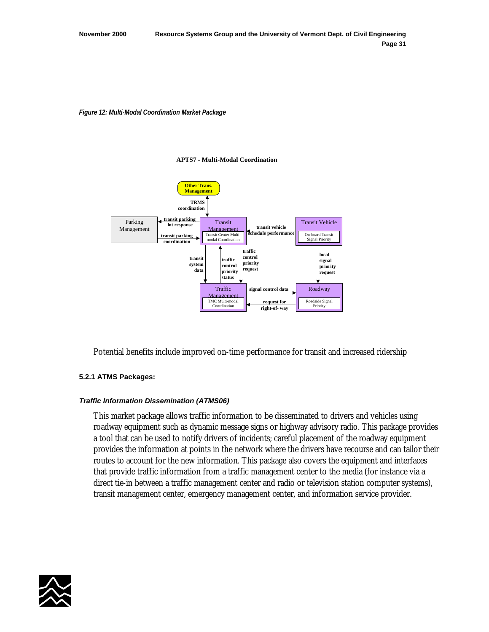#### *Figure 12: Multi-Modal Coordination Market Package*

#### **APTS7 - Multi-Modal Coordination**



Potential benefits include improved on-time performance for transit and increased ridership

## **5.2.1 ATMS Packages:**

## *Traffic Information Dissemination (ATMS06)*

This market package allows traffic information to be disseminated to drivers and vehicles using roadway equipment such as dynamic message signs or highway advisory radio. This package provides a tool that can be used to notify drivers of incidents; careful placement of the roadway equipment provides the information at points in the network where the drivers have recourse and can tailor their routes to account for the new information. This package also covers the equipment and interfaces that provide traffic information from a traffic management center to the media (for instance via a direct tie-in between a traffic management center and radio or television station computer systems), transit management center, emergency management center, and information service provider.

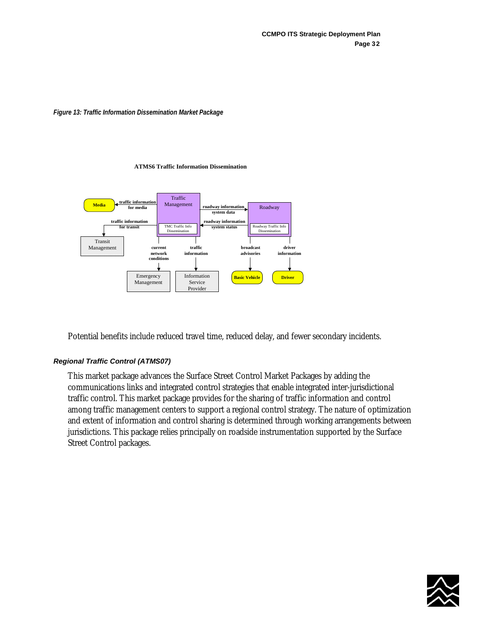#### *Figure 13: Traffic Information Dissemination Market Package*

#### **ATMS6 Traffic Information Dissemination**



Potential benefits include reduced travel time, reduced delay, and fewer secondary incidents.

## *Regional Traffic Control (ATMS07)*

This market package advances the Surface Street Control Market Packages by adding the communications links and integrated control strategies that enable integrated inter-jurisdictional traffic control. This market package provides for the sharing of traffic information and control among traffic management centers to support a regional control strategy. The nature of optimization and extent of information and control sharing is determined through working arrangements between jurisdictions. This package relies principally on roadside instrumentation supported by the Surface Street Control packages.

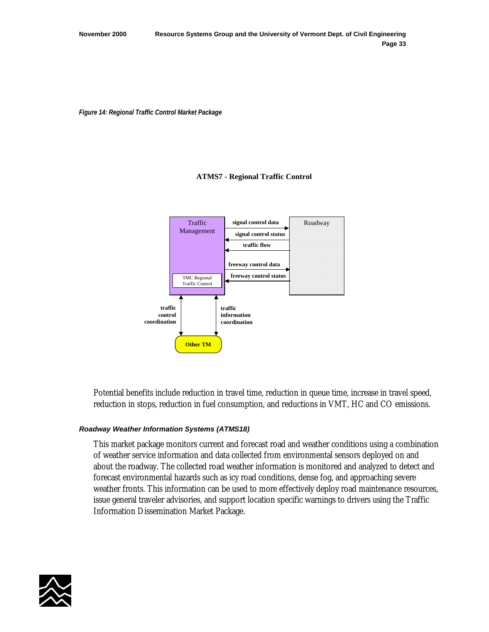*Figure 14: Regional Traffic Control Market Package* 

## **ATMS7 - Regional Traffic Control**



Potential benefits include reduction in travel time, reduction in queue time, increase in travel speed, reduction in stops, reduction in fuel consumption, and reductions in VMT, HC and CO emissions.

## *Roadway Weather Information Systems (ATMS18)*

This market package monitors current and forecast road and weather conditions using a combination of weather service information and data collected from environmental sensors deployed on and about the roadway. The collected road weather information is monitored and analyzed to detect and forecast environmental hazards such as icy road conditions, dense fog, and approaching severe weather fronts. This information can be used to more effectively deploy road maintenance resources, issue general traveler advisories, and support location specific warnings to drivers using the Traffic Information Dissemination Market Package.

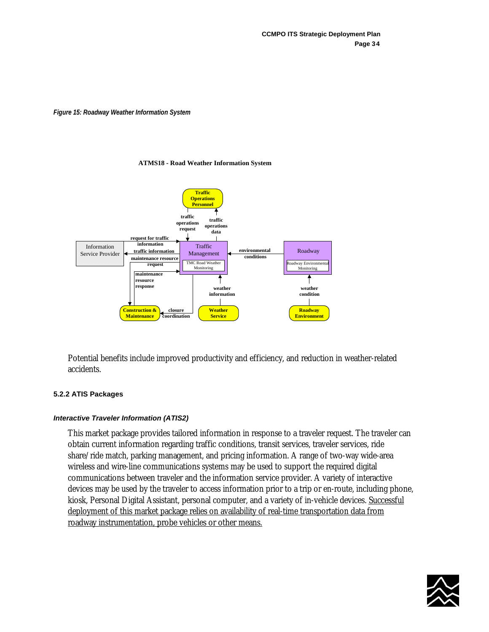#### *Figure 15: Roadway Weather Information System*

#### **ATMS18 - Road Weather Information System**



Potential benefits include improved productivity and efficiency, and reduction in weather-related accidents.

## **5.2.2 ATIS Packages**

## *Interactive Traveler Information (ATIS2)*

This market package provides tailored information in response to a traveler request. The traveler can obtain current information regarding traffic conditions, transit services, traveler services, ride share/ride match, parking management, and pricing information. A range of two-way wide-area wireless and wire-line communications systems may be used to support the required digital communications between traveler and the information service provider. A variety of interactive devices may be used by the traveler to access information prior to a trip or en-route, including phone, kiosk, Personal Digital Assistant, personal computer, and a variety of in-vehicle devices. Successful deployment of this market package relies on availability of real-time transportation data from roadway instrumentation, probe vehicles or other means.

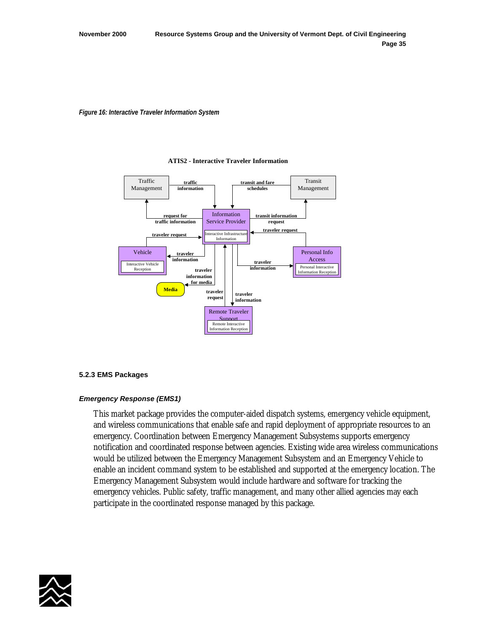*Figure 16: Interactive Traveler Information System* 



#### **ATIS2 - Interactive Traveler Information**

## **5.2.3 EMS Packages**

## *Emergency Response (EMS1)*

This market package provides the computer-aided dispatch systems, emergency vehicle equipment, and wireless communications that enable safe and rapid deployment of appropriate resources to an emergency. Coordination between Emergency Management Subsystems supports emergency notification and coordinated response between agencies. Existing wide area wireless communications would be utilized between the Emergency Management Subsystem and an Emergency Vehicle to enable an incident command system to be established and supported at the emergency location. The Emergency Management Subsystem would include hardware and software for tracking the emergency vehicles. Public safety, traffic management, and many other allied agencies may each participate in the coordinated response managed by this package.

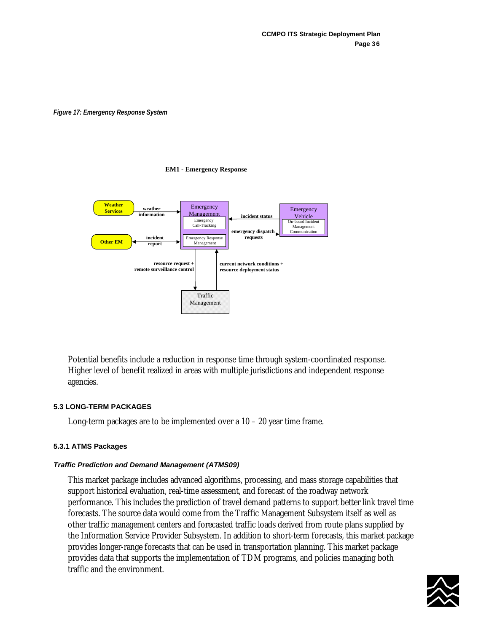*Figure 17: Emergency Response System* 

#### **EM1 - Emergency Response**



Potential benefits include a reduction in response time through system-coordinated response. Higher level of benefit realized in areas with multiple jurisdictions and independent response agencies.

## **5.3 LONG-TERM PACKAGES**

Long-term packages are to be implemented over a 10 – 20 year time frame.

## **5.3.1 ATMS Packages**

## *Traffic Prediction and Demand Management (ATMS09)*

This market package includes advanced algorithms, processing, and mass storage capabilities that support historical evaluation, real-time assessment, and forecast of the roadway network performance. This includes the prediction of travel demand patterns to support better link travel time forecasts. The source data would come from the Traffic Management Subsystem itself as well as other traffic management centers and forecasted traffic loads derived from route plans supplied by the Information Service Provider Subsystem. In addition to short-term forecasts, this market package provides longer-range forecasts that can be used in transportation planning. This market package provides data that supports the implementation of TDM programs, and policies managing both traffic and the environment.

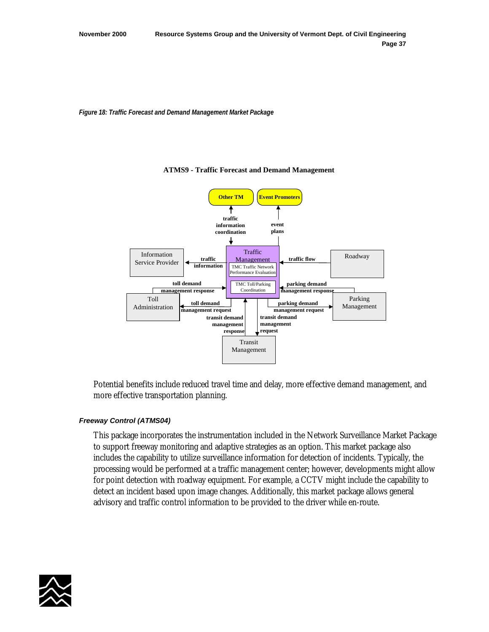*Figure 18: Traffic Forecast and Demand Management Market Package* 



#### **ATMS9 - Traffic Forecast and Demand Management**

Potential benefits include reduced travel time and delay, more effective demand management, and more effective transportation planning.

# *Freeway Control (ATMS04)*

This package incorporates the instrumentation included in the Network Surveillance Market Package to support freeway monitoring and adaptive strategies as an option. This market package also includes the capability to utilize surveillance information for detection of incidents. Typically, the processing would be performed at a traffic management center; however, developments might allow for point detection with roadway equipment. For example, a CCTV might include the capability to detect an incident based upon image changes. Additionally, this market package allows general advisory and traffic control information to be provided to the driver while en-route.

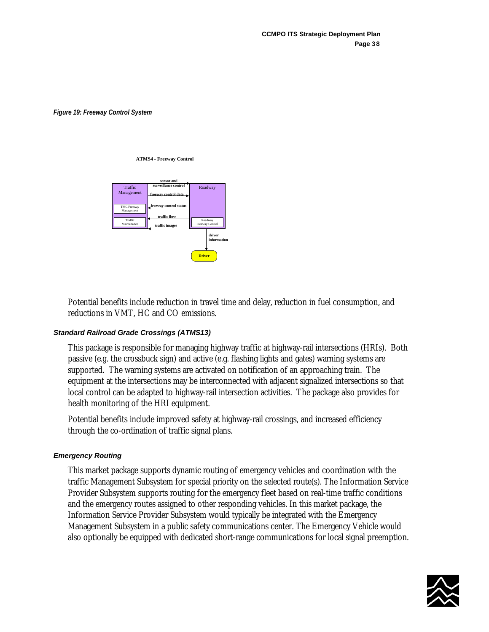*Figure 19: Freeway Control System* 

#### **ATMS4 - Freeway Control**



Potential benefits include reduction in travel time and delay, reduction in fuel consumption, and reductions in VMT, HC and CO emissions.

## *Standard Railroad Grade Crossings (ATMS13)*

This package is responsible for managing highway traffic at highway-rail intersections (HRIs). Both passive (e.g. the crossbuck sign) and active (e.g. flashing lights and gates) warning systems are supported. The warning systems are activated on notification of an approaching train. The equipment at the intersections may be interconnected with adjacent signalized intersections so that local control can be adapted to highway-rail intersection activities. The package also provides for health monitoring of the HRI equipment.

Potential benefits include improved safety at highway-rail crossings, and increased efficiency through the co-ordination of traffic signal plans.

## *Emergency Routing*

This market package supports dynamic routing of emergency vehicles and coordination with the traffic Management Subsystem for special priority on the selected route(s). The Information Service Provider Subsystem supports routing for the emergency fleet based on real-time traffic conditions and the emergency routes assigned to other responding vehicles. In this market package, the Information Service Provider Subsystem would typically be integrated with the Emergency Management Subsystem in a public safety communications center. The Emergency Vehicle would also optionally be equipped with dedicated short-range communications for local signal preemption.

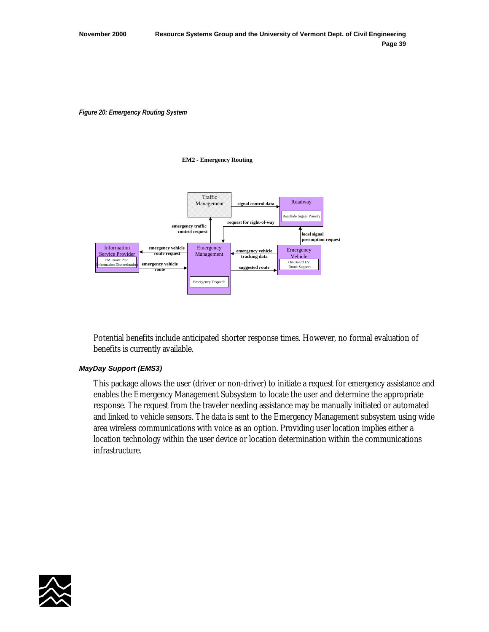*Figure 20: Emergency Routing System* 

#### **EM2 - Emergency Routing**



Potential benefits include anticipated shorter response times. However, no formal evaluation of benefits is currently available.

## *MayDay Support (EMS3)*

This package allows the user (driver or non-driver) to initiate a request for emergency assistance and enables the Emergency Management Subsystem to locate the user and determine the appropriate response. The request from the traveler needing assistance may be manually initiated or automated and linked to vehicle sensors. The data is sent to the Emergency Management subsystem using wide area wireless communications with voice as an option. Providing user location implies either a location technology within the user device or location determination within the communications infrastructure.

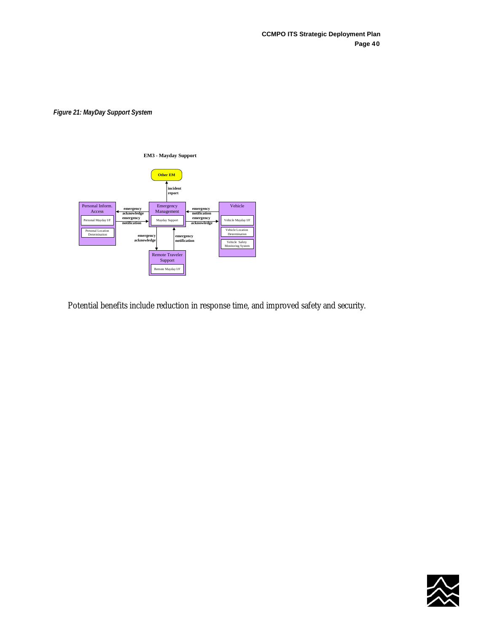*Figure 21: MayDay Support System* 



Potential benefits include reduction in response time, and improved safety and security.

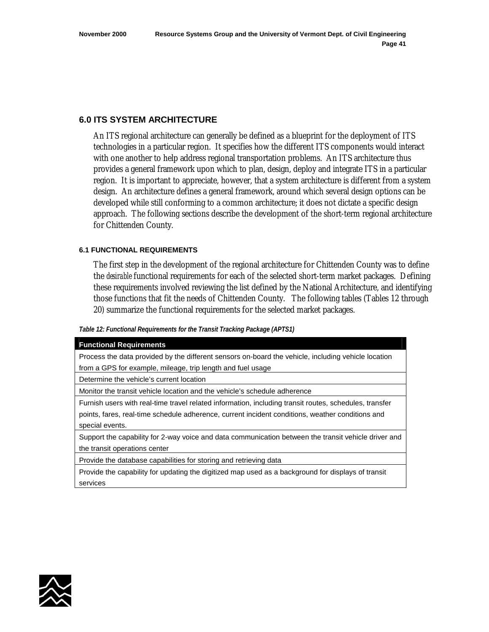## **6.0 ITS SYSTEM ARCHITECTURE**

An ITS regional architecture can generally be defined as a blueprint for the deployment of ITS technologies in a particular region. It specifies how the different ITS components would interact with one another to help address regional transportation problems. An ITS architecture thus provides a general framework upon which to plan, design, deploy and integrate ITS in a particular region. It is important to appreciate, however, that a system architecture is different from a system design. An architecture defines a general framework, around which several design options can be developed while still conforming to a common architecture; it does not dictate a specific design approach. The following sections describe the development of the short-term regional architecture for Chittenden County.

## **6.1 FUNCTIONAL REQUIREMENTS**

The first step in the development of the regional architecture for Chittenden County was to define the *desirable* functional requirements for each of the selected short-term market packages. Defining these requirements involved reviewing the list defined by the National Architecture, and identifying those functions that fit the needs of Chittenden County. The following tables (Tables 12 through 20) summarize the functional requirements for the selected market packages.

#### *Table 12: Functional Requirements for the Transit Tracking Package (APTS1)*

| <b>Functional Requirements</b>                                                                         |  |  |
|--------------------------------------------------------------------------------------------------------|--|--|
| Process the data provided by the different sensors on-board the vehicle, including vehicle location    |  |  |
| from a GPS for example, mileage, trip length and fuel usage                                            |  |  |
| Determine the vehicle's current location                                                               |  |  |
| Monitor the transit vehicle location and the vehicle's schedule adherence                              |  |  |
| Furnish users with real-time travel related information, including transit routes, schedules, transfer |  |  |
| points, fares, real-time schedule adherence, current incident conditions, weather conditions and       |  |  |
| special events.                                                                                        |  |  |
| Support the capability for 2-way voice and data communication between the transit vehicle driver and   |  |  |
| the transit operations center                                                                          |  |  |
| Provide the database capabilities for storing and retrieving data                                      |  |  |
| Provide the capability for updating the digitized map used as a background for displays of transit     |  |  |
| services                                                                                               |  |  |

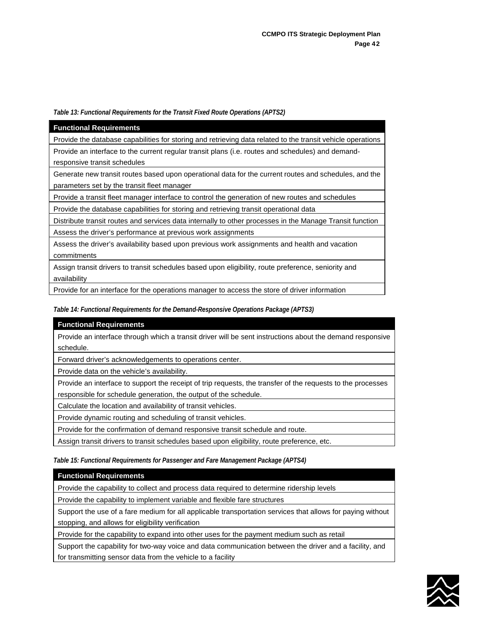#### *Table 13: Functional Requirements for the Transit Fixed Route Operations (APTS2)*

| <b>Functional Requirements</b>                                                                              |
|-------------------------------------------------------------------------------------------------------------|
| Provide the database capabilities for storing and retrieving data related to the transit vehicle operations |
| Provide an interface to the current regular transit plans (i.e. routes and schedules) and demand-           |
| responsive transit schedules                                                                                |
| Generate new transit routes based upon operational data for the current routes and schedules, and the       |
| parameters set by the transit fleet manager                                                                 |
| Provide a transit fleet manager interface to control the generation of new routes and schedules             |
| Provide the database capabilities for storing and retrieving transit operational data                       |
| Distribute transit routes and services data internally to other processes in the Manage Transit function    |
| Assess the driver's performance at previous work assignments                                                |
| Assess the driver's availability based upon previous work assignments and health and vacation               |
| commitments                                                                                                 |
| Assign transit drivers to transit schedules based upon eligibility, route preference, seniority and         |
| availability                                                                                                |
| Provide for an interface for the operations manager to access the store of driver information               |

## *Table 14: Functional Requirements for the Demand-Responsive Operations Package (APTS3)*

|                                                                               | <b>Functional Requirements</b>                                                                              |
|-------------------------------------------------------------------------------|-------------------------------------------------------------------------------------------------------------|
|                                                                               | Provide an interface through which a transit driver will be sent instructions about the demand responsive   |
|                                                                               | schedule.                                                                                                   |
|                                                                               | Forward driver's acknowledgements to operations center.                                                     |
|                                                                               | Provide data on the vehicle's availability.                                                                 |
|                                                                               | Provide an interface to support the receipt of trip requests, the transfer of the requests to the processes |
|                                                                               | responsible for schedule generation, the output of the schedule.                                            |
|                                                                               | Calculate the location and availability of transit vehicles.                                                |
|                                                                               | Provide dynamic routing and scheduling of transit vehicles.                                                 |
| Provide for the confirmation of demand responsive transit schedule and route. |                                                                                                             |
|                                                                               | Assign transit drivers to transit schedules based upon eligibility, route preference, etc.                  |

*Table 15: Functional Requirements for Passenger and Fare Management Package (APTS4)* 

| <b>Functional Requirements</b>                                                                             |  |  |
|------------------------------------------------------------------------------------------------------------|--|--|
| Provide the capability to collect and process data required to determine ridership levels                  |  |  |
| Provide the capability to implement variable and flexible fare structures                                  |  |  |
| Support the use of a fare medium for all applicable transportation services that allows for paying without |  |  |
| stopping, and allows for eligibility verification                                                          |  |  |
| Provide for the capability to expand into other uses for the payment medium such as retail                 |  |  |
| Support the capability for two-way voice and data communication between the driver and a facility, and     |  |  |
| for transmitting sensor data from the vehicle to a facility                                                |  |  |

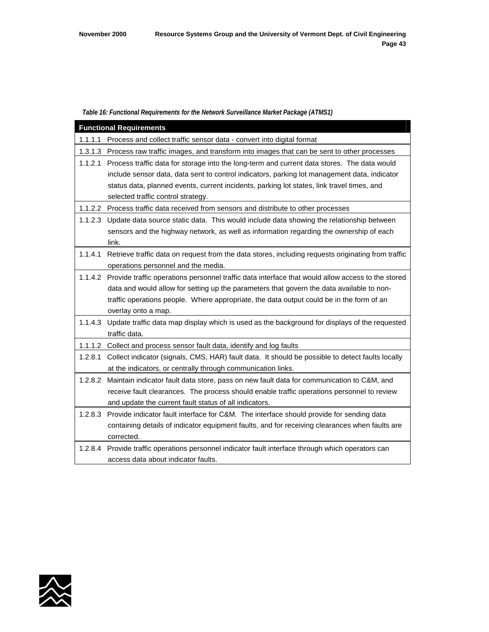#### *Table 16: Functional Requirements for the Network Surveillance Market Package (ATMS1)*

| <b>Functional Requirements</b>                                                                      |                                                                                                           |  |  |
|-----------------------------------------------------------------------------------------------------|-----------------------------------------------------------------------------------------------------------|--|--|
|                                                                                                     | 1.1.1.1 Process and collect traffic sensor data - convert into digital format                             |  |  |
|                                                                                                     | 1.3.1.3 Process raw traffic images, and transform into images that can be sent to other processes         |  |  |
|                                                                                                     | 1.1.2.1 Process traffic data for storage into the long-term and current data stores. The data would       |  |  |
|                                                                                                     | include sensor data, data sent to control indicators, parking lot management data, indicator              |  |  |
|                                                                                                     | status data, planned events, current incidents, parking lot states, link travel times, and                |  |  |
|                                                                                                     | selected traffic control strategy.                                                                        |  |  |
|                                                                                                     | 1.1.2.2 Process traffic data received from sensors and distribute to other processes                      |  |  |
| Update data source static data. This would include data showing the relationship between<br>1.1.2.3 |                                                                                                           |  |  |
|                                                                                                     | sensors and the highway network, as well as information regarding the ownership of each                   |  |  |
|                                                                                                     | link.                                                                                                     |  |  |
| 1.1.4.1                                                                                             | Retrieve traffic data on request from the data stores, including requests originating from traffic        |  |  |
|                                                                                                     | operations personnel and the media.                                                                       |  |  |
|                                                                                                     | 1.1.4.2 Provide traffic operations personnel traffic data interface that would allow access to the stored |  |  |
|                                                                                                     | data and would allow for setting up the parameters that govern the data available to non-                 |  |  |
|                                                                                                     | traffic operations people. Where appropriate, the data output could be in the form of an                  |  |  |
|                                                                                                     | overlay onto a map.                                                                                       |  |  |
|                                                                                                     | 1.1.4.3 Update traffic data map display which is used as the background for displays of the requested     |  |  |
|                                                                                                     | traffic data.                                                                                             |  |  |
|                                                                                                     | 1.1.1.2 Collect and process sensor fault data, identify and log faults                                    |  |  |
| 1.2.8.1                                                                                             | Collect indicator (signals, CMS, HAR) fault data. It should be possible to detect faults locally          |  |  |
|                                                                                                     | at the indicators, or centrally through communication links.                                              |  |  |
|                                                                                                     | 1.2.8.2 Maintain indicator fault data store, pass on new fault data for communication to C&M, and         |  |  |
|                                                                                                     | receive fault clearances. The process should enable traffic operations personnel to review                |  |  |
|                                                                                                     | and update the current fault status of all indicators.                                                    |  |  |
| 1.2.8.3                                                                                             | Provide indicator fault interface for C&M. The interface should provide for sending data                  |  |  |
|                                                                                                     | containing details of indicator equipment faults, and for receiving clearances when faults are            |  |  |
|                                                                                                     | corrected.                                                                                                |  |  |
|                                                                                                     | 1.2.8.4 Provide traffic operations personnel indicator fault interface through which operators can        |  |  |
|                                                                                                     | access data about indicator faults.                                                                       |  |  |

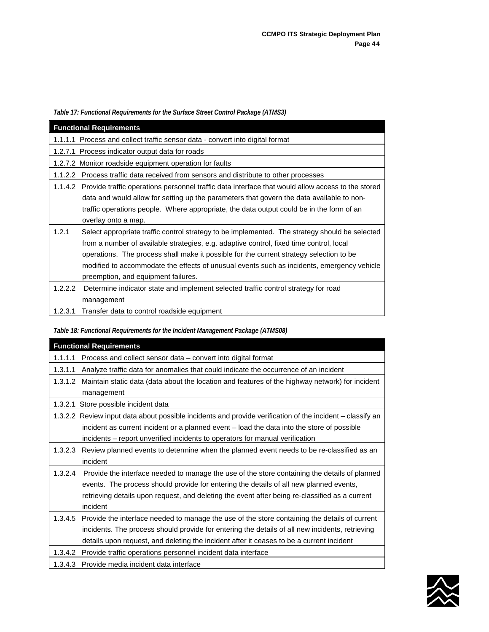*Table 17: Functional Requirements for the Surface Street Control Package (ATMS3)* 

| <b>Functional Requirements</b>                                                                            |  |  |
|-----------------------------------------------------------------------------------------------------------|--|--|
| 1.1.1.1 Process and collect traffic sensor data - convert into digital format                             |  |  |
| 1.2.7.1 Process indicator output data for roads                                                           |  |  |
| 1.2.7.2 Monitor roadside equipment operation for faults                                                   |  |  |
| 1.1.2.2 Process traffic data received from sensors and distribute to other processes                      |  |  |
| 1.1.4.2 Provide traffic operations personnel traffic data interface that would allow access to the stored |  |  |
| data and would allow for setting up the parameters that govern the data available to non-                 |  |  |
| traffic operations people. Where appropriate, the data output could be in the form of an                  |  |  |
| overlay onto a map.                                                                                       |  |  |
| 1.2.1<br>Select appropriate traffic control strategy to be implemented. The strategy should be selected   |  |  |
| from a number of available strategies, e.g. adaptive control, fixed time control, local                   |  |  |
| operations. The process shall make it possible for the current strategy selection to be                   |  |  |
| modified to accommodate the effects of unusual events such as incidents, emergency vehicle                |  |  |
| preemption, and equipment failures.                                                                       |  |  |
| 1.2.2.2<br>Determine indicator state and implement selected traffic control strategy for road             |  |  |
| management                                                                                                |  |  |
| 1.2.3.1<br>Transfer data to control roadside equipment                                                    |  |  |

# *Table 18: Functional Requirements for the Incident Management Package (ATMS08)*

|         | <b>Functional Requirements</b>                                                                            |  |
|---------|-----------------------------------------------------------------------------------------------------------|--|
| 1.1.1.1 | Process and collect sensor data - convert into digital format                                             |  |
| 1.3.1.1 | Analyze traffic data for anomalies that could indicate the occurrence of an incident                      |  |
|         | 1.3.1.2 Maintain static data (data about the location and features of the highway network) for incident   |  |
|         | management                                                                                                |  |
| 1.3.2.1 | Store possible incident data                                                                              |  |
|         | 1.3.2.2 Review input data about possible incidents and provide verification of the incident – classify an |  |
|         | incident as current incident or a planned event - load the data into the store of possible                |  |
|         | incidents - report unverified incidents to operators for manual verification                              |  |
| 1.3.2.3 | Review planned events to determine when the planned event needs to be re-classified as an                 |  |
|         | incident                                                                                                  |  |
| 1.3.2.4 | Provide the interface needed to manage the use of the store containing the details of planned             |  |
|         | events. The process should provide for entering the details of all new planned events,                    |  |
|         | retrieving details upon request, and deleting the event after being re-classified as a current            |  |
|         | incident                                                                                                  |  |
|         | 1.3.4.5 Provide the interface needed to manage the use of the store containing the details of current     |  |
|         | incidents. The process should provide for entering the details of all new incidents, retrieving           |  |
|         | details upon request, and deleting the incident after it ceases to be a current incident                  |  |
| 1.3.4.2 | Provide traffic operations personnel incident data interface                                              |  |
| 1.3.4.3 | Provide media incident data interface                                                                     |  |

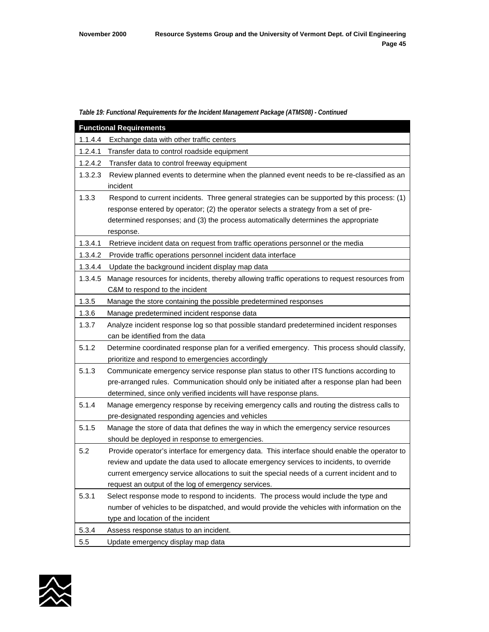#### *Table 19: Functional Requirements for the Incident Management Package (ATMS08) - Continued*

| <b>Functional Requirements</b> |                                                                                               |  |
|--------------------------------|-----------------------------------------------------------------------------------------------|--|
| 1.1.4.4                        | Exchange data with other traffic centers                                                      |  |
| 1.2.4.1                        | Transfer data to control roadside equipment                                                   |  |
| 1.2.4.2                        | Transfer data to control freeway equipment                                                    |  |
| 1.3.2.3                        | Review planned events to determine when the planned event needs to be re-classified as an     |  |
|                                | incident                                                                                      |  |
| 1.3.3                          | Respond to current incidents. Three general strategies can be supported by this process: (1)  |  |
|                                | response entered by operator; (2) the operator selects a strategy from a set of pre-          |  |
|                                | determined responses; and (3) the process automatically determines the appropriate            |  |
|                                | response.                                                                                     |  |
| 1.3.4.1                        | Retrieve incident data on request from traffic operations personnel or the media              |  |
| 1.3.4.2                        | Provide traffic operations personnel incident data interface                                  |  |
| 1.3.4.4                        | Update the background incident display map data                                               |  |
| 1.3.4.5                        | Manage resources for incidents, thereby allowing traffic operations to request resources from |  |
|                                | C&M to respond to the incident                                                                |  |
| 1.3.5                          | Manage the store containing the possible predetermined responses                              |  |
| 1.3.6                          | Manage predetermined incident response data                                                   |  |
| 1.3.7                          | Analyze incident response log so that possible standard predetermined incident responses      |  |
|                                | can be identified from the data                                                               |  |
| 5.1.2                          | Determine coordinated response plan for a verified emergency. This process should classify,   |  |
|                                | prioritize and respond to emergencies accordingly                                             |  |
| 5.1.3                          | Communicate emergency service response plan status to other ITS functions according to        |  |
|                                | pre-arranged rules. Communication should only be initiated after a response plan had been     |  |
|                                | determined, since only verified incidents will have response plans.                           |  |
| 5.1.4                          | Manage emergency response by receiving emergency calls and routing the distress calls to      |  |
|                                | pre-designated responding agencies and vehicles                                               |  |
| 5.1.5                          | Manage the store of data that defines the way in which the emergency service resources        |  |
|                                | should be deployed in response to emergencies.                                                |  |
| 5.2                            | Provide operator's interface for emergency data. This interface should enable the operator to |  |
|                                | review and update the data used to allocate emergency services to incidents, to override      |  |
|                                | current emergency service allocations to suit the special needs of a current incident and to  |  |
|                                | request an output of the log of emergency services.                                           |  |
| 5.3.1                          | Select response mode to respond to incidents. The process would include the type and          |  |
|                                | number of vehicles to be dispatched, and would provide the vehicles with information on the   |  |
|                                | type and location of the incident                                                             |  |
| 5.3.4                          | Assess response status to an incident.                                                        |  |
| 5.5                            | Update emergency display map data                                                             |  |

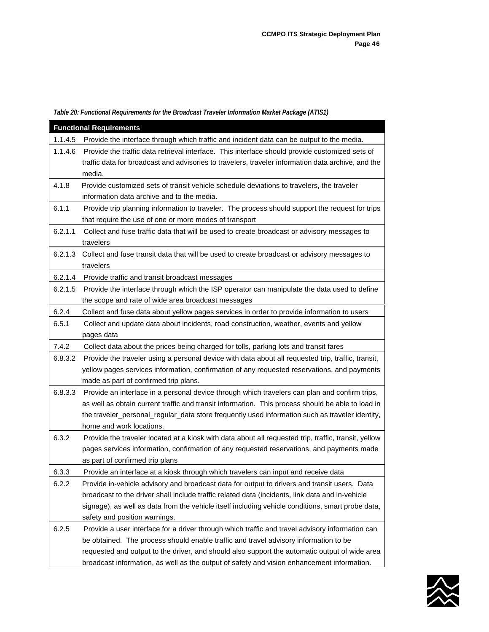*Table 20: Functional Requirements for the Broadcast Traveler Information Market Package (ATIS1)*

| <b>Functional Requirements</b>                                                                      |                                                                                                      |  |
|-----------------------------------------------------------------------------------------------------|------------------------------------------------------------------------------------------------------|--|
| 1.1.4.5                                                                                             | Provide the interface through which traffic and incident data can be output to the media.            |  |
| 1.1.4.6                                                                                             | Provide the traffic data retrieval interface. This interface should provide customized sets of       |  |
|                                                                                                     | traffic data for broadcast and advisories to travelers, traveler information data archive, and the   |  |
|                                                                                                     | media.                                                                                               |  |
| 4.1.8                                                                                               | Provide customized sets of transit vehicle schedule deviations to travelers, the traveler            |  |
|                                                                                                     | information data archive and to the media.                                                           |  |
| 6.1.1                                                                                               | Provide trip planning information to traveler. The process should support the request for trips      |  |
|                                                                                                     | that require the use of one or more modes of transport                                               |  |
| 6.2.1.1                                                                                             | Collect and fuse traffic data that will be used to create broadcast or advisory messages to          |  |
|                                                                                                     | travelers                                                                                            |  |
| 6.2.1.3                                                                                             | Collect and fuse transit data that will be used to create broadcast or advisory messages to          |  |
|                                                                                                     | travelers                                                                                            |  |
| 6.2.1.4<br>Provide traffic and transit broadcast messages                                           |                                                                                                      |  |
| 6.2.1.5                                                                                             | Provide the interface through which the ISP operator can manipulate the data used to define          |  |
|                                                                                                     | the scope and rate of wide area broadcast messages                                                   |  |
| 6.2.4<br>Collect and fuse data about yellow pages services in order to provide information to users |                                                                                                      |  |
| 6.5.1<br>Collect and update data about incidents, road construction, weather, events and yellow     |                                                                                                      |  |
|                                                                                                     | pages data                                                                                           |  |
| 7.4.2                                                                                               | Collect data about the prices being charged for tolls, parking lots and transit fares                |  |
| 6.8.3.2                                                                                             | Provide the traveler using a personal device with data about all requested trip, traffic, transit,   |  |
|                                                                                                     | yellow pages services information, confirmation of any requested reservations, and payments          |  |
|                                                                                                     | made as part of confirmed trip plans.                                                                |  |
| 6.8.3.3                                                                                             | Provide an interface in a personal device through which travelers can plan and confirm trips,        |  |
|                                                                                                     | as well as obtain current traffic and transit information. This process should be able to load in    |  |
|                                                                                                     | the traveler_personal_regular_data store frequently used information such as traveler identity,      |  |
|                                                                                                     | home and work locations.                                                                             |  |
| 6.3.2                                                                                               | Provide the traveler located at a kiosk with data about all requested trip, traffic, transit, yellow |  |
|                                                                                                     | pages services information, confirmation of any requested reservations, and payments made            |  |
|                                                                                                     | as part of confirmed trip plans                                                                      |  |
| 6.3.3                                                                                               | Provide an interface at a kiosk through which travelers can input and receive data                   |  |
| 6.2.2                                                                                               | Provide in-vehicle advisory and broadcast data for output to drivers and transit users. Data         |  |
|                                                                                                     | broadcast to the driver shall include traffic related data (incidents, link data and in-vehicle      |  |
|                                                                                                     | signage), as well as data from the vehicle itself including vehicle conditions, smart probe data,    |  |
|                                                                                                     | safety and position warnings.                                                                        |  |
| 6.2.5                                                                                               | Provide a user interface for a driver through which traffic and travel advisory information can      |  |
|                                                                                                     | be obtained. The process should enable traffic and travel advisory information to be                 |  |
|                                                                                                     | requested and output to the driver, and should also support the automatic output of wide area        |  |
|                                                                                                     | broadcast information, as well as the output of safety and vision enhancement information.           |  |

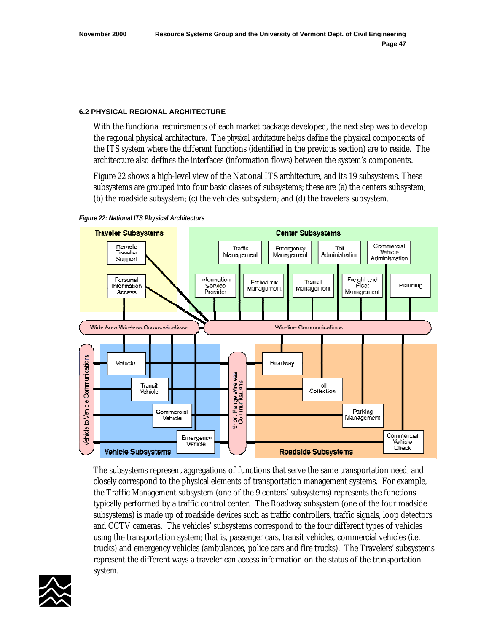#### **6.2 PHYSICAL REGIONAL ARCHITECTURE**

With the functional requirements of each market package developed, the next step was to develop the regional physical architecture. The *physical architecture* helps define the physical components of the ITS system where the different functions (identified in the previous section) are to reside. The architecture also defines the interfaces (information flows) between the system's components.

Figure 22 shows a high-level view of the National ITS architecture, and its 19 subsystems. These subsystems are grouped into four basic classes of subsystems; these are (a) the centers subsystem; (b) the roadside subsystem; (c) the vehicles subsystem; and (d) the travelers subsystem.





The subsystems represent aggregations of functions that serve the same transportation need, and closely correspond to the physical elements of transportation management systems. For example, the Traffic Management subsystem (one of the 9 centers' subsystems) represents the functions typically performed by a traffic control center. The Roadway subsystem (one of the four roadside subsystems) is made up of roadside devices such as traffic controllers, traffic signals, loop detectors and CCTV cameras. The vehicles' subsystems correspond to the four different types of vehicles using the transportation system; that is, passenger cars, transit vehicles, commercial vehicles (i.e. trucks) and emergency vehicles (ambulances, police cars and fire trucks). The Travelers' subsystems represent the different ways a traveler can access information on the status of the transportation system.

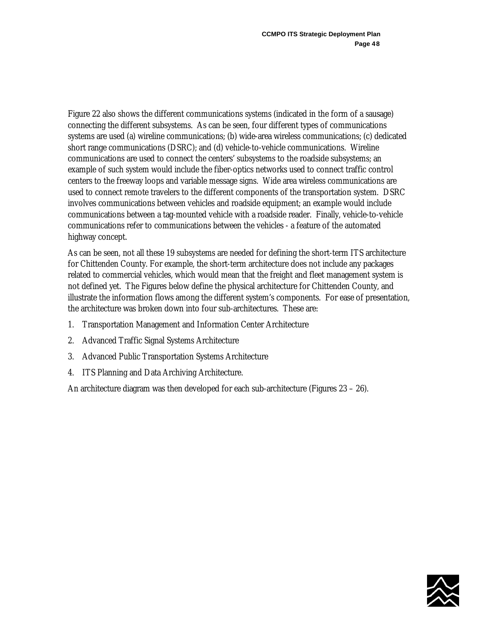Figure 22 also shows the different communications systems (indicated in the form of a sausage) connecting the different subsystems. As can be seen, four different types of communications systems are used (a) wireline communications; (b) wide-area wireless communications; (c) dedicated short range communications (DSRC); and (d) vehicle-to-vehicle communications. Wireline communications are used to connect the centers' subsystems to the roadside subsystems; an example of such system would include the fiber-optics networks used to connect traffic control centers to the freeway loops and variable message signs. Wide area wireless communications are used to connect remote travelers to the different components of the transportation system. DSRC involves communications between vehicles and roadside equipment; an example would include communications between a tag-mounted vehicle with a roadside reader. Finally, vehicle-to-vehicle communications refer to communications between the vehicles - a feature of the automated highway concept.

As can be seen, not all these 19 subsystems are needed for defining the short-term ITS architecture for Chittenden County. For example, the short-term architecture does not include any packages related to commercial vehicles, which would mean that the freight and fleet management system is not defined yet. The Figures below define the physical architecture for Chittenden County, and illustrate the information flows among the different system's components. For ease of presentation, the architecture was broken down into four sub-architectures. These are:

- 1. Transportation Management and Information Center Architecture
- 2. Advanced Traffic Signal Systems Architecture
- 3. Advanced Public Transportation Systems Architecture
- 4. ITS Planning and Data Archiving Architecture.

An architecture diagram was then developed for each sub-architecture (Figures 23 – 26).

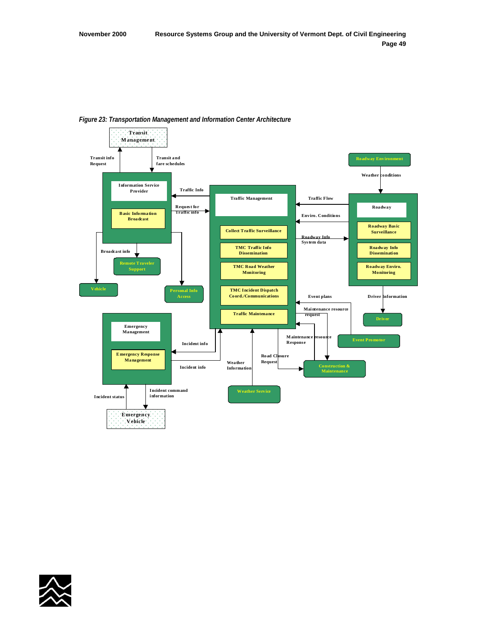

#### *Figure 23: Transportation Management and Information Center Architecture*

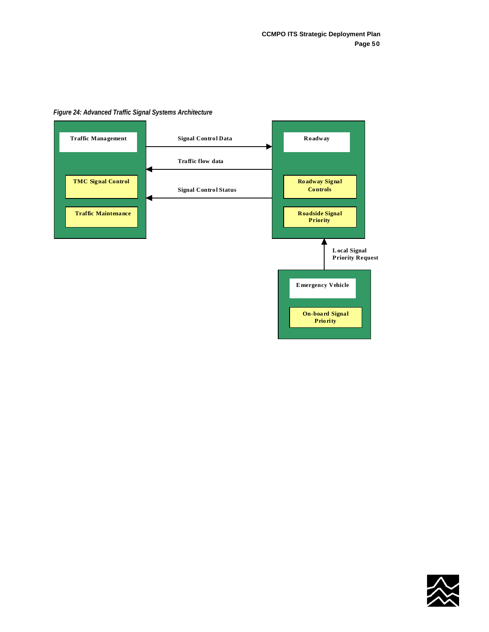

#### *Figure 24: Advanced Traffic Signal Systems Architecture*

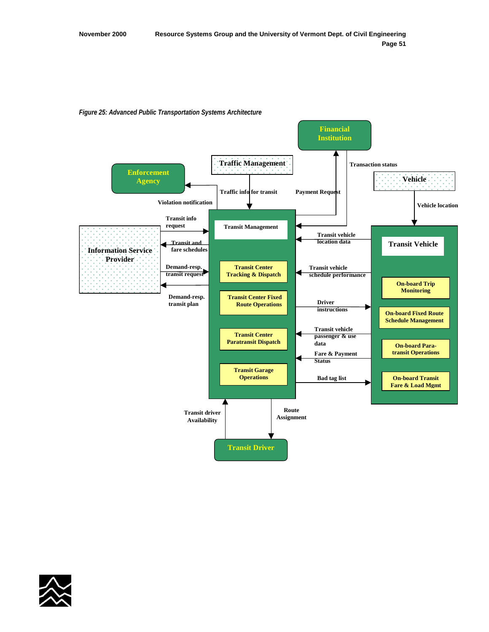

**Transit Garage Operations**

> **Route Assignment**

**Fare & Payment Status**

**Bad tag list**

**Transit Driver**

**Transit driver Availability**

**transit Operations**

**On-board Transit Fare & Load Mgmt**

*Figure 25: Advanced Public Transportation Systems Architecture* 

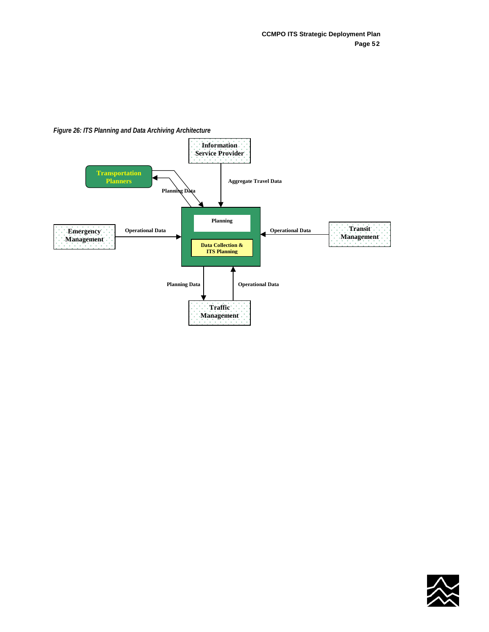



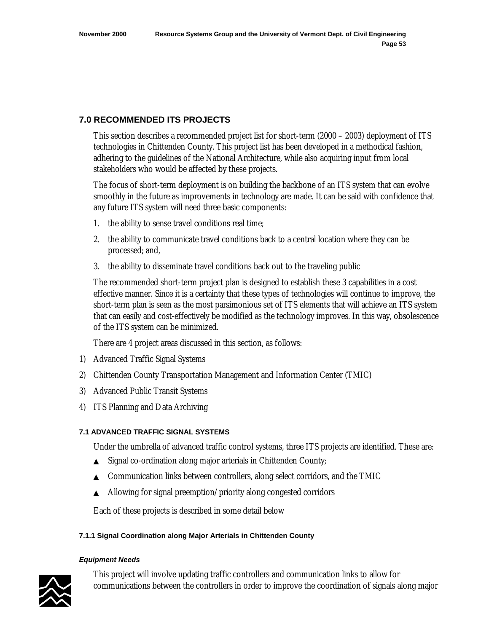# **7.0 RECOMMENDED ITS PROJECTS**

This section describes a recommended project list for short-term (2000 – 2003) deployment of ITS technologies in Chittenden County. This project list has been developed in a methodical fashion, adhering to the guidelines of the National Architecture, while also acquiring input from local stakeholders who would be affected by these projects.

The focus of short-term deployment is on building the backbone of an ITS system that can evolve smoothly in the future as improvements in technology are made. It can be said with confidence that any future ITS system will need three basic components:

- 1. the ability to sense travel conditions real time;
- 2. the ability to communicate travel conditions back to a central location where they can be processed; and,
- 3. the ability to disseminate travel conditions back out to the traveling public

The recommended short-term project plan is designed to establish these 3 capabilities in a cost effective manner. Since it is a certainty that these types of technologies will continue to improve, the short-term plan is seen as the most parsimonious set of ITS elements that will achieve an ITS system that can easily and cost-effectively be modified as the technology improves. In this way, obsolescence of the ITS system can be minimized.

There are 4 project areas discussed in this section, as follows:

- 1) Advanced Traffic Signal Systems
- 2) Chittenden County Transportation Management and Information Center (TMIC)
- 3) Advanced Public Transit Systems
- 4) ITS Planning and Data Archiving

## **7.1 ADVANCED TRAFFIC SIGNAL SYSTEMS**

Under the umbrella of advanced traffic control systems, three ITS projects are identified. These are:

- ▲ Signal co-ordination along major arterials in Chittenden County;
- ▲ Communication links between controllers, along select corridors, and the TMIC
- ▲ Allowing for signal preemption/priority along congested corridors

Each of these projects is described in some detail below

## **7.1.1 Signal Coordination along Major Arterials in Chittenden County**

#### *Equipment Needs*



This project will involve updating traffic controllers and communication links to allow for communications between the controllers in order to improve the coordination of signals along major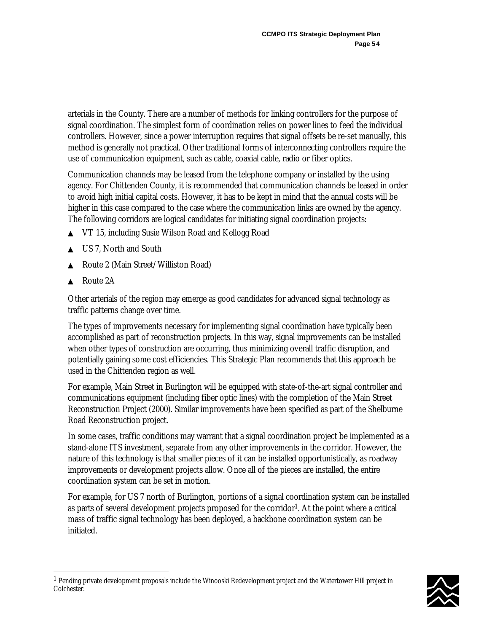arterials in the County. There are a number of methods for linking controllers for the purpose of signal coordination. The simplest form of coordination relies on power lines to feed the individual controllers. However, since a power interruption requires that signal offsets be re-set manually, this method is generally not practical. Other traditional forms of interconnecting controllers require the use of communication equipment, such as cable, coaxial cable, radio or fiber optics.

Communication channels may be leased from the telephone company or installed by the using agency. For Chittenden County, it is recommended that communication channels be leased in order to avoid high initial capital costs. However, it has to be kept in mind that the annual costs will be higher in this case compared to the case where the communication links are owned by the agency. The following corridors are logical candidates for initiating signal coordination projects:

- ▲ VT 15, including Susie Wilson Road and Kellogg Road
- US 7, North and South
- Route 2 (Main Street/Williston Road)
- Route 2A

 $\overline{a}$ 

Other arterials of the region may emerge as good candidates for advanced signal technology as traffic patterns change over time.

The types of improvements necessary for implementing signal coordination have typically been accomplished as part of reconstruction projects. In this way, signal improvements can be installed when other types of construction are occurring, thus minimizing overall traffic disruption, and potentially gaining some cost efficiencies. This Strategic Plan recommends that this approach be used in the Chittenden region as well.

For example, Main Street in Burlington will be equipped with state-of-the-art signal controller and communications equipment (including fiber optic lines) with the completion of the Main Street Reconstruction Project (2000). Similar improvements have been specified as part of the Shelburne Road Reconstruction project.

In some cases, traffic conditions may warrant that a signal coordination project be implemented as a stand-alone ITS investment, separate from any other improvements in the corridor. However, the nature of this technology is that smaller pieces of it can be installed opportunistically, as roadway improvements or development projects allow. Once all of the pieces are installed, the entire coordination system can be set in motion.

For example, for US 7 north of Burlington, portions of a signal coordination system can be installed as parts of several development projects proposed for the corridor<sup>1</sup>. At the point where a critical mass of traffic signal technology has been deployed, a backbone coordination system can be initiated.

 $^1$  Pending private development proposals include the Winooski Redevelopment project and the Watertower Hill project in Colchester.

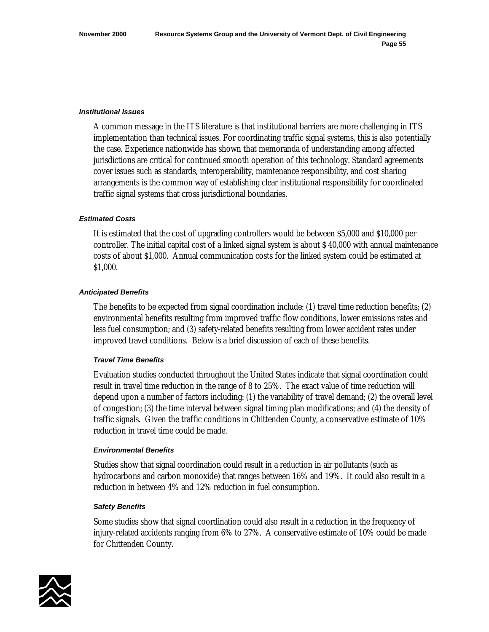#### *Institutional Issues*

A common message in the ITS literature is that institutional barriers are more challenging in ITS implementation than technical issues. For coordinating traffic signal systems, this is also potentially the case. Experience nationwide has shown that memoranda of understanding among affected jurisdictions are critical for continued smooth operation of this technology. Standard agreements cover issues such as standards, interoperability, maintenance responsibility, and cost sharing arrangements is the common way of establishing clear institutional responsibility for coordinated traffic signal systems that cross jurisdictional boundaries.

#### *Estimated Costs*

It is estimated that the cost of upgrading controllers would be between \$5,000 and \$10,000 per controller. The initial capital cost of a linked signal system is about \$ 40,000 with annual maintenance costs of about \$1,000. Annual communication costs for the linked system could be estimated at \$1,000.

#### *Anticipated Benefits*

The benefits to be expected from signal coordination include: (1) travel time reduction benefits; (2) environmental benefits resulting from improved traffic flow conditions, lower emissions rates and less fuel consumption; and (3) safety-related benefits resulting from lower accident rates under improved travel conditions. Below is a brief discussion of each of these benefits.

## *Travel Time Benefits*

Evaluation studies conducted throughout the United States indicate that signal coordination could result in travel time reduction in the range of 8 to 25%. The exact value of time reduction will depend upon a number of factors including: (1) the variability of travel demand; (2) the overall level of congestion; (3) the time interval between signal timing plan modifications; and (4) the density of traffic signals. Given the traffic conditions in Chittenden County, a conservative estimate of 10% reduction in travel time could be made.

## *Environmental Benefits*

Studies show that signal coordination could result in a reduction in air pollutants (such as hydrocarbons and carbon monoxide) that ranges between 16% and 19%. It could also result in a reduction in between 4% and 12% reduction in fuel consumption.

#### *Safety Benefits*

Some studies show that signal coordination could also result in a reduction in the frequency of injury-related accidents ranging from 6% to 27%. A conservative estimate of 10% could be made for Chittenden County.

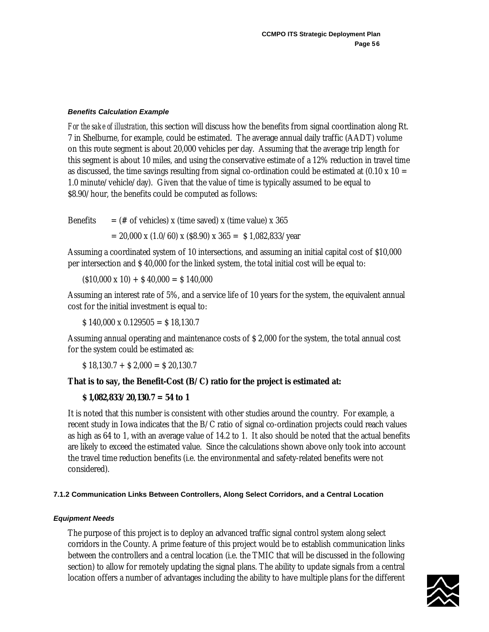# *Benefits Calculation Example*

*For the sake of illustration*, this section will discuss how the benefits from signal coordination along Rt. 7 in Shelburne, for example, could be estimated. The average annual daily traffic (AADT) volume on this route segment is about 20,000 vehicles per day. Assuming that the average trip length for this segment is about 10 miles, and using the conservative estimate of a 12% reduction in travel time as discussed, the time savings resulting from signal co-ordination could be estimated at  $(0.10 \times 10 =$ 1.0 minute/vehicle/day). Given that the value of time is typically assumed to be equal to \$8.90/hour, the benefits could be computed as follows:

Benefits  $=$  (# of vehicles) x (time saved) x (time value) x 365

 $= 20,000 \text{ x } (1.0/60) \text{ x } (8.90) \text{ x } 365 = $1,082,833/\text{year}$ 

Assuming a coordinated system of 10 intersections, and assuming an initial capital cost of \$10,000 per intersection and \$ 40,000 for the linked system, the total initial cost will be equal to:

 $(510,000 \times 10) + 540,000 = 5140,000$ 

Assuming an interest rate of 5%, and a service life of 10 years for the system, the equivalent annual cost for the initial investment is equal to:

 $$ 140,000 \times 0.129505 = $ 18,130.7$ 

Assuming annual operating and maintenance costs of \$ 2,000 for the system, the total annual cost for the system could be estimated as:

 $$ 18,130.7 + $ 2,000 = $ 20,130.7$ 

# **That is to say, the Benefit-Cost (B/C) ratio for the project is estimated at:**

# **\$ 1,082,833/20,130.7 = 54 to 1**

It is noted that this number is consistent with other studies around the country. For example, a recent study in Iowa indicates that the B/C ratio of signal co-ordination projects could reach values as high as 64 to 1, with an average value of 14.2 to 1. It also should be noted that the actual benefits are likely to exceed the estimated value. Since the calculations shown above only took into account the travel time reduction benefits (i.e. the environmental and safety-related benefits were not considered).

# **7.1.2 Communication Links Between Controllers, Along Select Corridors, and a Central Location**

# *Equipment Needs*

The purpose of this project is to deploy an advanced traffic signal control system along select corridors in the County. A prime feature of this project would be to establish communication links between the controllers and a central location (i.e. the TMIC that will be discussed in the following section) to allow for remotely updating the signal plans. The ability to update signals from a central location offers a number of advantages including the ability to have multiple plans for the different

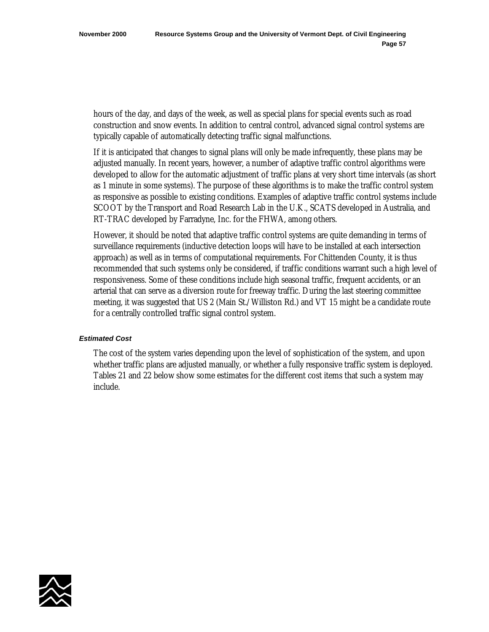hours of the day, and days of the week, as well as special plans for special events such as road construction and snow events. In addition to central control, advanced signal control systems are typically capable of automatically detecting traffic signal malfunctions.

If it is anticipated that changes to signal plans will only be made infrequently, these plans may be adjusted manually. In recent years, however, a number of adaptive traffic control algorithms were developed to allow for the automatic adjustment of traffic plans at very short time intervals (as short as 1 minute in some systems). The purpose of these algorithms is to make the traffic control system as responsive as possible to existing conditions. Examples of adaptive traffic control systems include SCOOT by the Transport and Road Research Lab in the U.K., SCATS developed in Australia, and RT-TRAC developed by Farradyne, Inc. for the FHWA, among others.

However, it should be noted that adaptive traffic control systems are quite demanding in terms of surveillance requirements (inductive detection loops will have to be installed at each intersection approach) as well as in terms of computational requirements. For Chittenden County, it is thus recommended that such systems only be considered, if traffic conditions warrant such a high level of responsiveness. Some of these conditions include high seasonal traffic, frequent accidents, or an arterial that can serve as a diversion route for freeway traffic. During the last steering committee meeting, it was suggested that US 2 (Main St./Williston Rd.) and VT 15 might be a candidate route for a centrally controlled traffic signal control system.

## *Estimated Cost*

The cost of the system varies depending upon the level of sophistication of the system, and upon whether traffic plans are adjusted manually, or whether a fully responsive traffic system is deployed. Tables 21 and 22 below show some estimates for the different cost items that such a system may include.

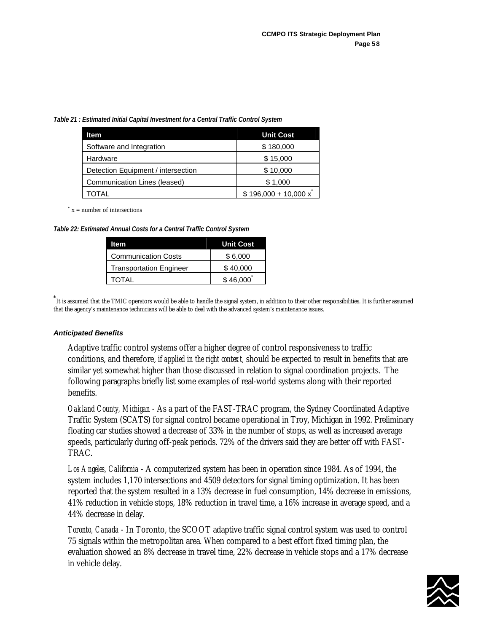*Table 21 : Estimated Initial Capital Investment for a Central Traffic Control System*

| <b>Item</b>                        | <b>Unit Cost</b>           |
|------------------------------------|----------------------------|
| Software and Integration           | \$180,000                  |
| Hardware                           | \$15,000                   |
| Detection Equipment / intersection | \$10,000                   |
| Communication Lines (leased)       | \$1,000                    |
| TOTAL                              | $$196,000 + 10,000 \times$ |

 $x =$  number of intersections

*Table 22: Estimated Annual Costs for a Central Traffic Control System*

| ltem                           | <b>Unit Cost</b> |
|--------------------------------|------------------|
| <b>Communication Costs</b>     | \$6,000          |
| <b>Transportation Engineer</b> | \$40,000         |
| TOTAL                          | \$46,000         |

**\*** It is assumed that the TMIC operators would be able to handle the signal system, in addition to their other responsibilities. It is further assumed that the agency's maintenance technicians will be able to deal with the advanced system's maintenance issues.

## *Anticipated Benefits*

Adaptive traffic control systems offer a higher degree of control responsiveness to traffic conditions, and therefore, *if applied in the right context,* should be expected to result in benefits that are similar yet somewhat higher than those discussed in relation to signal coordination projects. The following paragraphs briefly list some examples of real-world systems along with their reported benefits.

*Oakland County, Michigan* - As a part of the FAST-TRAC program, the Sydney Coordinated Adaptive Traffic System (SCATS) for signal control became operational in Troy, Michigan in 1992. Preliminary floating car studies showed a decrease of 33% in the number of stops, as well as increased average speeds, particularly during off-peak periods. 72% of the drivers said they are better off with FAST-TRAC.

*Los Angeles, California* - A computerized system has been in operation since 1984. As of 1994, the system includes 1,170 intersections and 4509 detectors for signal timing optimization. It has been reported that the system resulted in a 13% decrease in fuel consumption, 14% decrease in emissions, 41% reduction in vehicle stops, 18% reduction in travel time, a 16% increase in average speed, and a 44% decrease in delay.

*Toronto, Canada* - In Toronto, the SCOOT adaptive traffic signal control system was used to control 75 signals within the metropolitan area. When compared to a best effort fixed timing plan, the evaluation showed an 8% decrease in travel time, 22% decrease in vehicle stops and a 17% decrease in vehicle delay.

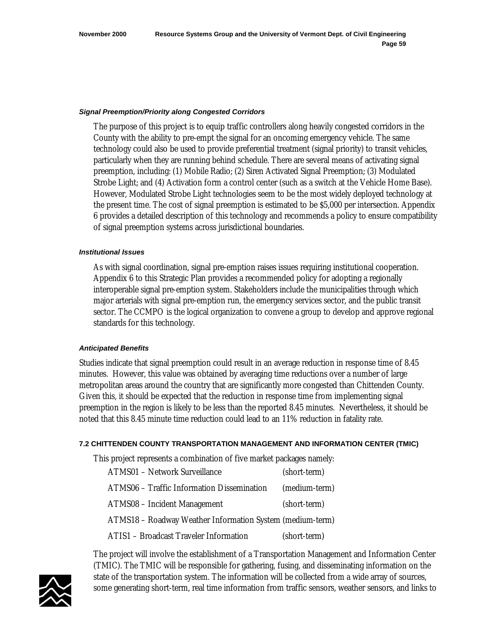#### *Signal Preemption/Priority along Congested Corridors*

The purpose of this project is to equip traffic controllers along heavily congested corridors in the County with the ability to pre-empt the signal for an oncoming emergency vehicle. The same technology could also be used to provide preferential treatment (signal priority) to transit vehicles, particularly when they are running behind schedule. There are several means of activating signal preemption, including: (1) Mobile Radio; (2) Siren Activated Signal Preemption; (3) Modulated Strobe Light; and (4) Activation form a control center (such as a switch at the Vehicle Home Base). However, Modulated Strobe Light technologies seem to be the most widely deployed technology at the present time. The cost of signal preemption is estimated to be \$5,000 per intersection. Appendix 6 provides a detailed description of this technology and recommends a policy to ensure compatibility of signal preemption systems across jurisdictional boundaries.

# *Institutional Issues*

As with signal coordination, signal pre-emption raises issues requiring institutional cooperation. Appendix 6 to this Strategic Plan provides a recommended policy for adopting a regionally interoperable signal pre-emption system. Stakeholders include the municipalities through which major arterials with signal pre-emption run, the emergency services sector, and the public transit sector. The CCMPO is the logical organization to convene a group to develop and approve regional standards for this technology.

### *Anticipated Benefits*

Studies indicate that signal preemption could result in an average reduction in response time of 8.45 minutes. However, this value was obtained by averaging time reductions over a number of large metropolitan areas around the country that are significantly more congested than Chittenden County. Given this, it should be expected that the reduction in response time from implementing signal preemption in the region is likely to be less than the reported 8.45 minutes. Nevertheless, it should be noted that this 8.45 minute time reduction could lead to an 11% reduction in fatality rate.

### **7.2 CHITTENDEN COUNTY TRANSPORTATION MANAGEMENT AND INFORMATION CENTER (TMIC)**

This project represents a combination of five market packages namely:

| ATMS01 - Network Surveillance                             | (short-term)  |
|-----------------------------------------------------------|---------------|
| ATMS06 - Traffic Information Dissemination                | (medium-term) |
| <b>ATMS08 - Incident Management</b>                       | (short-term)  |
| ATMS18 - Roadway Weather Information System (medium-term) |               |
| ATIS1 - Broadcast Traveler Information                    | (short-term)  |

The project will involve the establishment of a Transportation Management and Information Center (TMIC). The TMIC will be responsible for gathering, fusing, and disseminating information on the state of the transportation system. The information will be collected from a wide array of sources, some generating short-term, real time information from traffic sensors, weather sensors, and links to

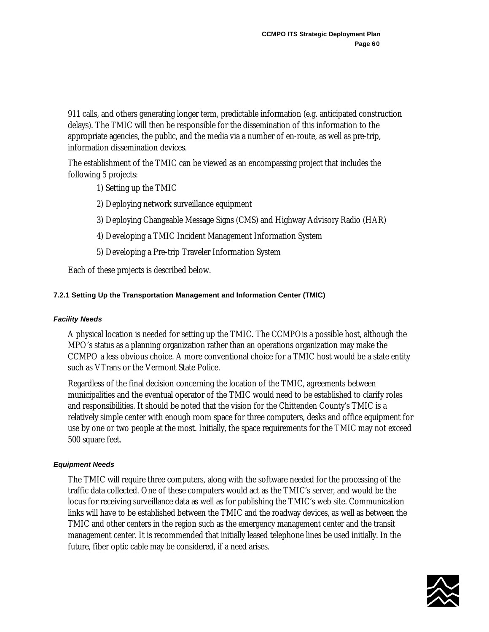911 calls, and others generating longer term, predictable information (e.g. anticipated construction delays). The TMIC will then be responsible for the dissemination of this information to the appropriate agencies, the public, and the media via a number of en-route, as well as pre-trip, information dissemination devices.

The establishment of the TMIC can be viewed as an encompassing project that includes the following 5 projects:

1) Setting up the TMIC

- 2) Deploying network surveillance equipment
- 3) Deploying Changeable Message Signs (CMS) and Highway Advisory Radio (HAR)
- 4) Developing a TMIC Incident Management Information System
- 5) Developing a Pre-trip Traveler Information System

Each of these projects is described below.

# **7.2.1 Setting Up the Transportation Management and Information Center (TMIC)**

### *Facility Needs*

A physical location is needed for setting up the TMIC. The CCMPOis a possible host, although the MPO's status as a planning organization rather than an operations organization may make the CCMPO a less obvious choice. A more conventional choice for a TMIC host would be a state entity such as VTrans or the Vermont State Police.

Regardless of the final decision concerning the location of the TMIC, agreements between municipalities and the eventual operator of the TMIC would need to be established to clarify roles and responsibilities. It should be noted that the vision for the Chittenden County's TMIC is a relatively simple center with enough room space for three computers, desks and office equipment for use by one or two people at the most. Initially, the space requirements for the TMIC may not exceed 500 square feet.

### *Equipment Needs*

The TMIC will require three computers, along with the software needed for the processing of the traffic data collected. One of these computers would act as the TMIC's server, and would be the locus for receiving surveillance data as well as for publishing the TMIC's web site. Communication links will have to be established between the TMIC and the roadway devices, as well as between the TMIC and other centers in the region such as the emergency management center and the transit management center. It is recommended that initially leased telephone lines be used initially. In the future, fiber optic cable may be considered, if a need arises.

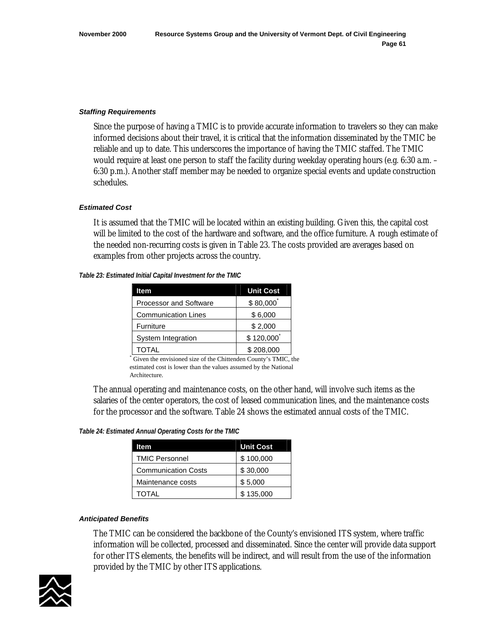#### *Staffing Requirements*

Since the purpose of having a TMIC is to provide accurate information to travelers so they can make informed decisions about their travel, it is critical that the information disseminated by the TMIC be reliable and up to date. This underscores the importance of having the TMIC staffed. The TMIC would require at least one person to staff the facility during weekday operating hours (e.g. 6:30 a.m. – 6:30 p.m.). Another staff member may be needed to organize special events and update construction schedules.

#### *Estimated Cost*

It is assumed that the TMIC will be located within an existing building. Given this, the capital cost will be limited to the cost of the hardware and software, and the office furniture. A rough estimate of the needed non-recurring costs is given in Table 23. The costs provided are averages based on examples from other projects across the country.

*Table 23: Estimated Initial Capital Investment for the TMIC* 

| ltem                          | <b>Unit Cost</b> |
|-------------------------------|------------------|
| <b>Processor and Software</b> | \$80,000         |
| <b>Communication Lines</b>    | \$6,000          |
| Furniture                     | \$2,000          |
| System Integration            | \$120,000        |
| TOTAL                         | \$208,000        |

\* Given the envisioned size of the Chittenden County's TMIC, the estimated cost is lower than the values assumed by the National Architecture.

The annual operating and maintenance costs, on the other hand, will involve such items as the salaries of the center operators, the cost of leased communication lines, and the maintenance costs for the processor and the software. Table 24 shows the estimated annual costs of the TMIC.

*Table 24: Estimated Annual Operating Costs for the TMIC*

| ltem                       | <b>Unit Cost</b> |
|----------------------------|------------------|
| <b>TMIC Personnel</b>      | \$100,000        |
| <b>Communication Costs</b> | \$30,000         |
| Maintenance costs          | \$5,000          |
| TOTAL                      | \$135,000        |

#### *Anticipated Benefits*

The TMIC can be considered the backbone of the County's envisioned ITS system, where traffic information will be collected, processed and disseminated. Since the center will provide data support for other ITS elements, the benefits will be indirect, and will result from the use of the information provided by the TMIC by other ITS applications.

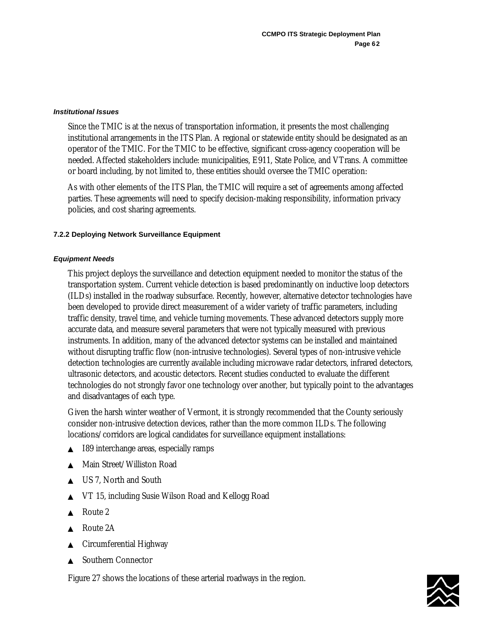### *Institutional Issues*

Since the TMIC is at the nexus of transportation information, it presents the most challenging institutional arrangements in the ITS Plan. A regional or statewide entity should be designated as an operator of the TMIC. For the TMIC to be effective, significant cross-agency cooperation will be needed. Affected stakeholders include: municipalities, E911, State Police, and VTrans. A committee or board including, by not limited to, these entities should oversee the TMIC operation:

As with other elements of the ITS Plan, the TMIC will require a set of agreements among affected parties. These agreements will need to specify decision-making responsibility, information privacy policies, and cost sharing agreements.

# **7.2.2 Deploying Network Surveillance Equipment**

# *Equipment Needs*

This project deploys the surveillance and detection equipment needed to monitor the status of the transportation system. Current vehicle detection is based predominantly on inductive loop detectors (ILDs) installed in the roadway subsurface. Recently, however, alternative detector technologies have been developed to provide direct measurement of a wider variety of traffic parameters, including traffic density, travel time, and vehicle turning movements. These advanced detectors supply more accurate data, and measure several parameters that were not typically measured with previous instruments. In addition, many of the advanced detector systems can be installed and maintained without disrupting traffic flow (non-intrusive technologies). Several types of non-intrusive vehicle detection technologies are currently available including microwave radar detectors, infrared detectors, ultrasonic detectors, and acoustic detectors. Recent studies conducted to evaluate the different technologies do not strongly favor one technology over another, but typically point to the advantages and disadvantages of each type.

Given the harsh winter weather of Vermont, it is strongly recommended that the County seriously consider non-intrusive detection devices, rather than the more common ILDs. The following locations/corridors are logical candidates for surveillance equipment installations:

- I89 interchange areas, especially ramps
- Main Street/Williston Road
- US 7. North and South
- VT 15, including Susie Wilson Road and Kellogg Road
- Route 2
- Route 2A
- Circumferential Highway
- **Southern Connector**

Figure 27 shows the locations of these arterial roadways in the region.

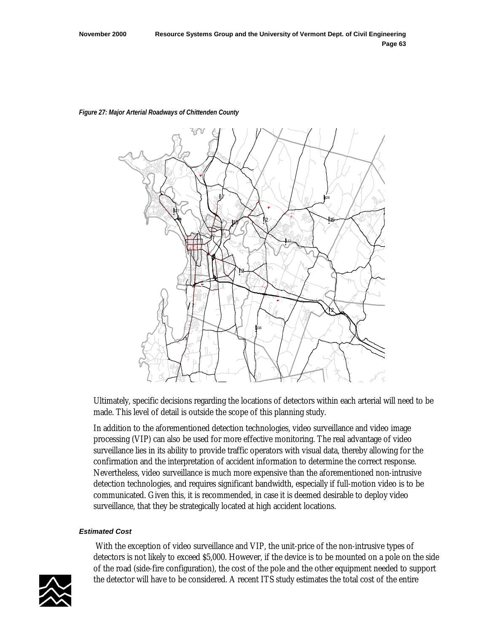

# *Figure 27: Major Arterial Roadways of Chittenden County*

Ultimately, specific decisions regarding the locations of detectors within each arterial will need to be made. This level of detail is outside the scope of this planning study.

In addition to the aforementioned detection technologies, video surveillance and video image processing (VIP) can also be used for more effective monitoring. The real advantage of video surveillance lies in its ability to provide traffic operators with visual data, thereby allowing for the confirmation and the interpretation of accident information to determine the correct response. Nevertheless, video surveillance is much more expensive than the aforementioned non-intrusive detection technologies, and requires significant bandwidth, especially if full-motion video is to be communicated. Given this, it is recommended, in case it is deemed desirable to deploy video surveillance, that they be strategically located at high accident locations.

### *Estimated Cost*

 With the exception of video surveillance and VIP, the unit-price of the non-intrusive types of detectors is not likely to exceed \$5,000. However, if the device is to be mounted on a pole on the side of the road (side-fire configuration), the cost of the pole and the other equipment needed to support the detector will have to be considered. A recent ITS study estimates the total cost of the entire

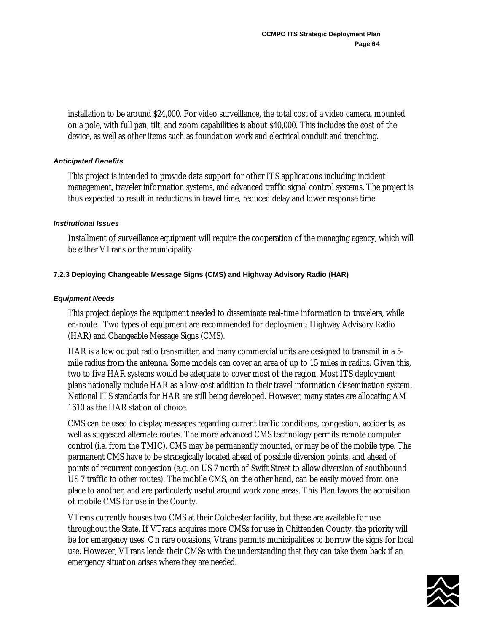installation to be around \$24,000. For video surveillance, the total cost of a video camera, mounted on a pole, with full pan, tilt, and zoom capabilities is about \$40,000. This includes the cost of the device, as well as other items such as foundation work and electrical conduit and trenching.

# *Anticipated Benefits*

This project is intended to provide data support for other ITS applications including incident management, traveler information systems, and advanced traffic signal control systems. The project is thus expected to result in reductions in travel time, reduced delay and lower response time.

### *Institutional Issues*

Installment of surveillance equipment will require the cooperation of the managing agency, which will be either VTrans or the municipality.

# **7.2.3 Deploying Changeable Message Signs (CMS) and Highway Advisory Radio (HAR)**

# *Equipment Needs*

This project deploys the equipment needed to disseminate real-time information to travelers, while en-route. Two types of equipment are recommended for deployment: Highway Advisory Radio (HAR) and Changeable Message Signs (CMS).

HAR is a low output radio transmitter, and many commercial units are designed to transmit in a 5 mile radius from the antenna. Some models can cover an area of up to 15 miles in radius. Given this, two to five HAR systems would be adequate to cover most of the region. Most ITS deployment plans nationally include HAR as a low-cost addition to their travel information dissemination system. National ITS standards for HAR are still being developed. However, many states are allocating AM 1610 as the HAR station of choice.

CMS can be used to display messages regarding current traffic conditions, congestion, accidents, as well as suggested alternate routes. The more advanced CMS technology permits remote computer control (i.e. from the TMIC). CMS may be permanently mounted, or may be of the mobile type. The permanent CMS have to be strategically located ahead of possible diversion points, and ahead of points of recurrent congestion (e.g. on US 7 north of Swift Street to allow diversion of southbound US 7 traffic to other routes). The mobile CMS, on the other hand, can be easily moved from one place to another, and are particularly useful around work zone areas. This Plan favors the acquisition of mobile CMS for use in the County.

VTrans currently houses two CMS at their Colchester facility, but these are available for use throughout the State. If VTrans acquires more CMSs for use in Chittenden County, the priority will be for emergency uses. On rare occasions, Vtrans permits municipalities to borrow the signs for local use. However, VTrans lends their CMSs with the understanding that they can take them back if an emergency situation arises where they are needed.

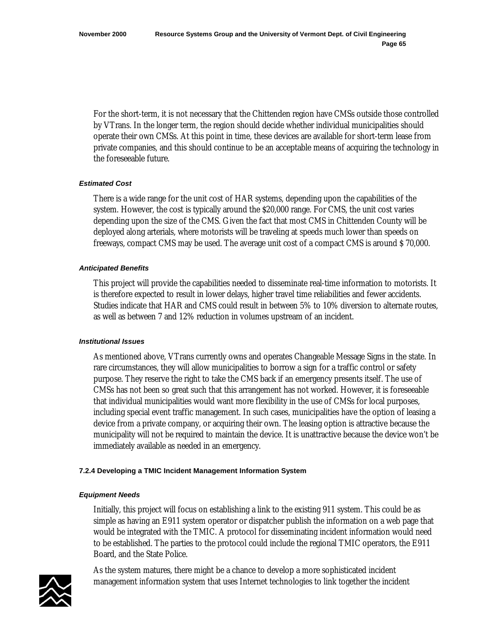For the short-term, it is not necessary that the Chittenden region have CMSs outside those controlled by VTrans. In the longer term, the region should decide whether individual municipalities should operate their own CMSs. At this point in time, these devices are available for short-term lease from private companies, and this should continue to be an acceptable means of acquiring the technology in the foreseeable future.

# *Estimated Cost*

There is a wide range for the unit cost of HAR systems, depending upon the capabilities of the system. However, the cost is typically around the \$20,000 range. For CMS, the unit cost varies depending upon the size of the CMS. Given the fact that most CMS in Chittenden County will be deployed along arterials, where motorists will be traveling at speeds much lower than speeds on freeways, compact CMS may be used. The average unit cost of a compact CMS is around \$ 70,000.

# *Anticipated Benefits*

This project will provide the capabilities needed to disseminate real-time information to motorists. It is therefore expected to result in lower delays, higher travel time reliabilities and fewer accidents. Studies indicate that HAR and CMS could result in between 5% to 10% diversion to alternate routes, as well as between 7 and 12% reduction in volumes upstream of an incident.

### *Institutional Issues*

As mentioned above, VTrans currently owns and operates Changeable Message Signs in the state. In rare circumstances, they will allow municipalities to borrow a sign for a traffic control or safety purpose. They reserve the right to take the CMS back if an emergency presents itself. The use of CMSs has not been so great such that this arrangement has not worked. However, it is foreseeable that individual municipalities would want more flexibility in the use of CMSs for local purposes, including special event traffic management. In such cases, municipalities have the option of leasing a device from a private company, or acquiring their own. The leasing option is attractive because the municipality will not be required to maintain the device. It is unattractive because the device won't be immediately available as needed in an emergency.

### **7.2.4 Developing a TMIC Incident Management Information System**

### *Equipment Needs*

Initially, this project will focus on establishing a link to the existing 911 system. This could be as simple as having an E911 system operator or dispatcher publish the information on a web page that would be integrated with the TMIC. A protocol for disseminating incident information would need to be established. The parties to the protocol could include the regional TMIC operators, the E911 Board, and the State Police.



As the system matures, there might be a chance to develop a more sophisticated incident management information system that uses Internet technologies to link together the incident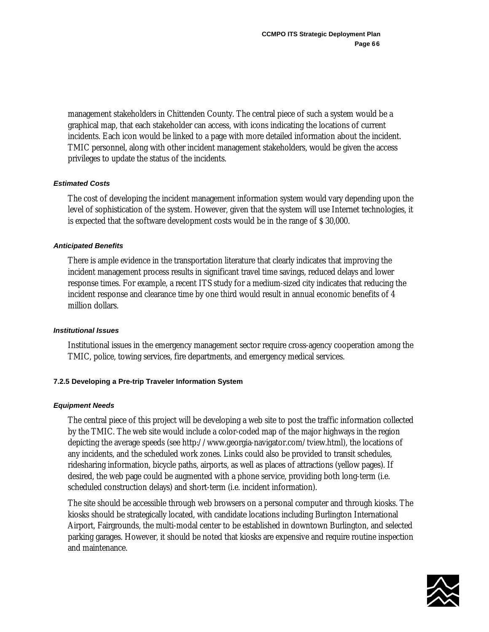management stakeholders in Chittenden County. The central piece of such a system would be a graphical map, that each stakeholder can access, with icons indicating the locations of current incidents. Each icon would be linked to a page with more detailed information about the incident. TMIC personnel, along with other incident management stakeholders, would be given the access privileges to update the status of the incidents.

# *Estimated Costs*

The cost of developing the incident management information system would vary depending upon the level of sophistication of the system. However, given that the system will use Internet technologies, it is expected that the software development costs would be in the range of \$ 30,000.

# *Anticipated Benefits*

There is ample evidence in the transportation literature that clearly indicates that improving the incident management process results in significant travel time savings, reduced delays and lower response times. For example, a recent ITS study for a medium-sized city indicates that reducing the incident response and clearance time by one third would result in annual economic benefits of 4 million dollars.

### *Institutional Issues*

Institutional issues in the emergency management sector require cross-agency cooperation among the TMIC, police, towing services, fire departments, and emergency medical services.

# **7.2.5 Developing a Pre-trip Traveler Information System**

### *Equipment Needs*

The central piece of this project will be developing a web site to post the traffic information collected by the TMIC. The web site would include a color-coded map of the major highways in the region depicting the average speeds (see http://www.georgia-navigator.com/tview.html), the locations of any incidents, and the scheduled work zones. Links could also be provided to transit schedules, ridesharing information, bicycle paths, airports, as well as places of attractions (yellow pages). If desired, the web page could be augmented with a phone service, providing both long-term (i.e. scheduled construction delays) and short-term (i.e. incident information).

The site should be accessible through web browsers on a personal computer and through kiosks. The kiosks should be strategically located, with candidate locations including Burlington International Airport, Fairgrounds, the multi-modal center to be established in downtown Burlington, and selected parking garages. However, it should be noted that kiosks are expensive and require routine inspection and maintenance.

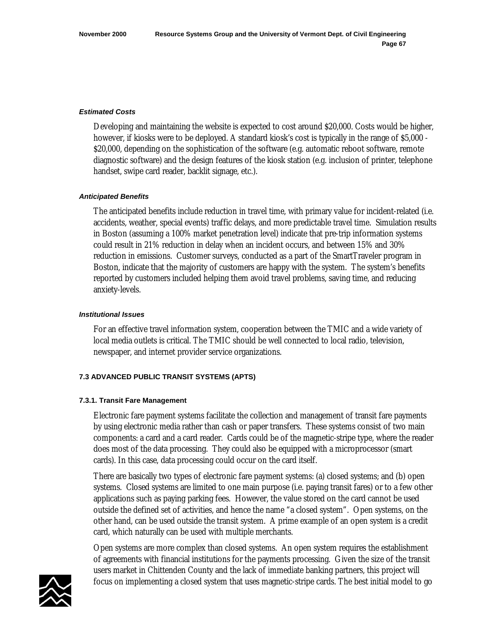### *Estimated Costs*

Developing and maintaining the website is expected to cost around \$20,000. Costs would be higher, however, if kiosks were to be deployed. A standard kiosk's cost is typically in the range of \$5,000 - \$20,000, depending on the sophistication of the software (e.g. automatic reboot software, remote diagnostic software) and the design features of the kiosk station (e.g. inclusion of printer, telephone handset, swipe card reader, backlit signage, etc.).

# *Anticipated Benefits*

The anticipated benefits include reduction in travel time, with primary value for incident-related (i.e. accidents, weather, special events) traffic delays, and more predictable travel time. Simulation results in Boston (assuming a 100% market penetration level) indicate that pre-trip information systems could result in 21% reduction in delay when an incident occurs, and between 15% and 30% reduction in emissions. Customer surveys, conducted as a part of the SmartTraveler program in Boston, indicate that the majority of customers are happy with the system. The system's benefits reported by customers included helping them avoid travel problems, saving time, and reducing anxiety-levels.

# *Institutional Issues*

For an effective travel information system, cooperation between the TMIC and a wide variety of local media outlets is critical. The TMIC should be well connected to local radio, television, newspaper, and internet provider service organizations.

# **7.3 ADVANCED PUBLIC TRANSIT SYSTEMS (APTS)**

### **7.3.1. Transit Fare Management**

Electronic fare payment systems facilitate the collection and management of transit fare payments by using electronic media rather than cash or paper transfers. These systems consist of two main components: a card and a card reader. Cards could be of the magnetic-stripe type, where the reader does most of the data processing. They could also be equipped with a microprocessor (smart cards). In this case, data processing could occur on the card itself.

There are basically two types of electronic fare payment systems: (a) closed systems; and (b) open systems. Closed systems are limited to one main purpose (i.e. paying transit fares) or to a few other applications such as paying parking fees. However, the value stored on the card cannot be used outside the defined set of activities, and hence the name "a closed system". Open systems, on the other hand, can be used outside the transit system. A prime example of an open system is a credit card, which naturally can be used with multiple merchants.

Open systems are more complex than closed systems. An open system requires the establishment of agreements with financial institutions for the payments processing. Given the size of the transit users market in Chittenden County and the lack of immediate banking partners, this project will focus on implementing a closed system that uses magnetic-stripe cards. The best initial model to go

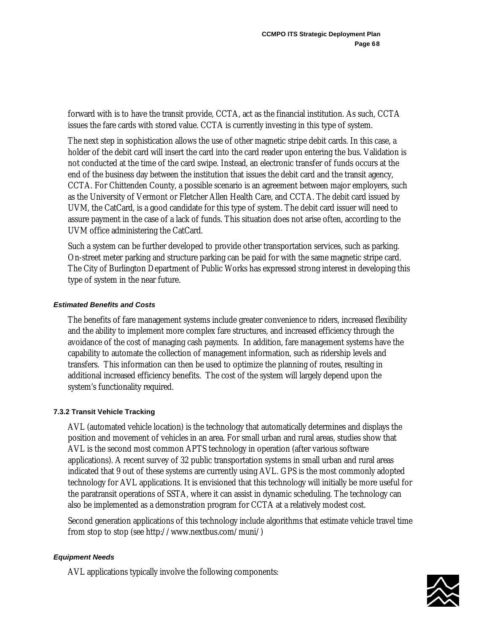forward with is to have the transit provide, CCTA, act as the financial institution. As such, CCTA issues the fare cards with stored value. CCTA is currently investing in this type of system.

The next step in sophistication allows the use of other magnetic stripe debit cards. In this case, a holder of the debit card will insert the card into the card reader upon entering the bus. Validation is not conducted at the time of the card swipe. Instead, an electronic transfer of funds occurs at the end of the business day between the institution that issues the debit card and the transit agency, CCTA. For Chittenden County, a possible scenario is an agreement between major employers, such as the University of Vermont or Fletcher Allen Health Care, and CCTA. The debit card issued by UVM, the CatCard, is a good candidate for this type of system. The debit card issuer will need to assure payment in the case of a lack of funds. This situation does not arise often, according to the UVM office administering the CatCard.

Such a system can be further developed to provide other transportation services, such as parking. On-street meter parking and structure parking can be paid for with the same magnetic stripe card. The City of Burlington Department of Public Works has expressed strong interest in developing this type of system in the near future.

# *Estimated Benefits and Costs*

The benefits of fare management systems include greater convenience to riders, increased flexibility and the ability to implement more complex fare structures, and increased efficiency through the avoidance of the cost of managing cash payments. In addition, fare management systems have the capability to automate the collection of management information, such as ridership levels and transfers. This information can then be used to optimize the planning of routes, resulting in additional increased efficiency benefits. The cost of the system will largely depend upon the system's functionality required.

### **7.3.2 Transit Vehicle Tracking**

AVL (automated vehicle location) is the technology that automatically determines and displays the position and movement of vehicles in an area. For small urban and rural areas, studies show that AVL is the second most common APTS technology in operation (after various software applications). A recent survey of 32 public transportation systems in small urban and rural areas indicated that 9 out of these systems are currently using AVL. GPS is the most commonly adopted technology for AVL applications. It is envisioned that this technology will initially be more useful for the paratransit operations of SSTA, where it can assist in dynamic scheduling. The technology can also be implemented as a demonstration program for CCTA at a relatively modest cost.

Second generation applications of this technology include algorithms that estimate vehicle travel time from stop to stop (see http://www.nextbus.com/muni/)

### *Equipment Needs*

AVL applications typically involve the following components:

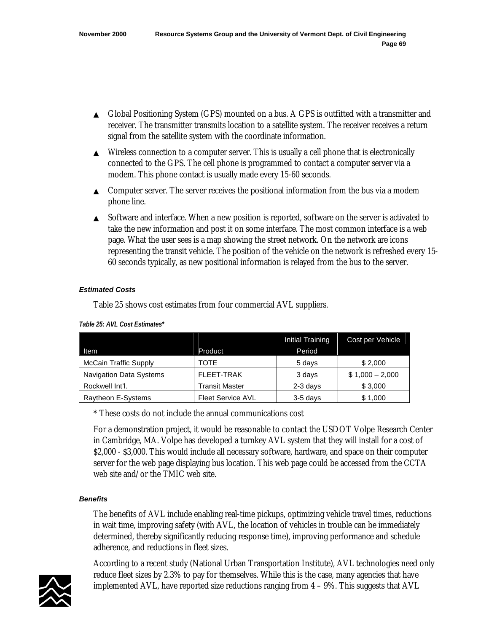- ▲ Global Positioning System (GPS) mounted on a bus. A GPS is outfitted with a transmitter and receiver. The transmitter transmits location to a satellite system. The receiver receives a return signal from the satellite system with the coordinate information.
- $\blacktriangle$  Wireless connection to a computer server. This is usually a cell phone that is electronically connected to the GPS. The cell phone is programmed to contact a computer server via a modem. This phone contact is usually made every 15-60 seconds.
- ▲ Computer server. The server receives the positional information from the bus via a modem phone line.
- ▲ Software and interface. When a new position is reported, software on the server is activated to take the new information and post it on some interface. The most common interface is a web page. What the user sees is a map showing the street network. On the network are icons representing the transit vehicle. The position of the vehicle on the network is refreshed every 15- 60 seconds typically, as new positional information is relayed from the bus to the server.

# *Estimated Costs*

Table 25 shows cost estimates from four commercial AVL suppliers.

|                                |                          | Initial Training | Cost per Vehicle |
|--------------------------------|--------------------------|------------------|------------------|
| Item                           | Product                  | Period           |                  |
| <b>McCain Traffic Supply</b>   | TOTF                     | 5 days           | \$2,000          |
| <b>Navigation Data Systems</b> | FLFFT-TRAK               | 3 days           | $$1,000 - 2,000$ |
| Rockwell Int'l.                | <b>Transit Master</b>    | $2-3$ days       | \$3,000          |
| Raytheon E-Systems             | <b>Fleet Service AVL</b> | 3-5 days         | \$1,000          |

### *Table 25: AVL Cost Estimates\**

\* These costs do not include the annual communications cost

For a demonstration project, it would be reasonable to contact the USDOT Volpe Research Center in Cambridge, MA. Volpe has developed a turnkey AVL system that they will install for a cost of \$2,000 - \$3,000. This would include all necessary software, hardware, and space on their computer server for the web page displaying bus location. This web page could be accessed from the CCTA web site and/or the TMIC web site.

# *Benefits*

The benefits of AVL include enabling real-time pickups, optimizing vehicle travel times, reductions in wait time, improving safety (with AVL, the location of vehicles in trouble can be immediately determined, thereby significantly reducing response time), improving performance and schedule adherence, and reductions in fleet sizes.

According to a recent study (National Urban Transportation Institute), AVL technologies need only reduce fleet sizes by 2.3% to pay for themselves. While this is the case, many agencies that have implemented AVL, have reported size reductions ranging from  $4 - 9\%$ . This suggests that AVL

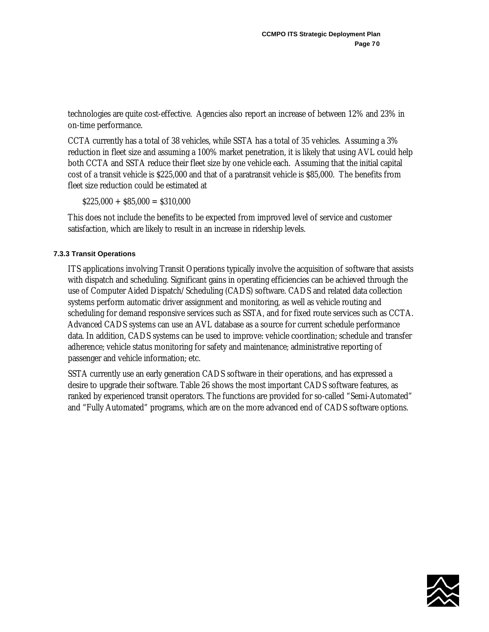technologies are quite cost-effective. Agencies also report an increase of between 12% and 23% in on-time performance.

CCTA currently has a total of 38 vehicles, while SSTA has a total of 35 vehicles. Assuming a 3% reduction in fleet size and assuming a 100% market penetration, it is likely that using AVL could help both CCTA and SSTA reduce their fleet size by one vehicle each. Assuming that the initial capital cost of a transit vehicle is \$225,000 and that of a paratransit vehicle is \$85,000. The benefits from fleet size reduction could be estimated at

 $$225,000 + $85,000 = $310,000$ 

This does not include the benefits to be expected from improved level of service and customer satisfaction, which are likely to result in an increase in ridership levels.

# **7.3.3 Transit Operations**

ITS applications involving Transit Operations typically involve the acquisition of software that assists with dispatch and scheduling. Significant gains in operating efficiencies can be achieved through the use of Computer Aided Dispatch/Scheduling (CADS) software. CADS and related data collection systems perform automatic driver assignment and monitoring, as well as vehicle routing and scheduling for demand responsive services such as SSTA, and for fixed route services such as CCTA. Advanced CADS systems can use an AVL database as a source for current schedule performance data. In addition, CADS systems can be used to improve: vehicle coordination; schedule and transfer adherence; vehicle status monitoring for safety and maintenance; administrative reporting of passenger and vehicle information; etc.

SSTA currently use an early generation CADS software in their operations, and has expressed a desire to upgrade their software. Table 26 shows the most important CADS software features, as ranked by experienced transit operators. The functions are provided for so-called "Semi-Automated" and "Fully Automated" programs, which are on the more advanced end of CADS software options.

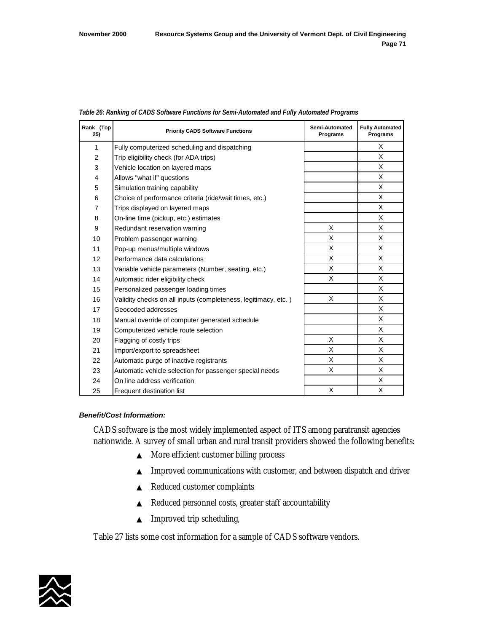|  |  | Table 26: Ranking of CADS Software Functions for Semi-Automated and Fully Automated Programs |
|--|--|----------------------------------------------------------------------------------------------|
|  |  |                                                                                              |

| Rank (Top<br>25) | <b>Priority CADS Software Functions</b>                        | Semi-Automated<br>Programs | <b>Fully Automated</b><br>Programs |
|------------------|----------------------------------------------------------------|----------------------------|------------------------------------|
| 1                | Fully computerized scheduling and dispatching                  |                            | X                                  |
| $\overline{2}$   | Trip eligibility check (for ADA trips)                         |                            | X                                  |
| 3                | Vehicle location on layered maps                               |                            | X                                  |
| 4                | Allows "what if" questions                                     |                            | X                                  |
| 5                | Simulation training capability                                 |                            | X                                  |
| 6                | Choice of performance criteria (ride/wait times, etc.)         |                            | X                                  |
| $\overline{7}$   | Trips displayed on layered maps                                |                            | X                                  |
| 8                | On-line time (pickup, etc.) estimates                          |                            | X                                  |
| 9                | Redundant reservation warning                                  | X                          | X                                  |
| 10               | Problem passenger warning                                      | X                          | X                                  |
| 11               | Pop-up menus/multiple windows                                  | X                          | X                                  |
| 12               | Performance data calculations                                  | X                          | X                                  |
| 13               | Variable vehicle parameters (Number, seating, etc.)            | X                          | X                                  |
| 14               | Automatic rider eligibility check                              | X                          | X                                  |
| 15               | Personalized passenger loading times                           |                            | X                                  |
| 16               | Validity checks on all inputs (completeness, legitimacy, etc.) | X                          | X                                  |
| 17               | Geocoded addresses                                             |                            | X                                  |
| 18               | Manual override of computer generated schedule                 |                            | X                                  |
| 19               | Computerized vehicle route selection                           |                            | X                                  |
| 20               | Flagging of costly trips                                       | X                          | X                                  |
| 21               | Import/export to spreadsheet                                   | X                          | X                                  |
| 22               | Automatic purge of inactive registrants                        | X                          | X                                  |
| 23               | Automatic vehicle selection for passenger special needs        | X                          | X                                  |
| 24               | On line address verification                                   |                            | X                                  |
| 25               | Frequent destination list                                      | X                          | X                                  |

#### *Benefit/Cost Information:*

CADS software is the most widely implemented aspect of ITS among paratransit agencies nationwide. A survey of small urban and rural transit providers showed the following benefits:

- ▲ More efficient customer billing process
- ▲ Improved communications with customer, and between dispatch and driver
- ▲ Reduced customer complaints
- ▲ Reduced personnel costs, greater staff accountability
- ▲ Improved trip scheduling,

Table 27 lists some cost information for a sample of CADS software vendors.

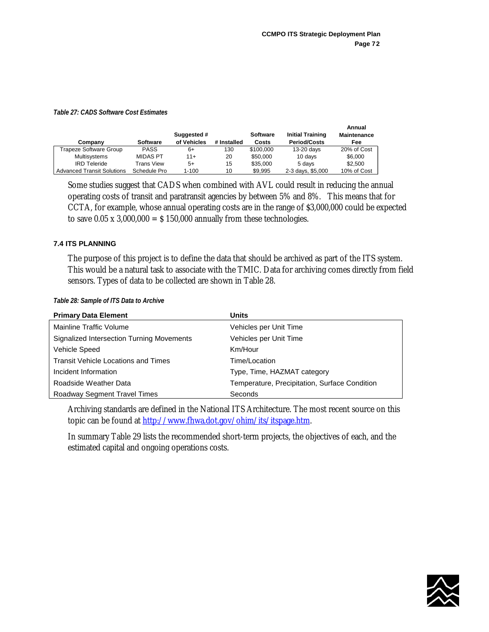#### *Table 27: CADS Software Cost Estimates*

| Company                           | Software        | Suggested #<br>of Vehicles | # Installed | <b>Software</b><br>Costs | <b>Initial Training</b><br><b>Period/Costs</b> | Annual<br><b>Maintenance</b><br>Fee |
|-----------------------------------|-----------------|----------------------------|-------------|--------------------------|------------------------------------------------|-------------------------------------|
| Trapeze Software Group            | <b>PASS</b>     | 6+                         | 130         | \$100.000                | $13-20$ days                                   | 20% of Cost                         |
| <b>Multisystems</b>               | <b>MIDAS PT</b> | 11+                        | 20          | \$50,000                 | 10 days                                        | \$6,000                             |
| <b>IRD Teleride</b>               | Trans View      | $5+$                       | 15          | \$35,000                 | 5 days                                         | \$2.500                             |
| <b>Advanced Transit Solutions</b> | Schedule Pro    | 1-100                      | 10          | \$9.995                  | 2-3 days, \$5,000                              | 10% of Cost                         |

Some studies suggest that CADS when combined with AVL could result in reducing the annual operating costs of transit and paratransit agencies by between 5% and 8%. This means that for CCTA, for example, whose annual operating costs are in the range of \$3,000,000 could be expected to save  $0.05 \times 3,000,000 = 5150,000$  annually from these technologies.

# **7.4 ITS PLANNING**

The purpose of this project is to define the data that should be archived as part of the ITS system. This would be a natural task to associate with the TMIC. Data for archiving comes directly from field sensors. Types of data to be collected are shown in Table 28.

|  |  | Table 28: Sample of ITS Data to Archive |
|--|--|-----------------------------------------|
|  |  |                                         |

| <b>Primary Data Element</b>                | Units                                         |
|--------------------------------------------|-----------------------------------------------|
| Mainline Traffic Volume                    | Vehicles per Unit Time                        |
| Signalized Intersection Turning Movements  | Vehicles per Unit Time                        |
| Vehicle Speed                              | Km/Hour                                       |
| <b>Transit Vehicle Locations and Times</b> | Time/Location                                 |
| Incident Information                       | Type, Time, HAZMAT category                   |
| Roadside Weather Data                      | Temperature, Precipitation, Surface Condition |
| Roadway Segment Travel Times               | Seconds                                       |

Archiving standards are defined in the National ITS Architecture. The most recent source on this topic can be found at [http://www.fhwa.dot.gov/ohim/its/itspage.htm.](http://www.fhwa.dot.gov/ohim/its/itspage.htm)

In summary Table 29 lists the recommended short-term projects, the objectives of each, and the estimated capital and ongoing operations costs.

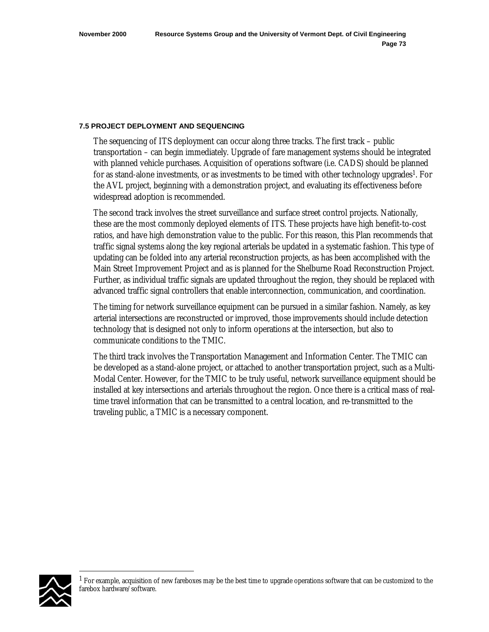#### **7.5 PROJECT DEPLOYMENT AND SEQUENCING**

The sequencing of ITS deployment can occur along three tracks. The first track – public transportation – can begin immediately. Upgrade of fare management systems should be integrated with planned vehicle purchases. Acquisition of operations software (i.e. CADS) should be planned for as stand-alone investments, or as investments to be timed with other technology upgrades<sup>1</sup>. For the AVL project, beginning with a demonstration project, and evaluating its effectiveness before widespread adoption is recommended.

The second track involves the street surveillance and surface street control projects. Nationally, these are the most commonly deployed elements of ITS. These projects have high benefit-to-cost ratios, and have high demonstration value to the public. For this reason, this Plan recommends that traffic signal systems along the key regional arterials be updated in a systematic fashion. This type of updating can be folded into any arterial reconstruction projects, as has been accomplished with the Main Street Improvement Project and as is planned for the Shelburne Road Reconstruction Project. Further, as individual traffic signals are updated throughout the region, they should be replaced with advanced traffic signal controllers that enable interconnection, communication, and coordination.

The timing for network surveillance equipment can be pursued in a similar fashion. Namely, as key arterial intersections are reconstructed or improved, those improvements should include detection technology that is designed not only to inform operations at the intersection, but also to communicate conditions to the TMIC.

The third track involves the Transportation Management and Information Center. The TMIC can be developed as a stand-alone project, or attached to another transportation project, such as a Multi-Modal Center. However, for the TMIC to be truly useful, network surveillance equipment should be installed at key intersections and arterials throughout the region. Once there is a critical mass of realtime travel information that can be transmitted to a central location, and re-transmitted to the traveling public, a TMIC is a necessary component.



 $\overline{a}$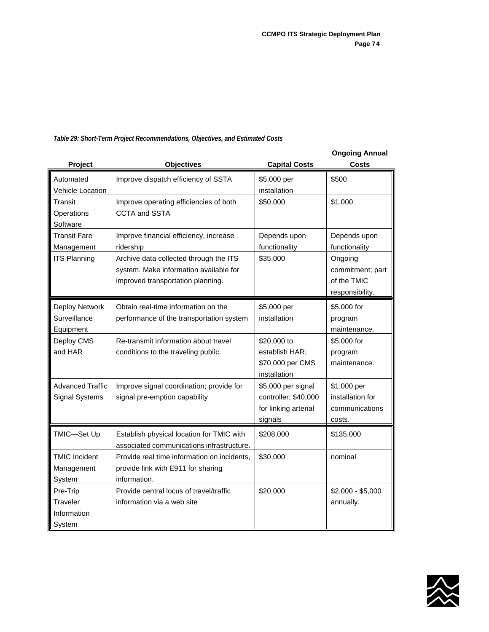|                         |                                             |                      | <b>Ongoing Annual</b> |
|-------------------------|---------------------------------------------|----------------------|-----------------------|
| Project                 | <b>Objectives</b>                           | <b>Capital Costs</b> | Costs                 |
| Automated               | Improve dispatch efficiency of SSTA         | \$5,000 per          | \$500                 |
| Vehicle Location        |                                             | installation         |                       |
| Transit                 | Improve operating efficiencies of both      | \$50,000             | \$1,000               |
| Operations              | <b>CCTA and SSTA</b>                        |                      |                       |
| Software                |                                             |                      |                       |
| Transit Fare            | Improve financial efficiency, increase      | Depends upon         | Depends upon          |
| Management              | ridership                                   | functionality        | functionality         |
| <b>ITS Planning</b>     | Archive data collected through the ITS      | \$35,000             | Ongoing               |
|                         | system. Make information available for      |                      | commitment; part      |
|                         | improved transportation planning.           |                      | of the TMIC           |
|                         |                                             |                      | responsibility.       |
| Deploy Network          | Obtain real-time information on the         | \$5,000 per          | \$5,000 for           |
| Surveillance            | performance of the transportation system    | installation         | program               |
| Equipment               |                                             |                      | maintenance.          |
| Deploy CMS              | Re-transmit information about travel        | \$20,000 to          | \$5,000 for           |
| and HAR                 | conditions to the traveling public.         | establish HAR;       | program               |
|                         |                                             | \$70,000 per CMS     | maintenance.          |
|                         |                                             | installation         |                       |
| <b>Advanced Traffic</b> | Improve signal coordination; provide for    | \$5,000 per signal   | \$1,000 per           |
| <b>Signal Systems</b>   | signal pre-emption capability               | controller; \$40,000 | installation for      |
|                         |                                             | for linking arterial | communications        |
|                         |                                             | signals              | costs.                |
| TMIC-Set Up             | Establish physical location for TMIC with   | \$208,000            | \$135,000             |
|                         | associated communications infrastructure.   |                      |                       |
| <b>TMIC Incident</b>    | Provide real time information on incidents. | \$30,000             | nominal               |
| Management              | provide link with E911 for sharing          |                      |                       |
| System                  | information.                                |                      |                       |
| Pre-Trip                | Provide central locus of travel/traffic     | \$20,000             | $$2,000 - $5,000$     |
| Traveler                | information via a web site                  |                      | annually.             |
| Information             |                                             |                      |                       |
| System                  |                                             |                      |                       |

# *Table 29: Short-Term Project Recommendations, Objectives, and Estimated Costs*